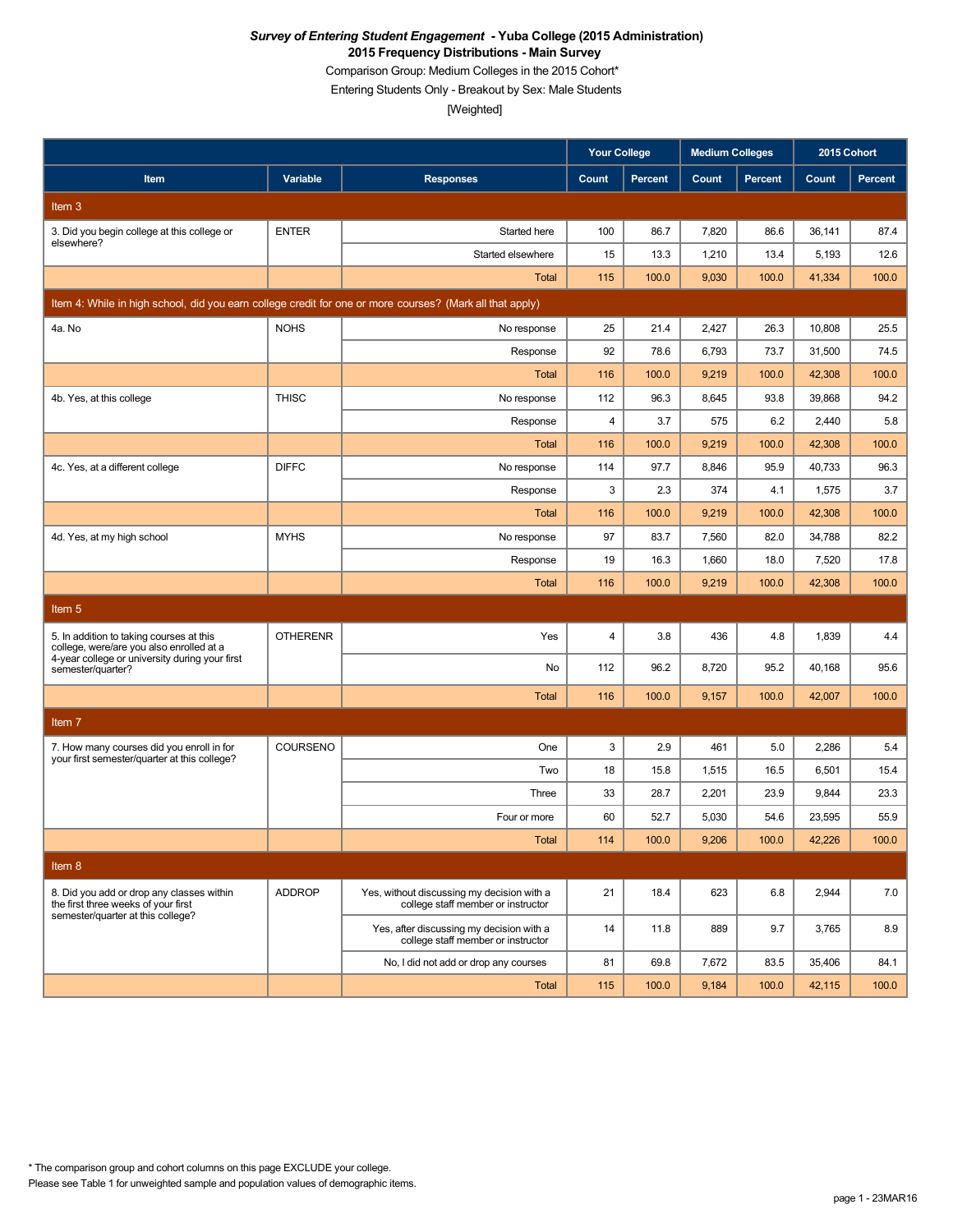Comparison Group: Medium Colleges in the 2015 Cohort\*

Entering Students Only - Breakout by Sex: Male Students

|                                                                                                          |                 |                                                                                  | <b>Your College</b>     |                | <b>Medium Colleges</b> |                | 2015 Cohort |                |
|----------------------------------------------------------------------------------------------------------|-----------------|----------------------------------------------------------------------------------|-------------------------|----------------|------------------------|----------------|-------------|----------------|
| Item                                                                                                     | Variable        | <b>Responses</b>                                                                 | Count                   | <b>Percent</b> | Count                  | <b>Percent</b> | Count       | <b>Percent</b> |
| Item 3                                                                                                   |                 |                                                                                  |                         |                |                        |                |             |                |
| 3. Did you begin college at this college or                                                              | <b>ENTER</b>    | Started here                                                                     | 100                     | 86.7           | 7,820                  | 86.6           | 36,141      | 87.4           |
| elsewhere?                                                                                               |                 | Started elsewhere                                                                | 15                      | 13.3           | 1,210                  | 13.4           | 5,193       | 12.6           |
|                                                                                                          |                 | <b>Total</b>                                                                     | 115                     | 100.0          | 9,030                  | 100.0          | 41,334      | 100.0          |
| Item 4: While in high school, did you earn college credit for one or more courses? (Mark all that apply) |                 |                                                                                  |                         |                |                        |                |             |                |
| 4a. No                                                                                                   | <b>NOHS</b>     | No response                                                                      | 25                      | 21.4           | 2,427                  | 26.3           | 10,808      | 25.5           |
|                                                                                                          |                 | Response                                                                         | 92                      | 78.6           | 6,793                  | 73.7           | 31,500      | 74.5           |
|                                                                                                          |                 | Total                                                                            | 116                     | 100.0          | 9,219                  | 100.0          | 42,308      | 100.0          |
| 4b. Yes, at this college                                                                                 | <b>THISC</b>    | No response                                                                      | 112                     | 96.3           | 8,645                  | 93.8           | 39,868      | 94.2           |
|                                                                                                          |                 | Response                                                                         | 4                       | 3.7            | 575                    | 6.2            | 2,440       | 5.8            |
|                                                                                                          |                 | Total                                                                            | 116                     | 100.0          | 9,219                  | 100.0          | 42,308      | 100.0          |
| 4c. Yes, at a different college                                                                          | <b>DIFFC</b>    | No response                                                                      | 114                     | 97.7           | 8,846                  | 95.9           | 40,733      | 96.3           |
|                                                                                                          |                 | Response                                                                         | 3                       | 2.3            | 374                    | 4.1            | 1,575       | 3.7            |
|                                                                                                          |                 | Total                                                                            | 116                     | 100.0          | 9,219                  | 100.0          | 42,308      | 100.0          |
| 4d. Yes, at my high school                                                                               | <b>MYHS</b>     | No response                                                                      | 97                      | 83.7           | 7,560                  | 82.0           | 34,788      | 82.2           |
|                                                                                                          |                 | Response                                                                         | 19                      | 16.3           | 1,660                  | 18.0           | 7,520       | 17.8           |
|                                                                                                          |                 | <b>Total</b>                                                                     | 116                     | 100.0          | 9,219                  | 100.0          | 42,308      | 100.0          |
| Item <sub>5</sub>                                                                                        |                 |                                                                                  |                         |                |                        |                |             |                |
| 5. In addition to taking courses at this<br>college, were/are you also enrolled at a                     | <b>OTHERENR</b> | Yes                                                                              | $\overline{\mathbf{4}}$ | 3.8            | 436                    | 4.8            | 1,839       | 4.4            |
| 4-year college or university during your first<br>semester/quarter?                                      |                 | No                                                                               | 112                     | 96.2           | 8,720                  | 95.2           | 40,168      | 95.6           |
|                                                                                                          |                 | Total                                                                            | 116                     | 100.0          | 9,157                  | 100.0          | 42,007      | 100.0          |
| Item <sub>7</sub>                                                                                        |                 |                                                                                  |                         |                |                        |                |             |                |
| 7. How many courses did you enroll in for                                                                | COURSENO        | One                                                                              | 3                       | 2.9            | 461                    | 5.0            | 2,286       | 5.4            |
| your first semester/quarter at this college?                                                             |                 | Two                                                                              | 18                      | 15.8           | 1,515                  | 16.5           | 6,501       | 15.4           |
|                                                                                                          |                 | Three                                                                            | 33                      | 28.7           | 2,201                  | 23.9           | 9,844       | 23.3           |
|                                                                                                          |                 | Four or more                                                                     | 60                      | 52.7           | 5,030                  | 54.6           | 23,595      | 55.9           |
|                                                                                                          |                 | <b>Total</b>                                                                     | 114                     | 100.0          | 9,206                  | 100.0          | 42,226      | 100.0          |
| Item 8                                                                                                   |                 |                                                                                  |                         |                |                        |                |             |                |
| 8. Did you add or drop any classes within<br>the first three weeks of your first                         | <b>ADDROP</b>   | Yes, without discussing my decision with a<br>college staff member or instructor | 21                      | 18.4           | 623                    | 6.8            | 2,944       | 7.0            |
| semester/quarter at this college?                                                                        |                 | Yes, after discussing my decision with a<br>college staff member or instructor   | 14                      | 11.8           | 889                    | 9.7            | 3,765       | 8.9            |
|                                                                                                          |                 | No, I did not add or drop any courses                                            | 81                      | 69.8           | 7,672                  | 83.5           | 35,406      | 84.1           |
|                                                                                                          |                 | Total                                                                            | 115                     | 100.0          | 9,184                  | 100.0          | 42,115      | 100.0          |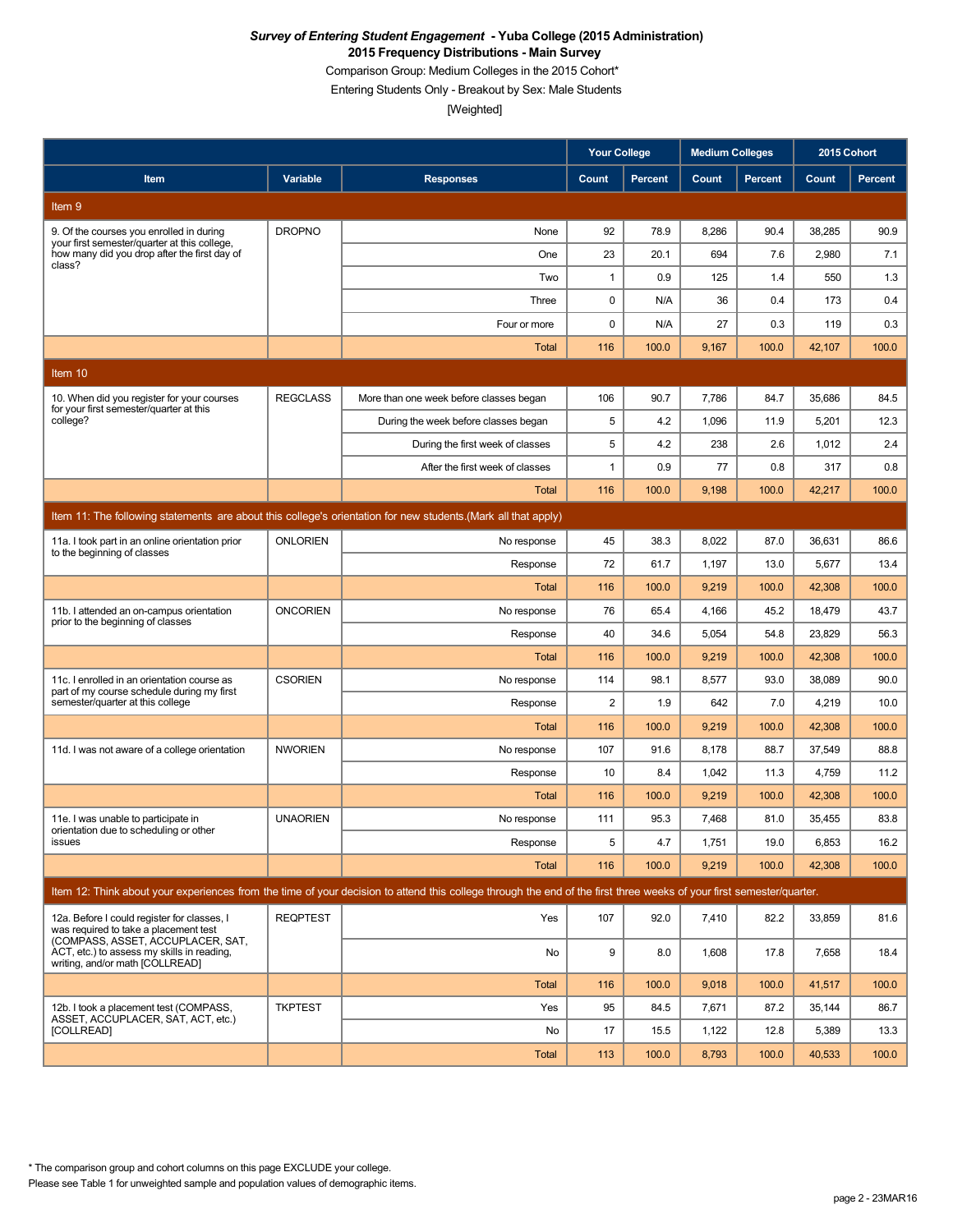Comparison Group: Medium Colleges in the 2015 Cohort\*

Entering Students Only - Breakout by Sex: Male Students

[Weighted]

|                                                                                                                           |                 |                                                                                                                                                                      | <b>Your College</b> |              | <b>Medium Colleges</b> |                | 2015 Cohort     |                |
|---------------------------------------------------------------------------------------------------------------------------|-----------------|----------------------------------------------------------------------------------------------------------------------------------------------------------------------|---------------------|--------------|------------------------|----------------|-----------------|----------------|
| Item                                                                                                                      | Variable        | <b>Responses</b>                                                                                                                                                     | Count               | Percent      | Count                  | <b>Percent</b> | Count           | <b>Percent</b> |
| Item 9                                                                                                                    |                 |                                                                                                                                                                      |                     |              |                        |                |                 |                |
| 9. Of the courses you enrolled in during                                                                                  | <b>DROPNO</b>   | None                                                                                                                                                                 | 92                  | 78.9         | 8,286                  | 90.4           | 38,285          | 90.9           |
| your first semester/quarter at this college,<br>how many did you drop after the first day of<br>class?                    |                 | One                                                                                                                                                                  | 23                  | 20.1         | 694                    | 7.6            | 2,980           | 7.1            |
|                                                                                                                           |                 | Two                                                                                                                                                                  | $\mathbf{1}$        | 0.9          | 125                    | 1.4            | 550             | 1.3            |
|                                                                                                                           |                 | Three                                                                                                                                                                | 0                   | N/A          | 36                     | 0.4            | 173             | 0.4            |
|                                                                                                                           |                 | Four or more                                                                                                                                                         | 0                   | N/A          | 27                     | 0.3            | 119             | 0.3            |
|                                                                                                                           |                 | <b>Total</b>                                                                                                                                                         | 116                 | 100.0        | 9,167                  | 100.0          | 42,107          | 100.0          |
| Item 10                                                                                                                   |                 |                                                                                                                                                                      |                     |              |                        |                |                 |                |
| 10. When did you register for your courses<br>for your first semester/quarter at this                                     | <b>REGCLASS</b> | More than one week before classes began                                                                                                                              | 106                 | 90.7         | 7,786                  | 84.7           | 35,686          | 84.5           |
| college?                                                                                                                  |                 | During the week before classes began                                                                                                                                 | 5                   | 4.2          | 1,096                  | 11.9           | 5,201           | 12.3           |
|                                                                                                                           |                 | During the first week of classes                                                                                                                                     | 5                   | 4.2          | 238                    | 2.6            | 1,012           | 2.4            |
|                                                                                                                           |                 | After the first week of classes                                                                                                                                      | 1                   | 0.9          | 77                     | 0.8            | 317             | 0.8            |
|                                                                                                                           |                 | Total                                                                                                                                                                | 116                 | 100.0        | 9.198                  | 100.0          | 42,217          | 100.0          |
|                                                                                                                           |                 | Item 11: The following statements are about this college's orientation for new students. (Mark all that apply)                                                       |                     |              |                        |                |                 |                |
| 11a. I took part in an online orientation prior<br>to the beginning of classes                                            | <b>ONLORIEN</b> | No response                                                                                                                                                          | 45                  | 38.3         | 8,022                  | 87.0           | 36,631          | 86.6           |
|                                                                                                                           |                 | Response                                                                                                                                                             | 72                  | 61.7         | 1,197                  | 13.0           | 5,677           | 13.4           |
|                                                                                                                           |                 | <b>Total</b>                                                                                                                                                         | 116                 | 100.0        | 9,219                  | 100.0          | 42,308          | 100.0          |
| 11b. I attended an on-campus orientation<br>prior to the beginning of classes                                             | <b>ONCORIEN</b> | No response                                                                                                                                                          | 76                  | 65.4         | 4,166                  | 45.2           | 18,479          | 43.7           |
|                                                                                                                           |                 | Response                                                                                                                                                             | 40                  | 34.6         | 5,054                  | 54.8           | 23,829          | 56.3           |
|                                                                                                                           |                 | <b>Total</b>                                                                                                                                                         | 116                 | 100.0        | 9,219                  | 100.0          | 42,308          | 100.0          |
| 11c. I enrolled in an orientation course as<br>part of my course schedule during my first                                 | <b>CSORIEN</b>  | No response                                                                                                                                                          | 114                 | 98.1         | 8,577                  | 93.0           | 38,089          | 90.0           |
| semester/quarter at this college                                                                                          |                 | Response                                                                                                                                                             | $\overline{c}$      | 1.9          | 642                    | 7.0            | 4,219           | 10.0           |
|                                                                                                                           |                 | Total                                                                                                                                                                | 116                 | 100.0        | 9,219                  | 100.0          | 42,308          | 100.0          |
| 11d. I was not aware of a college orientation                                                                             | <b>NWORIEN</b>  | No response                                                                                                                                                          | 107                 | 91.6         | 8,178                  | 88.7           | 37,549          | 88.8           |
|                                                                                                                           |                 | Response                                                                                                                                                             | 10                  | 8.4          | 1,042                  | 11.3           | 4,759           | 11.2           |
|                                                                                                                           |                 | <b>Total</b>                                                                                                                                                         | 116                 | 100.0        | 9,219                  | 100.0          | 42,308          | 100.0          |
| 11e. I was unable to participate in<br>orientation due to scheduling or other                                             | <b>UNAORIEN</b> | No response                                                                                                                                                          | 111                 | 95.3         | 7,468                  | 81.0           | 35,455          | 83.8           |
| issues                                                                                                                    |                 | Response<br><b>Total</b>                                                                                                                                             | 5<br>116            | 4.7<br>100.0 | 1,751<br>9,219         | 19.0<br>100.0  | 6,853<br>42,308 | 16.2<br>100.0  |
|                                                                                                                           |                 |                                                                                                                                                                      |                     |              |                        |                |                 |                |
|                                                                                                                           |                 | Item 12: Think about your experiences from the time of your decision to attend this college through the end of the first three weeks of your first semester/quarter. |                     |              |                        |                |                 |                |
| 12a. Before I could register for classes, I<br>was required to take a placement test<br>(COMPASS, ASSET, ACCUPLACER, SAT, | <b>REQPTEST</b> | Yes                                                                                                                                                                  | 107                 | 92.0         | 7,410                  | 82.2           | 33,859          | 81.6           |
| ACT, etc.) to assess my skills in reading.<br>writing, and/or math [COLLREAD]                                             |                 | No                                                                                                                                                                   | 9                   | 8.0          | 1,608                  | 17.8           | 7,658           | 18.4           |
|                                                                                                                           |                 | <b>Total</b>                                                                                                                                                         | 116                 | 100.0        | 9,018                  | 100.0          | 41,517          | 100.0          |
| 12b. I took a placement test (COMPASS,<br>ASSET, ACCUPLACER, SAT, ACT, etc.)                                              | <b>TKPTEST</b>  | Yes                                                                                                                                                                  | 95                  | 84.5         | 7,671                  | 87.2           | 35,144          | 86.7           |
| [COLLREAD]                                                                                                                |                 | No                                                                                                                                                                   | 17                  | 15.5         | 1,122                  | 12.8           | 5,389           | 13.3           |
|                                                                                                                           |                 | <b>Total</b>                                                                                                                                                         | 113                 | 100.0        | 8,793                  | 100.0          | 40,533          | 100.0          |

\* The comparison group and cohort columns on this page EXCLUDE your college.

Please see Table 1 for unweighted sample and population values of demographic items.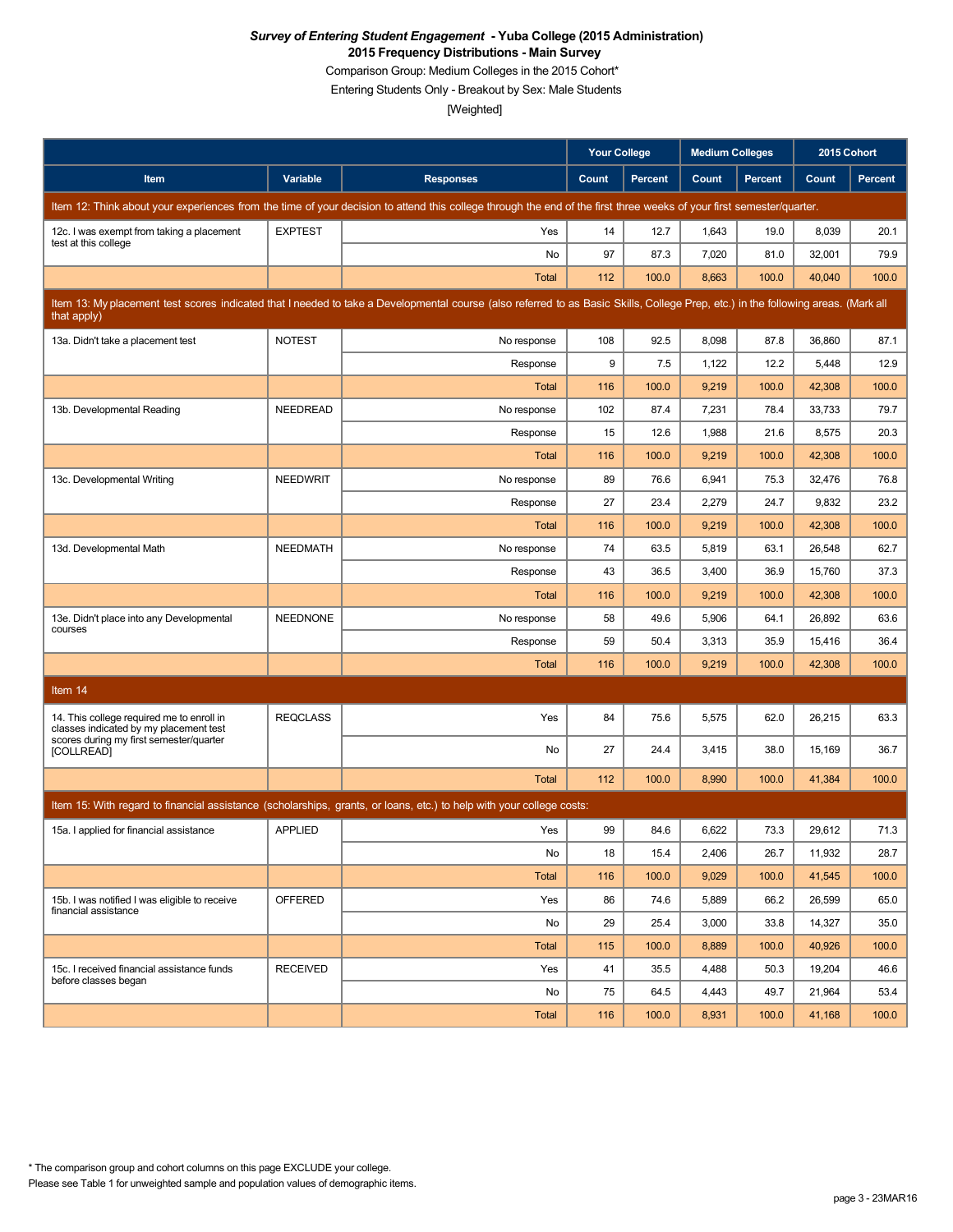Comparison Group: Medium Colleges in the 2015 Cohort\*

Entering Students Only - Breakout by Sex: Male Students

|                                                                                     |                 |                                                                                                                                                                                   | Your College |                | <b>Medium Colleges</b> |                | 2015 Cohort |                |
|-------------------------------------------------------------------------------------|-----------------|-----------------------------------------------------------------------------------------------------------------------------------------------------------------------------------|--------------|----------------|------------------------|----------------|-------------|----------------|
| Item                                                                                | Variable        | <b>Responses</b>                                                                                                                                                                  | Count        | <b>Percent</b> | Count                  | <b>Percent</b> | Count       | <b>Percent</b> |
|                                                                                     |                 | Item 12: Think about your experiences from the time of your decision to attend this college through the end of the first three weeks of your first semester/quarter.              |              |                |                        |                |             |                |
| 12c. I was exempt from taking a placement<br>test at this college                   | <b>EXPTEST</b>  | Yes                                                                                                                                                                               | 14           | 12.7           | 1,643                  | 19.0           | 8,039       | 20.1           |
|                                                                                     |                 | <b>No</b>                                                                                                                                                                         | 97           | 87.3           | 7,020                  | 81.0           | 32,001      | 79.9           |
|                                                                                     |                 | <b>Total</b>                                                                                                                                                                      | 112          | 100.0          | 8,663                  | 100.0          | 40,040      | 100.0          |
| that apply)                                                                         |                 | Item 13: My placement test scores indicated that I needed to take a Developmental course (also referred to as Basic Skills, College Prep, etc.) in the following areas. (Mark all |              |                |                        |                |             |                |
| 13a. Didn't take a placement test                                                   | <b>NOTEST</b>   | No response                                                                                                                                                                       | 108          | 92.5           | 8,098                  | 87.8           | 36,860      | 87.1           |
|                                                                                     |                 | Response                                                                                                                                                                          | 9            | 7.5            | 1,122                  | 12.2           | 5,448       | 12.9           |
|                                                                                     |                 | Total                                                                                                                                                                             | 116          | 100.0          | 9,219                  | 100.0          | 42,308      | 100.0          |
| 13b. Developmental Reading                                                          | <b>NEEDREAD</b> | No response                                                                                                                                                                       | 102          | 87.4           | 7,231                  | 78.4           | 33,733      | 79.7           |
|                                                                                     |                 | Response                                                                                                                                                                          | 15           | 12.6           | 1,988                  | 21.6           | 8,575       | 20.3           |
|                                                                                     |                 | <b>Total</b>                                                                                                                                                                      | 116          | 100.0          | 9,219                  | 100.0          | 42,308      | 100.0          |
| 13c. Developmental Writing                                                          | <b>NEEDWRIT</b> | No response                                                                                                                                                                       | 89           | 76.6           | 6,941                  | 75.3           | 32,476      | 76.8           |
|                                                                                     |                 | Response                                                                                                                                                                          | 27           | 23.4           | 2,279                  | 24.7           | 9,832       | 23.2           |
|                                                                                     |                 | Total                                                                                                                                                                             | 116          | 100.0          | 9,219                  | 100.0          | 42,308      | 100.0          |
| 13d. Developmental Math                                                             | <b>NEEDMATH</b> | No response                                                                                                                                                                       | 74           | 63.5           | 5,819                  | 63.1           | 26,548      | 62.7           |
|                                                                                     |                 | Response                                                                                                                                                                          | 43           | 36.5           | 3,400                  | 36.9           | 15,760      | 37.3           |
|                                                                                     |                 | Total                                                                                                                                                                             | 116          | 100.0          | 9,219                  | 100.0          | 42,308      | 100.0          |
| 13e. Didn't place into any Developmental<br>courses                                 | <b>NEEDNONE</b> | No response                                                                                                                                                                       | 58           | 49.6           | 5,906                  | 64.1           | 26,892      | 63.6           |
|                                                                                     |                 | Response                                                                                                                                                                          | 59           | 50.4           | 3,313                  | 35.9           | 15,416      | 36.4           |
|                                                                                     |                 | <b>Total</b>                                                                                                                                                                      | 116          | 100.0          | 9,219                  | 100.0          | 42,308      | 100.0          |
| Item 14                                                                             |                 |                                                                                                                                                                                   |              |                |                        |                |             |                |
| 14. This college required me to enroll in<br>classes indicated by my placement test | <b>REQCLASS</b> | Yes                                                                                                                                                                               | 84           | 75.6           | 5,575                  | 62.0           | 26,215      | 63.3           |
| scores during my first semester/quarter<br>[COLLREAD]                               |                 | No                                                                                                                                                                                | 27           | 24.4           | 3,415                  | 38.0           | 15,169      | 36.7           |
|                                                                                     |                 | Total                                                                                                                                                                             | 112          | 100.0          | 8,990                  | 100.0          | 41,384      | 100.0          |
|                                                                                     |                 | Item 15: With regard to financial assistance (scholarships, grants, or loans, etc.) to help with your college costs:                                                              |              |                |                        |                |             |                |
| 15a. I applied for financial assistance                                             | <b>APPLIED</b>  | Yes                                                                                                                                                                               | 99           | 84.6           | 6,622                  | 73.3           | 29,612      | 71.3           |
|                                                                                     |                 | No                                                                                                                                                                                | 18           | 15.4           | 2,406                  | 26.7           | 11,932      | 28.7           |
|                                                                                     |                 | Total                                                                                                                                                                             | 116          | 100.0          | 9,029                  | 100.0          | 41,545      | 100.0          |
| 15b. I was notified I was eligible to receive                                       | OFFERED         | Yes                                                                                                                                                                               | 86           | 74.6           | 5,889                  | 66.2           | 26,599      | 65.0           |
| financial assistance                                                                |                 | No                                                                                                                                                                                | 29           | 25.4           | 3,000                  | 33.8           | 14,327      | 35.0           |
|                                                                                     |                 | Total                                                                                                                                                                             | 115          | 100.0          | 8,889                  | 100.0          | 40,926      | 100.0          |
| 15c. I received financial assistance funds                                          | <b>RECEIVED</b> | Yes                                                                                                                                                                               | 41           | 35.5           | 4,488                  | 50.3           | 19,204      | 46.6           |
| before classes began                                                                |                 | No                                                                                                                                                                                | 75           | 64.5           | 4,443                  | 49.7           | 21,964      | 53.4           |
|                                                                                     |                 | Total                                                                                                                                                                             | 116          | 100.0          | 8,931                  | 100.0          | 41,168      | 100.0          |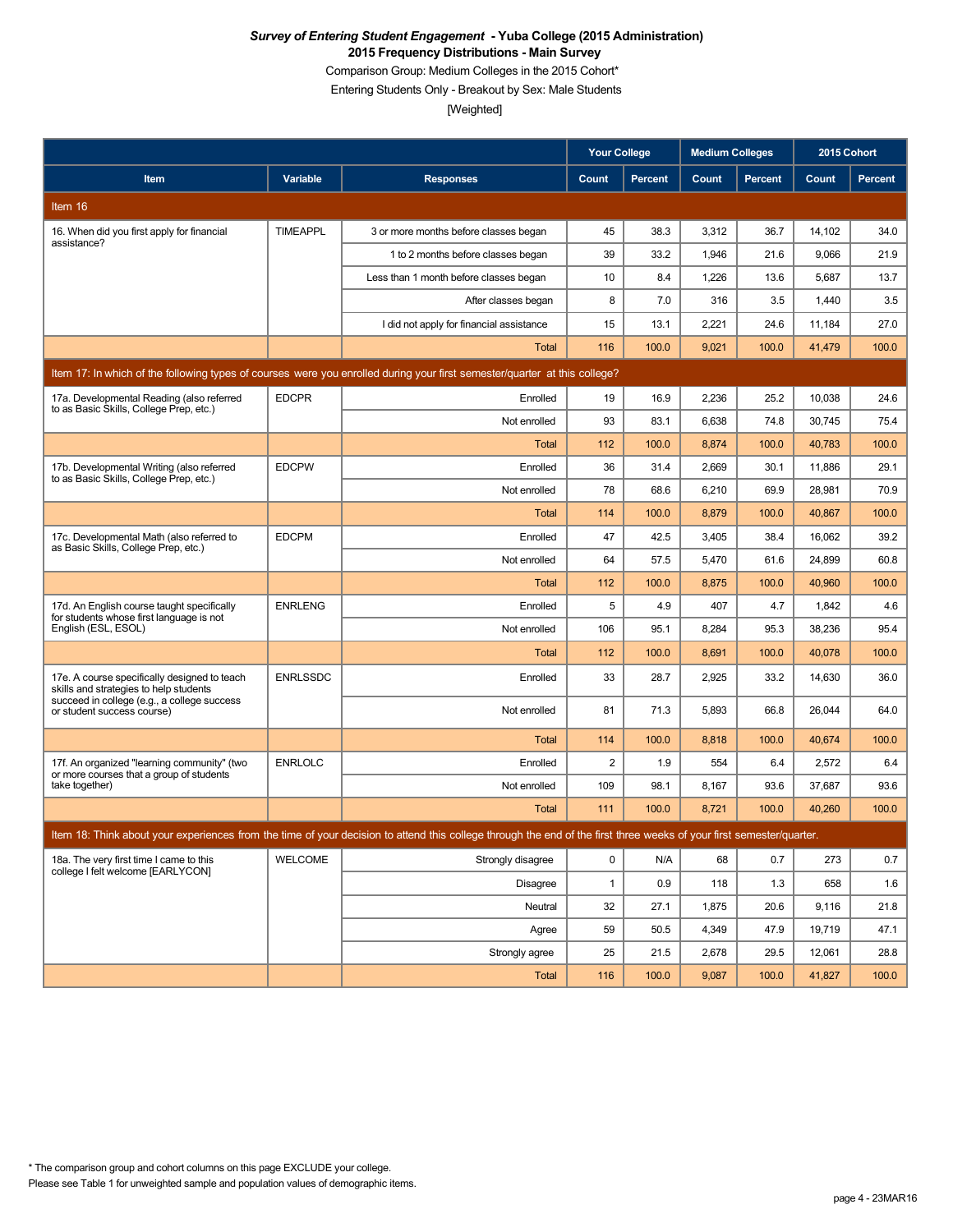Comparison Group: Medium Colleges in the 2015 Cohort\*

Entering Students Only - Breakout by Sex: Male Students

|                                                                                                                           |                 |                                                                                                                                                                      | <b>Your College</b> |                | <b>Medium Colleges</b> |                | 2015 Cohort |                |  |
|---------------------------------------------------------------------------------------------------------------------------|-----------------|----------------------------------------------------------------------------------------------------------------------------------------------------------------------|---------------------|----------------|------------------------|----------------|-------------|----------------|--|
| Item                                                                                                                      | Variable        | <b>Responses</b>                                                                                                                                                     | Count               | <b>Percent</b> | Count                  | <b>Percent</b> | Count       | <b>Percent</b> |  |
| Item 16                                                                                                                   |                 |                                                                                                                                                                      |                     |                |                        |                |             |                |  |
| 16. When did you first apply for financial                                                                                | <b>TIMEAPPL</b> | 3 or more months before classes began                                                                                                                                | 45                  | 38.3           | 3,312                  | 36.7           | 14,102      | 34.0           |  |
| assistance?                                                                                                               |                 | 1 to 2 months before classes began                                                                                                                                   | 39                  | 33.2           | 1,946                  | 21.6           | 9,066       | 21.9           |  |
|                                                                                                                           |                 | Less than 1 month before classes began                                                                                                                               | 10                  | 8.4            | 1,226                  | 13.6           | 5,687       | 13.7           |  |
|                                                                                                                           |                 | After classes began                                                                                                                                                  | 8                   | 7.0            | 316                    | 3.5            | 1,440       | 3.5            |  |
|                                                                                                                           |                 | I did not apply for financial assistance                                                                                                                             | 15                  | 13.1           | 2,221                  | 24.6           | 11,184      | 27.0           |  |
|                                                                                                                           |                 | <b>Total</b>                                                                                                                                                         | 116                 | 100.0          | 9,021                  | 100.0          | 41,479      | 100.0          |  |
| Item 17: In which of the following types of courses were you enrolled during your first semester/quarter at this college? |                 |                                                                                                                                                                      |                     |                |                        |                |             |                |  |
| 17a. Developmental Reading (also referred<br>to as Basic Skills, College Prep, etc.)                                      | <b>EDCPR</b>    | Enrolled                                                                                                                                                             | 19                  | 16.9           | 2,236                  | 25.2           | 10,038      | 24.6           |  |
|                                                                                                                           |                 | Not enrolled                                                                                                                                                         | 93                  | 83.1           | 6,638                  | 74.8           | 30,745      | 75.4           |  |
|                                                                                                                           |                 | <b>Total</b>                                                                                                                                                         | 112                 | 100.0          | 8,874                  | 100.0          | 40,783      | 100.0          |  |
| 17b. Developmental Writing (also referred<br>to as Basic Skills, College Prep, etc.)                                      | <b>EDCPW</b>    | Enrolled                                                                                                                                                             | 36                  | 31.4           | 2,669                  | 30.1           | 11,886      | 29.1           |  |
|                                                                                                                           |                 | Not enrolled                                                                                                                                                         | 78                  | 68.6           | 6,210                  | 69.9           | 28,981      | 70.9           |  |
|                                                                                                                           |                 | <b>Total</b>                                                                                                                                                         | 114                 | 100.0          | 8,879                  | 100.0          | 40,867      | 100.0          |  |
| 17c. Developmental Math (also referred to<br>as Basic Skills, College Prep, etc.)                                         | <b>EDCPM</b>    | Enrolled                                                                                                                                                             | 47                  | 42.5           | 3,405                  | 38.4           | 16,062      | 39.2           |  |
|                                                                                                                           |                 | Not enrolled                                                                                                                                                         | 64                  | 57.5           | 5,470                  | 61.6           | 24,899      | 60.8           |  |
|                                                                                                                           |                 | Total                                                                                                                                                                | 112                 | 100.0          | 8,875                  | 100.0          | 40,960      | 100.0          |  |
| 17d. An English course taught specifically<br>for students whose first language is not                                    | <b>ENRLENG</b>  | Enrolled                                                                                                                                                             | 5                   | 4.9            | 407                    | 4.7            | 1,842       | 4.6            |  |
| English (ESL, ESOL)                                                                                                       |                 | Not enrolled                                                                                                                                                         | 106                 | 95.1           | 8,284                  | 95.3           | 38,236      | 95.4           |  |
|                                                                                                                           |                 | <b>Total</b>                                                                                                                                                         | 112                 | 100.0          | 8,691                  | 100.0          | 40,078      | 100.0          |  |
| 17e. A course specifically designed to teach<br>skills and strategies to help students                                    | <b>ENRLSSDC</b> | Enrolled                                                                                                                                                             | 33                  | 28.7           | 2,925                  | 33.2           | 14,630      | 36.0           |  |
| succeed in college (e.g., a college success<br>or student success course)                                                 |                 | Not enrolled                                                                                                                                                         | 81                  | 71.3           | 5,893                  | 66.8           | 26,044      | 64.0           |  |
|                                                                                                                           |                 | <b>Total</b>                                                                                                                                                         | 114                 | 100.0          | 8,818                  | 100.0          | 40,674      | 100.0          |  |
| 17f. An organized "learning community" (two<br>or more courses that a group of students                                   | <b>ENRLOLC</b>  | Enrolled                                                                                                                                                             | 2                   | 1.9            | 554                    | 6.4            | 2,572       | 6.4            |  |
| take together)                                                                                                            |                 | Not enrolled                                                                                                                                                         | 109                 | 98.1           | 8,167                  | 93.6           | 37,687      | 93.6           |  |
|                                                                                                                           |                 | <b>Total</b>                                                                                                                                                         | 111                 | 100.0          | 8,721                  | 100.0          | 40,260      | 100.0          |  |
|                                                                                                                           |                 | Item 18: Think about your experiences from the time of your decision to attend this college through the end of the first three weeks of your first semester/quarter. |                     |                |                        |                |             |                |  |
| 18a. The very first time I came to this                                                                                   | WELCOME         | Strongly disagree                                                                                                                                                    | 0                   | N/A            | 68                     | 0.7            | 273         | 0.7            |  |
| college I felt welcome [EARLYCON]                                                                                         |                 | Disagree                                                                                                                                                             | $\mathbf{1}$        | 0.9            | 118                    | 1.3            | 658         | 1.6            |  |
|                                                                                                                           |                 | Neutral                                                                                                                                                              | 32                  | 27.1           | 1,875                  | 20.6           | 9,116       | 21.8           |  |
|                                                                                                                           |                 | Agree                                                                                                                                                                | 59                  | 50.5           | 4,349                  | 47.9           | 19,719      | 47.1           |  |
|                                                                                                                           |                 | Strongly agree                                                                                                                                                       | 25                  | 21.5           | 2,678                  | 29.5           | 12,061      | 28.8           |  |
|                                                                                                                           |                 | Total                                                                                                                                                                | 116                 | 100.0          | 9,087                  | 100.0          | 41,827      | 100.0          |  |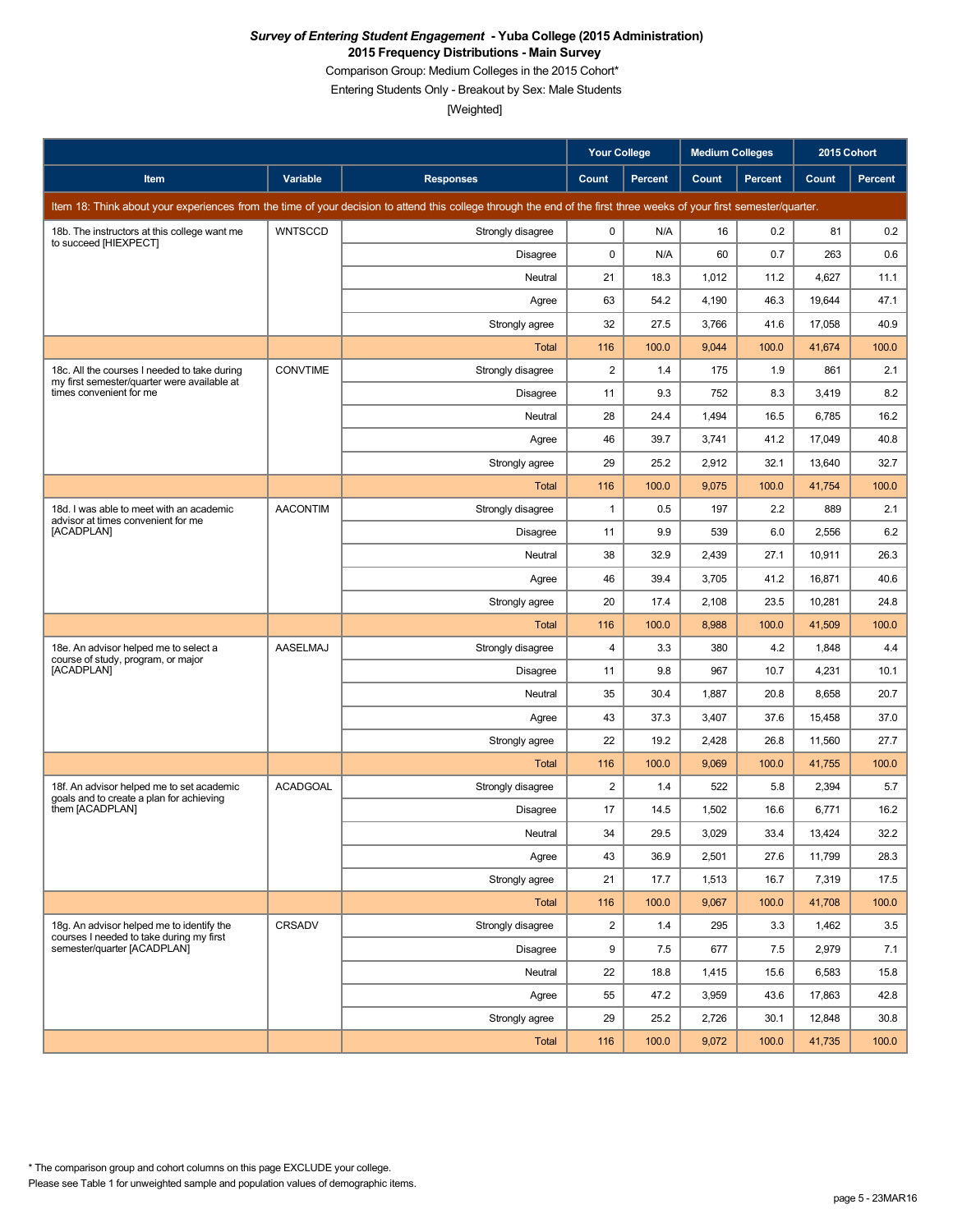Comparison Group: Medium Colleges in the 2015 Cohort\*

Entering Students Only - Breakout by Sex: Male Students

|                                                                                             |                 |                                                                                                                                                                      | <b>Your College</b> |                | <b>Medium Colleges</b> |         | 2015 Cohort |         |
|---------------------------------------------------------------------------------------------|-----------------|----------------------------------------------------------------------------------------------------------------------------------------------------------------------|---------------------|----------------|------------------------|---------|-------------|---------|
| Item                                                                                        | Variable        | <b>Responses</b>                                                                                                                                                     | Count               | <b>Percent</b> | Count                  | Percent | Count       | Percent |
|                                                                                             |                 | Item 18: Think about your experiences from the time of your decision to attend this college through the end of the first three weeks of your first semester/quarter. |                     |                |                        |         |             |         |
| 18b. The instructors at this college want me<br>to succeed [HIEXPECT]                       | <b>WNTSCCD</b>  | Strongly disagree                                                                                                                                                    | 0                   | N/A            | 16                     | 0.2     | 81          | 0.2     |
|                                                                                             |                 | Disagree                                                                                                                                                             | 0                   | N/A            | 60                     | 0.7     | 263         | 0.6     |
|                                                                                             |                 | Neutral                                                                                                                                                              | 21                  | 18.3           | 1,012                  | 11.2    | 4,627       | 11.1    |
|                                                                                             |                 | Agree                                                                                                                                                                | 63                  | 54.2           | 4,190                  | 46.3    | 19,644      | 47.1    |
|                                                                                             |                 | Strongly agree                                                                                                                                                       | 32                  | 27.5           | 3,766                  | 41.6    | 17,058      | 40.9    |
|                                                                                             |                 | <b>Total</b>                                                                                                                                                         | 116                 | 100.0          | 9,044                  | 100.0   | 41,674      | 100.0   |
| 18c. All the courses I needed to take during<br>my first semester/quarter were available at | <b>CONVTIME</b> | Strongly disagree                                                                                                                                                    | 2                   | 1.4            | 175                    | 1.9     | 861         | 2.1     |
| times convenient for me                                                                     |                 | <b>Disagree</b>                                                                                                                                                      | 11                  | 9.3            | 752                    | 8.3     | 3,419       | 8.2     |
|                                                                                             |                 | Neutral                                                                                                                                                              | 28                  | 24.4           | 1,494                  | 16.5    | 6,785       | 16.2    |
|                                                                                             |                 | Agree                                                                                                                                                                | 46                  | 39.7           | 3,741                  | 41.2    | 17,049      | 40.8    |
|                                                                                             |                 | Strongly agree                                                                                                                                                       | 29                  | 25.2           | 2,912                  | 32.1    | 13,640      | 32.7    |
|                                                                                             |                 | <b>Total</b>                                                                                                                                                         | 116                 | 100.0          | 9,075                  | 100.0   | 41,754      | 100.0   |
| 18d. I was able to meet with an academic<br>advisor at times convenient for me              | <b>AACONTIM</b> | Strongly disagree                                                                                                                                                    | $\mathbf{1}$        | 0.5            | 197                    | 2.2     | 889         | 2.1     |
| [ACADPLAN]                                                                                  |                 | <b>Disagree</b>                                                                                                                                                      | 11                  | 9.9            | 539                    | 6.0     | 2,556       | 6.2     |
|                                                                                             |                 | Neutral                                                                                                                                                              | 38                  | 32.9           | 2,439                  | 27.1    | 10,911      | 26.3    |
|                                                                                             |                 | Agree                                                                                                                                                                | 46                  | 39.4           | 3,705                  | 41.2    | 16,871      | 40.6    |
|                                                                                             |                 | Strongly agree                                                                                                                                                       | 20                  | 17.4           | 2,108                  | 23.5    | 10,281      | 24.8    |
|                                                                                             |                 | Total                                                                                                                                                                | 116                 | 100.0          | 8,988                  | 100.0   | 41,509      | 100.0   |
| 18e. An advisor helped me to select a<br>course of study, program, or major                 | AASELMAJ        | Strongly disagree                                                                                                                                                    | 4                   | 3.3            | 380                    | 4.2     | 1,848       | 4.4     |
| [ACADPLAN]                                                                                  |                 | <b>Disagree</b>                                                                                                                                                      | 11                  | 9.8            | 967                    | 10.7    | 4,231       | 10.1    |
|                                                                                             |                 | Neutral                                                                                                                                                              | 35                  | 30.4           | 1,887                  | 20.8    | 8,658       | 20.7    |
|                                                                                             |                 | Agree                                                                                                                                                                | 43                  | 37.3           | 3,407                  | 37.6    | 15,458      | 37.0    |
|                                                                                             |                 | Strongly agree                                                                                                                                                       | 22                  | 19.2           | 2,428                  | 26.8    | 11,560      | 27.7    |
|                                                                                             |                 | <b>Total</b>                                                                                                                                                         | 116                 | 100.0          | 9,069                  | 100.0   | 41,755      | 100.0   |
| 18f. An advisor helped me to set academic<br>goals and to create a plan for achieving       | <b>ACADGOAL</b> | Strongly disagree                                                                                                                                                    | 2                   | 1.4            | 522                    | 5.8     | 2,394       | 5.7     |
| them [ACADPLAN]                                                                             |                 | <b>Disagree</b>                                                                                                                                                      | 17                  | 14.5           | 1,502                  | 16.6    | 6,771       | 16.2    |
|                                                                                             |                 | Neutral                                                                                                                                                              | 34                  | 29.5           | 3,029                  | 33.4    | 13,424      | 32.2    |
|                                                                                             |                 | Agree                                                                                                                                                                | 43                  | 36.9           | 2,501                  | 27.6    | 11,799      | 28.3    |
|                                                                                             |                 | Strongly agree                                                                                                                                                       | 21                  | 17.7           | 1,513                  | 16.7    | 7,319       | 17.5    |
|                                                                                             |                 | Total                                                                                                                                                                | 116                 | 100.0          | 9,067                  | 100.0   | 41,708      | 100.0   |
| 18g. An advisor helped me to identify the<br>courses I needed to take during my first       | CRSADV          | Strongly disagree                                                                                                                                                    | 2                   | 1.4            | 295                    | 3.3     | 1,462       | 3.5     |
| semester/quarter [ACADPLAN]                                                                 |                 | Disagree                                                                                                                                                             | 9                   | 7.5            | 677                    | 7.5     | 2,979       | 7.1     |
|                                                                                             |                 | Neutral                                                                                                                                                              | 22                  | 18.8           | 1,415                  | 15.6    | 6,583       | 15.8    |
|                                                                                             |                 | Agree                                                                                                                                                                | 55                  | 47.2           | 3,959                  | 43.6    | 17,863      | 42.8    |
|                                                                                             |                 | Strongly agree                                                                                                                                                       | 29                  | 25.2           | 2,726                  | 30.1    | 12,848      | 30.8    |
|                                                                                             |                 | Total                                                                                                                                                                | 116                 | 100.0          | 9,072                  | 100.0   | 41,735      | 100.0   |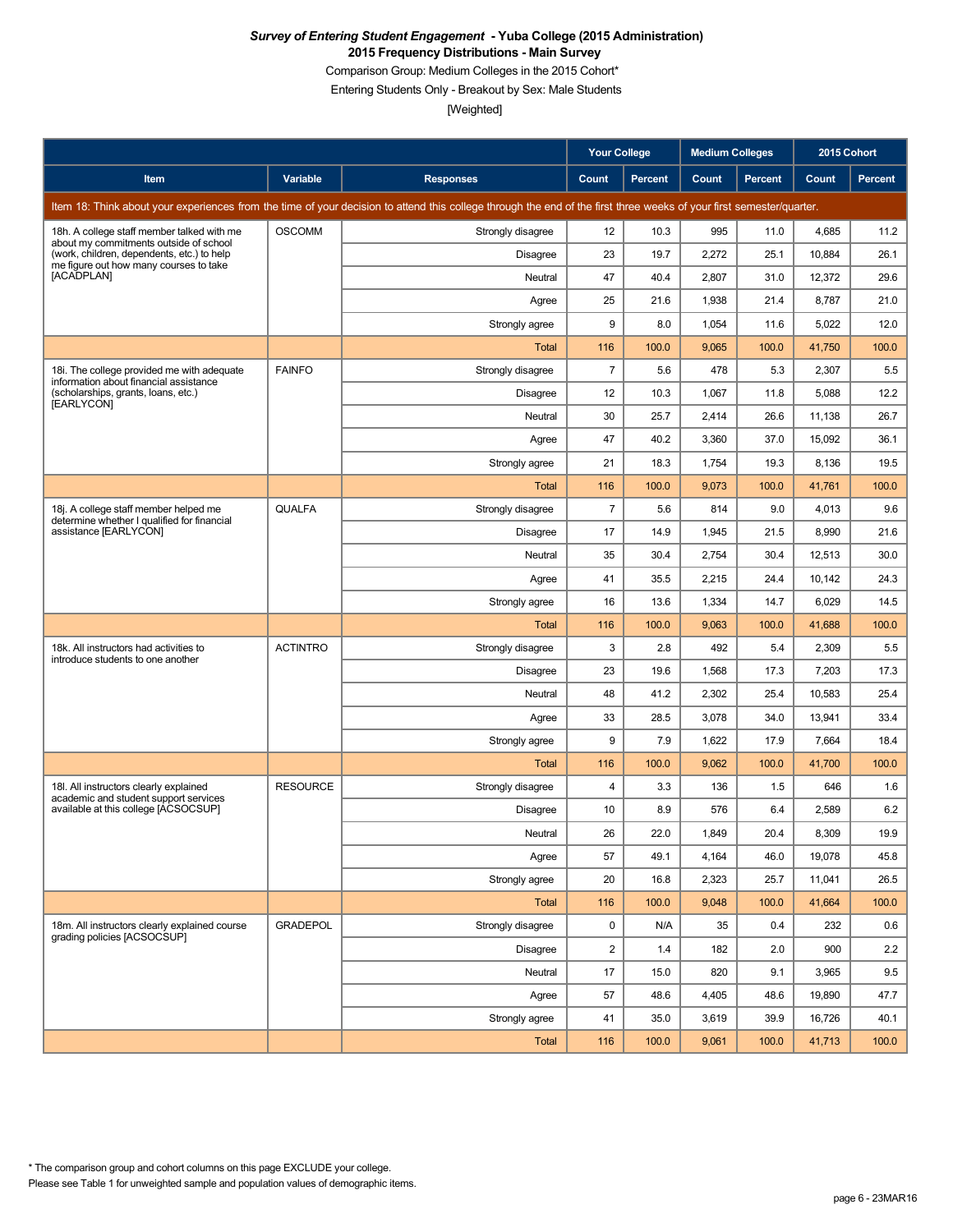Comparison Group: Medium Colleges in the 2015 Cohort\*

Entering Students Only - Breakout by Sex: Male Students

|                                                                                      |                 |                                                                                                                                                                      | <b>Your College</b>     |                | <b>Medium Colleges</b> |         | 2015 Cohort |         |
|--------------------------------------------------------------------------------------|-----------------|----------------------------------------------------------------------------------------------------------------------------------------------------------------------|-------------------------|----------------|------------------------|---------|-------------|---------|
| Item                                                                                 | Variable        | <b>Responses</b>                                                                                                                                                     | Count                   | <b>Percent</b> | Count                  | Percent | Count       | Percent |
|                                                                                      |                 | Item 18: Think about your experiences from the time of your decision to attend this college through the end of the first three weeks of your first semester/quarter. |                         |                |                        |         |             |         |
| 18h. A college staff member talked with me<br>about my commitments outside of school | <b>OSCOMM</b>   | Strongly disagree                                                                                                                                                    | 12                      | 10.3           | 995                    | 11.0    | 4,685       | 11.2    |
| (work, children, dependents, etc.) to help<br>me figure out how many courses to take |                 | Disagree                                                                                                                                                             | 23                      | 19.7           | 2,272                  | 25.1    | 10,884      | 26.1    |
| [ACADPLAN]                                                                           |                 | Neutral                                                                                                                                                              | 47                      | 40.4           | 2,807                  | 31.0    | 12,372      | 29.6    |
|                                                                                      |                 | Agree                                                                                                                                                                | 25                      | 21.6           | 1,938                  | 21.4    | 8,787       | 21.0    |
|                                                                                      |                 | Strongly agree                                                                                                                                                       | 9                       | 8.0            | 1,054                  | 11.6    | 5,022       | 12.0    |
|                                                                                      |                 | Total                                                                                                                                                                | 116                     | 100.0          | 9,065                  | 100.0   | 41,750      | 100.0   |
| 18i. The college provided me with adequate<br>information about financial assistance | <b>FAINFO</b>   | Strongly disagree                                                                                                                                                    | $\overline{7}$          | 5.6            | 478                    | 5.3     | 2,307       | 5.5     |
| (scholarships, grants, loans, etc.)<br>[EARLYCON]                                    |                 | Disagree                                                                                                                                                             | 12                      | 10.3           | 1,067                  | 11.8    | 5,088       | 12.2    |
|                                                                                      |                 | Neutral                                                                                                                                                              | 30                      | 25.7           | 2,414                  | 26.6    | 11,138      | 26.7    |
|                                                                                      |                 | Agree                                                                                                                                                                | 47                      | 40.2           | 3,360                  | 37.0    | 15,092      | 36.1    |
|                                                                                      |                 | Strongly agree                                                                                                                                                       | 21                      | 18.3           | 1,754                  | 19.3    | 8,136       | 19.5    |
|                                                                                      |                 | Total                                                                                                                                                                | 116                     | 100.0          | 9,073                  | 100.0   | 41,761      | 100.0   |
| 18j. A college staff member helped me<br>determine whether I qualified for financial | QUALFA          | Strongly disagree                                                                                                                                                    | $\overline{7}$          | 5.6            | 814                    | 9.0     | 4,013       | 9.6     |
| assistance [EARLYCON]                                                                |                 | <b>Disagree</b>                                                                                                                                                      | 17                      | 14.9           | 1,945                  | 21.5    | 8,990       | 21.6    |
|                                                                                      |                 | Neutral                                                                                                                                                              | 35                      | 30.4           | 2,754                  | 30.4    | 12,513      | 30.0    |
|                                                                                      |                 | Agree                                                                                                                                                                | 41                      | 35.5           | 2,215                  | 24.4    | 10,142      | 24.3    |
|                                                                                      |                 | Strongly agree                                                                                                                                                       | 16                      | 13.6           | 1,334                  | 14.7    | 6,029       | 14.5    |
|                                                                                      |                 | <b>Total</b>                                                                                                                                                         | 116                     | 100.0          | 9,063                  | 100.0   | 41,688      | 100.0   |
| 18k. All instructors had activities to<br>introduce students to one another          | <b>ACTINTRO</b> | Strongly disagree                                                                                                                                                    | 3                       | 2.8            | 492                    | 5.4     | 2,309       | 5.5     |
|                                                                                      |                 | Disagree                                                                                                                                                             | 23                      | 19.6           | 1,568                  | 17.3    | 7,203       | 17.3    |
|                                                                                      |                 | Neutral                                                                                                                                                              | 48                      | 41.2           | 2,302                  | 25.4    | 10,583      | 25.4    |
|                                                                                      |                 | Agree                                                                                                                                                                | 33                      | 28.5           | 3,078                  | 34.0    | 13,941      | 33.4    |
|                                                                                      |                 | Strongly agree                                                                                                                                                       | 9                       | 7.9            | 1,622                  | 17.9    | 7,664       | 18.4    |
|                                                                                      |                 | Total                                                                                                                                                                | 116                     | 100.0          | 9,062                  | 100.0   | 41,700      | 100.0   |
| 18I. All instructors clearly explained<br>academic and student support services      | <b>RESOURCE</b> | Strongly disagree                                                                                                                                                    | 4                       | 3.3            | 136                    | 1.5     | 646         | 1.6     |
| available at this college [ACSOCSUP]                                                 |                 | Disagree                                                                                                                                                             | 10                      | 8.9            | 576                    | 6.4     | 2,589       | 6.2     |
|                                                                                      |                 | Neutral                                                                                                                                                              | 26                      | 22.0           | 1,849                  | 20.4    | 8,309       | 19.9    |
|                                                                                      |                 | Agree                                                                                                                                                                | 57                      | 49.1           | 4,164                  | 46.0    | 19,078      | 45.8    |
|                                                                                      |                 | Strongly agree                                                                                                                                                       | 20                      | 16.8           | 2,323                  | 25.7    | 11,041      | 26.5    |
|                                                                                      |                 | Total                                                                                                                                                                | 116                     | 100.0          | 9,048                  | 100.0   | 41,664      | 100.0   |
| 18m. All instructors clearly explained course<br>grading policies [ACSOCSUP]         | <b>GRADEPOL</b> | Strongly disagree                                                                                                                                                    | 0                       | N/A            | 35                     | 0.4     | 232         | 0.6     |
|                                                                                      |                 | Disagree                                                                                                                                                             | $\overline{\mathbf{c}}$ | 1.4            | 182                    | 2.0     | 900         | 2.2     |
|                                                                                      |                 | Neutral                                                                                                                                                              | 17                      | 15.0           | 820                    | 9.1     | 3,965       | 9.5     |
|                                                                                      |                 | Agree                                                                                                                                                                | 57                      | 48.6           | 4,405                  | 48.6    | 19,890      | 47.7    |
|                                                                                      |                 | Strongly agree                                                                                                                                                       | 41                      | 35.0           | 3,619                  | 39.9    | 16,726      | 40.1    |
|                                                                                      |                 | Total                                                                                                                                                                | 116                     | 100.0          | 9,061                  | 100.0   | 41,713      | 100.0   |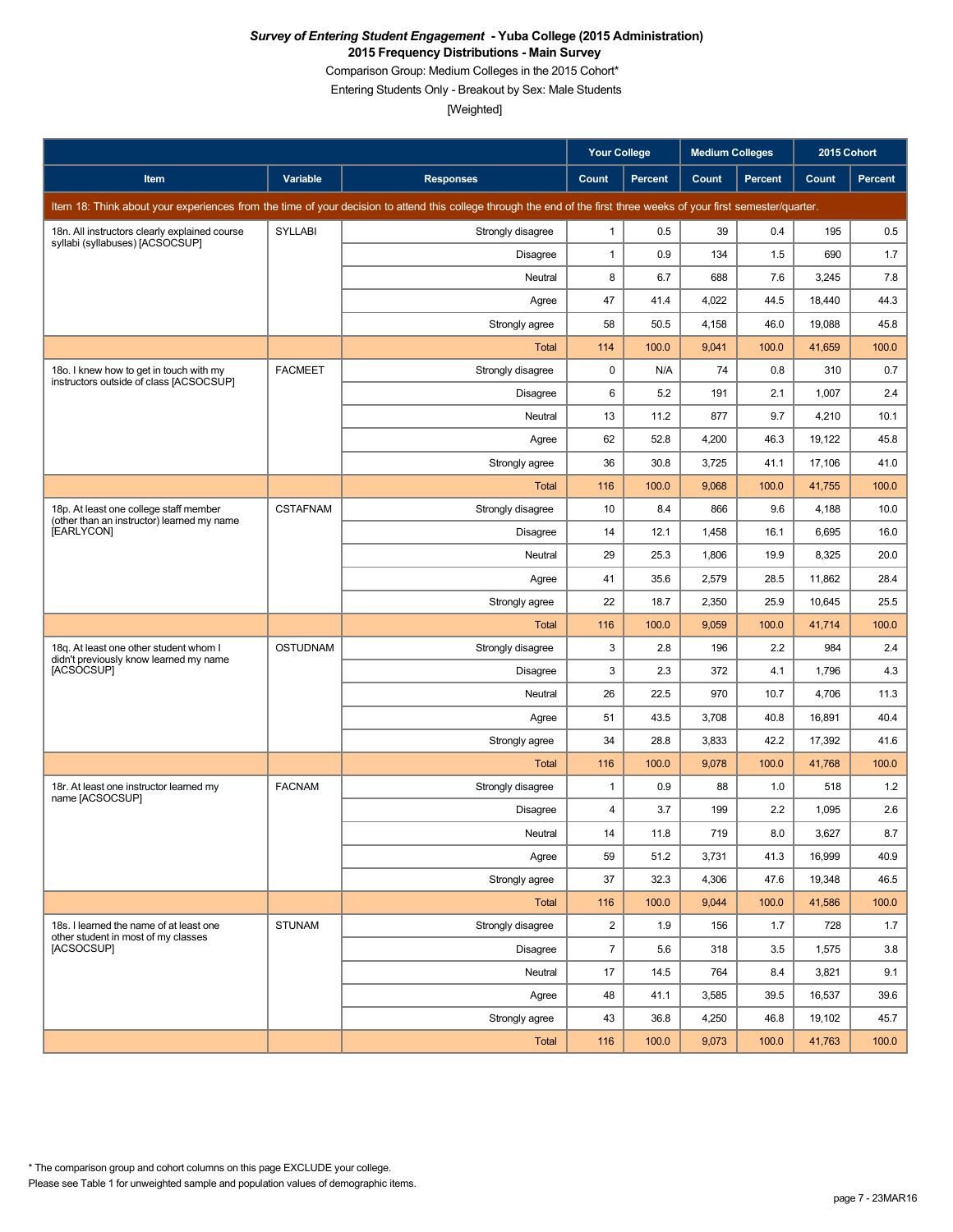Comparison Group: Medium Colleges in the 2015 Cohort\*

Entering Students Only - Breakout by Sex: Male Students

|                                                                                      |                 |                                                                                                                                                                      | <b>Your College</b> |                | <b>Medium Colleges</b> |         | 2015 Cohort |         |
|--------------------------------------------------------------------------------------|-----------------|----------------------------------------------------------------------------------------------------------------------------------------------------------------------|---------------------|----------------|------------------------|---------|-------------|---------|
| Item                                                                                 | Variable        | <b>Responses</b>                                                                                                                                                     | Count               | <b>Percent</b> | Count                  | Percent | Count       | Percent |
|                                                                                      |                 | Item 18: Think about your experiences from the time of your decision to attend this college through the end of the first three weeks of your first semester/quarter. |                     |                |                        |         |             |         |
| 18n. All instructors clearly explained course<br>syllabi (syllabuses) [ACSOCSUP]     | <b>SYLLABI</b>  | Strongly disagree                                                                                                                                                    | 1                   | 0.5            | 39                     | 0.4     | 195         | 0.5     |
|                                                                                      |                 | Disagree                                                                                                                                                             | 1                   | 0.9            | 134                    | 1.5     | 690         | 1.7     |
|                                                                                      |                 | Neutral                                                                                                                                                              | 8                   | 6.7            | 688                    | 7.6     | 3,245       | 7.8     |
|                                                                                      |                 | Agree                                                                                                                                                                | 47                  | 41.4           | 4,022                  | 44.5    | 18,440      | 44.3    |
|                                                                                      |                 | Strongly agree                                                                                                                                                       | 58                  | 50.5           | 4,158                  | 46.0    | 19,088      | 45.8    |
|                                                                                      |                 | <b>Total</b>                                                                                                                                                         | 114                 | 100.0          | 9,041                  | 100.0   | 41,659      | 100.0   |
| 18o. I knew how to get in touch with my<br>instructors outside of class [ACSOCSUP]   | <b>FACMEET</b>  | Strongly disagree                                                                                                                                                    | 0                   | N/A            | 74                     | 0.8     | 310         | 0.7     |
|                                                                                      |                 | <b>Disagree</b>                                                                                                                                                      | 6                   | 5.2            | 191                    | 2.1     | 1,007       | 2.4     |
|                                                                                      |                 | Neutral                                                                                                                                                              | 13                  | 11.2           | 877                    | 9.7     | 4,210       | 10.1    |
|                                                                                      |                 | Agree                                                                                                                                                                | 62                  | 52.8           | 4,200                  | 46.3    | 19,122      | 45.8    |
|                                                                                      |                 | Strongly agree                                                                                                                                                       | 36                  | 30.8           | 3,725                  | 41.1    | 17,106      | 41.0    |
|                                                                                      |                 | <b>Total</b>                                                                                                                                                         | 116                 | 100.0          | 9,068                  | 100.0   | 41,755      | 100.0   |
| 18p. At least one college staff member<br>(other than an instructor) learned my name | <b>CSTAFNAM</b> | Strongly disagree                                                                                                                                                    | 10                  | 8.4            | 866                    | 9.6     | 4,188       | 10.0    |
| [EARLYCON]                                                                           |                 | <b>Disagree</b>                                                                                                                                                      | 14                  | 12.1           | 1,458                  | 16.1    | 6,695       | 16.0    |
|                                                                                      |                 | Neutral                                                                                                                                                              | 29                  | 25.3           | 1,806                  | 19.9    | 8,325       | 20.0    |
|                                                                                      |                 | Agree                                                                                                                                                                | 41                  | 35.6           | 2,579                  | 28.5    | 11,862      | 28.4    |
|                                                                                      |                 | Strongly agree                                                                                                                                                       | 22                  | 18.7           | 2,350                  | 25.9    | 10,645      | 25.5    |
|                                                                                      |                 | Total                                                                                                                                                                | 116                 | 100.0          | 9,059                  | 100.0   | 41,714      | 100.0   |
| 18g. At least one other student whom I<br>didn't previously know learned my name     | <b>OSTUDNAM</b> | Strongly disagree                                                                                                                                                    | 3                   | 2.8            | 196                    | 2.2     | 984         | 2.4     |
| [ACSOCSUP]                                                                           |                 | <b>Disagree</b>                                                                                                                                                      | 3                   | 2.3            | 372                    | 4.1     | 1,796       | 4.3     |
|                                                                                      |                 | Neutral                                                                                                                                                              | 26                  | 22.5           | 970                    | 10.7    | 4,706       | 11.3    |
|                                                                                      |                 | Agree                                                                                                                                                                | 51                  | 43.5           | 3,708                  | 40.8    | 16,891      | 40.4    |
|                                                                                      |                 | Strongly agree                                                                                                                                                       | 34                  | 28.8           | 3,833                  | 42.2    | 17,392      | 41.6    |
|                                                                                      |                 | <b>Total</b>                                                                                                                                                         | 116                 | 100.0          | 9,078                  | 100.0   | 41,768      | 100.0   |
| 18r. At least one instructor learned my<br>name [ACSOCSUP]                           | <b>FACNAM</b>   | Strongly disagree                                                                                                                                                    | 1                   | 0.9            | 88                     | 1.0     | 518         | 1.2     |
|                                                                                      |                 | <b>Disagree</b>                                                                                                                                                      | 4                   | 3.7            | 199                    | 2.2     | 1,095       | 2.6     |
|                                                                                      |                 | Neutral                                                                                                                                                              | 14                  | 11.8           | 719                    | $8.0\,$ | 3,627       | $8.7\,$ |
|                                                                                      |                 | Agree                                                                                                                                                                | 59                  | 51.2           | 3,731                  | 41.3    | 16,999      | 40.9    |
|                                                                                      |                 | Strongly agree                                                                                                                                                       | 37                  | 32.3           | 4,306                  | 47.6    | 19,348      | 46.5    |
|                                                                                      |                 | Total                                                                                                                                                                | 116                 | 100.0          | 9,044                  | 100.0   | 41,586      | 100.0   |
| 18s. I learned the name of at least one<br>other student in most of my classes       | <b>STUNAM</b>   | Strongly disagree                                                                                                                                                    | $\overline{a}$      | 1.9            | 156                    | 1.7     | 728         | 1.7     |
| [ACSOCSUP]                                                                           |                 | Disagree                                                                                                                                                             | $\overline{7}$      | 5.6            | 318                    | 3.5     | 1,575       | 3.8     |
|                                                                                      |                 | Neutral                                                                                                                                                              | 17                  | 14.5           | 764                    | 8.4     | 3,821       | 9.1     |
|                                                                                      |                 | Agree                                                                                                                                                                | 48                  | 41.1           | 3,585                  | 39.5    | 16,537      | 39.6    |
|                                                                                      |                 | Strongly agree                                                                                                                                                       | 43                  | 36.8           | 4,250                  | 46.8    | 19,102      | 45.7    |
|                                                                                      |                 | Total                                                                                                                                                                | 116                 | 100.0          | 9,073                  | 100.0   | 41,763      | 100.0   |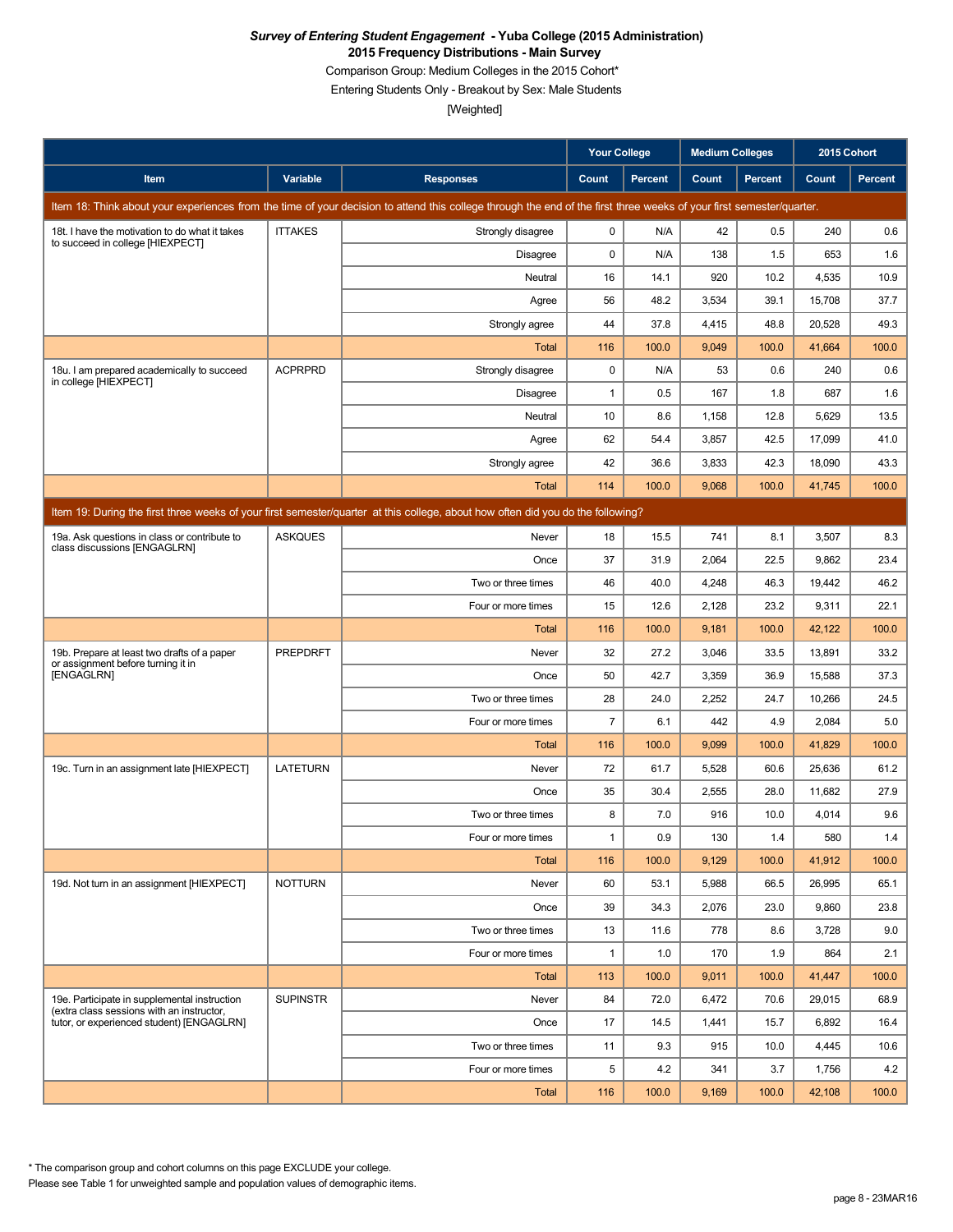Comparison Group: Medium Colleges in the 2015 Cohort\*

Entering Students Only - Breakout by Sex: Male Students

[Weighted]

|                                                                                           |                 |                                                                                                                                                                      | <b>Your College</b> |                | <b>Medium Colleges</b> |                | 2015 Cohort |         |
|-------------------------------------------------------------------------------------------|-----------------|----------------------------------------------------------------------------------------------------------------------------------------------------------------------|---------------------|----------------|------------------------|----------------|-------------|---------|
| Item                                                                                      | Variable        | <b>Responses</b>                                                                                                                                                     | Count               | <b>Percent</b> | Count                  | <b>Percent</b> | Count       | Percent |
|                                                                                           |                 | Item 18: Think about your experiences from the time of your decision to attend this college through the end of the first three weeks of your first semester/quarter. |                     |                |                        |                |             |         |
| 18t. I have the motivation to do what it takes<br>to succeed in college [HIEXPECT]        | <b>ITTAKES</b>  | Strongly disagree                                                                                                                                                    | 0                   | N/A            | 42                     | 0.5            | 240         | 0.6     |
|                                                                                           |                 | Disagree                                                                                                                                                             | 0                   | N/A            | 138                    | 1.5            | 653         | 1.6     |
|                                                                                           |                 | Neutral                                                                                                                                                              | 16                  | 14.1           | 920                    | 10.2           | 4,535       | 10.9    |
|                                                                                           |                 | Agree                                                                                                                                                                | 56                  | 48.2           | 3,534                  | 39.1           | 15,708      | 37.7    |
|                                                                                           |                 | Strongly agree                                                                                                                                                       | 44                  | 37.8           | 4,415                  | 48.8           | 20,528      | 49.3    |
|                                                                                           |                 | <b>Total</b>                                                                                                                                                         | 116                 | 100.0          | 9,049                  | 100.0          | 41,664      | 100.0   |
| 18u. I am prepared academically to succeed<br>in college [HIEXPECT]                       | <b>ACPRPRD</b>  | Strongly disagree                                                                                                                                                    | $\mathbf 0$         | N/A            | 53                     | 0.6            | 240         | 0.6     |
|                                                                                           |                 | <b>Disagree</b>                                                                                                                                                      | 1                   | 0.5            | 167                    | 1.8            | 687         | 1.6     |
|                                                                                           |                 | Neutral                                                                                                                                                              | 10                  | 8.6            | 1,158                  | 12.8           | 5,629       | 13.5    |
|                                                                                           |                 | Agree                                                                                                                                                                | 62                  | 54.4           | 3,857                  | 42.5           | 17,099      | 41.0    |
|                                                                                           |                 | Strongly agree                                                                                                                                                       | 42                  | 36.6           | 3,833                  | 42.3           | 18,090      | 43.3    |
|                                                                                           |                 | Total                                                                                                                                                                | 114                 | 100.0          | 9,068                  | 100.0          | 41,745      | 100.0   |
|                                                                                           |                 | Item 19: During the first three weeks of your first semester/quarter at this college, about how often did you do the following?                                      |                     |                |                        |                |             |         |
| 19a. Ask questions in class or contribute to<br>class discussions [ENGAGLRN]              | <b>ASKQUES</b>  | Never                                                                                                                                                                | 18                  | 15.5           | 741                    | 8.1            | 3,507       | 8.3     |
|                                                                                           |                 | Once                                                                                                                                                                 | 37                  | 31.9           | 2,064                  | 22.5           | 9,862       | 23.4    |
|                                                                                           |                 | Two or three times                                                                                                                                                   | 46                  | 40.0           | 4,248                  | 46.3           | 19,442      | 46.2    |
|                                                                                           |                 | Four or more times                                                                                                                                                   | 15                  | 12.6           | 2,128                  | 23.2           | 9,311       | 22.1    |
|                                                                                           |                 | Total                                                                                                                                                                | 116                 | 100.0          | 9,181                  | 100.0          | 42,122      | 100.0   |
| 19b. Prepare at least two drafts of a paper<br>or assignment before turning it in         | <b>PREPDRFT</b> | Never                                                                                                                                                                | 32                  | 27.2           | 3,046                  | 33.5           | 13,891      | 33.2    |
| [ENGAGLRN]                                                                                |                 | Once                                                                                                                                                                 | 50                  | 42.7           | 3,359                  | 36.9           | 15,588      | 37.3    |
|                                                                                           |                 | Two or three times                                                                                                                                                   | 28                  | 24.0           | 2,252                  | 24.7           | 10,266      | 24.5    |
|                                                                                           |                 | Four or more times                                                                                                                                                   | $\overline{7}$      | 6.1            | 442                    | 4.9            | 2,084       | 5.0     |
|                                                                                           |                 | <b>Total</b>                                                                                                                                                         | 116                 | 100.0          | 9,099                  | 100.0          | 41,829      | 100.0   |
| 19c. Turn in an assignment late [HIEXPECT]                                                | <b>LATETURN</b> | Never                                                                                                                                                                | 72                  | 61.7           | 5,528                  | 60.6           | 25,636      | 61.2    |
|                                                                                           |                 | Once                                                                                                                                                                 | 35                  | 30.4           | 2,555                  | 28.0           | 11,682      | 27.9    |
|                                                                                           |                 | Two or three times                                                                                                                                                   | 8                   | 7.0            | 916                    | 10.0           | 4,014       | 9.6     |
|                                                                                           |                 | Four or more times                                                                                                                                                   | 1                   | 0.9            | 130                    | $1.4$          | 580         | $1.4$   |
|                                                                                           |                 | <b>Total</b>                                                                                                                                                         | 116                 | 100.0          | 9,129                  | 100.0          | 41,912      | 100.0   |
| 19d. Not turn in an assignment [HIEXPECT]                                                 | <b>NOTTURN</b>  | Never                                                                                                                                                                | 60                  | 53.1           | 5,988                  | 66.5           | 26,995      | 65.1    |
|                                                                                           |                 | Once                                                                                                                                                                 | 39                  | 34.3           | 2,076                  | 23.0           | 9,860       | 23.8    |
|                                                                                           |                 | Two or three times                                                                                                                                                   | 13                  | 11.6           | 778                    | 8.6            | 3,728       | 9.0     |
|                                                                                           |                 | Four or more times                                                                                                                                                   | $\mathbf{1}$        | 1.0            | 170                    | 1.9            | 864         | 2.1     |
|                                                                                           |                 | Total                                                                                                                                                                | 113                 | 100.0          | 9,011                  | 100.0          | 41,447      | 100.0   |
| 19e. Participate in supplemental instruction<br>(extra class sessions with an instructor. | <b>SUPINSTR</b> | Never                                                                                                                                                                | 84                  | 72.0           | 6,472                  | 70.6           | 29,015      | 68.9    |
| tutor, or experienced student) [ENGAGLRN]                                                 |                 | Once                                                                                                                                                                 | 17                  | 14.5           | 1,441                  | 15.7           | 6,892       | 16.4    |
|                                                                                           |                 | Two or three times                                                                                                                                                   | 11                  | 9.3            | 915                    | 10.0           | 4,445       | 10.6    |
|                                                                                           |                 | Four or more times                                                                                                                                                   | 5                   | 4.2            | 341                    | 3.7            | 1,756       | 4.2     |
|                                                                                           |                 | <b>Total</b>                                                                                                                                                         | 116                 | 100.0          | 9,169                  | 100.0          | 42,108      | 100.0   |

Please see Table 1 for unweighted sample and population values of demographic items. \* The comparison group and cohort columns on this page EXCLUDE your college.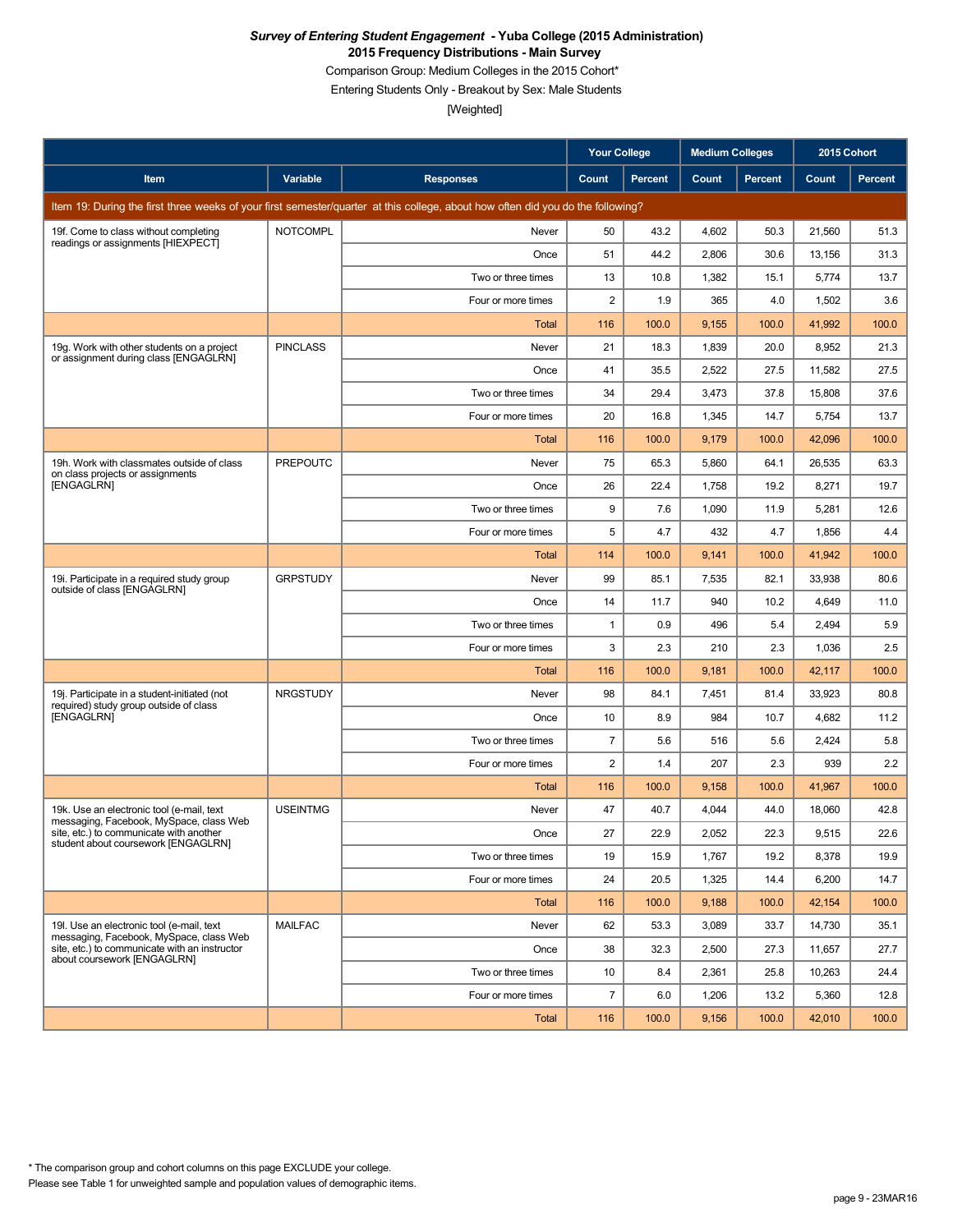Comparison Group: Medium Colleges in the 2015 Cohort\*

Entering Students Only - Breakout by Sex: Male Students

|                                                                                        |                 |                                                                                                                                 | <b>Your College</b> |                | <b>Medium Colleges</b> |         | 2015 Cohort |         |
|----------------------------------------------------------------------------------------|-----------------|---------------------------------------------------------------------------------------------------------------------------------|---------------------|----------------|------------------------|---------|-------------|---------|
| Item                                                                                   | Variable        | <b>Responses</b>                                                                                                                | Count               | <b>Percent</b> | Count                  | Percent | Count       | Percent |
|                                                                                        |                 | Item 19: During the first three weeks of your first semester/quarter at this college, about how often did you do the following? |                     |                |                        |         |             |         |
| 19f. Come to class without completing<br>readings or assignments [HIEXPECT]            | <b>NOTCOMPL</b> | Never                                                                                                                           | 50                  | 43.2           | 4.602                  | 50.3    | 21,560      | 51.3    |
|                                                                                        |                 | Once                                                                                                                            | 51                  | 44.2           | 2,806                  | 30.6    | 13,156      | 31.3    |
|                                                                                        |                 | Two or three times                                                                                                              | 13                  | 10.8           | 1,382                  | 15.1    | 5,774       | 13.7    |
|                                                                                        |                 | Four or more times                                                                                                              | 2                   | 1.9            | 365                    | 4.0     | 1,502       | 3.6     |
|                                                                                        |                 | Total                                                                                                                           | 116                 | 100.0          | 9,155                  | 100.0   | 41,992      | 100.0   |
| 19g. Work with other students on a project<br>or assignment during class [ENGAGLRN]    | <b>PINCLASS</b> | Never                                                                                                                           | 21                  | 18.3           | 1,839                  | 20.0    | 8,952       | 21.3    |
|                                                                                        |                 | Once                                                                                                                            | 41                  | 35.5           | 2,522                  | 27.5    | 11,582      | 27.5    |
|                                                                                        |                 | Two or three times                                                                                                              | 34                  | 29.4           | 3,473                  | 37.8    | 15,808      | 37.6    |
|                                                                                        |                 | Four or more times                                                                                                              | 20                  | 16.8           | 1,345                  | 14.7    | 5,754       | 13.7    |
|                                                                                        |                 | Total                                                                                                                           | 116                 | 100.0          | 9,179                  | 100.0   | 42,096      | 100.0   |
| 19h. Work with classmates outside of class<br>on class projects or assignments         | <b>PREPOUTC</b> | Never                                                                                                                           | 75                  | 65.3           | 5,860                  | 64.1    | 26,535      | 63.3    |
| [ENGAGLRN]                                                                             |                 | Once                                                                                                                            | 26                  | 22.4           | 1,758                  | 19.2    | 8,271       | 19.7    |
|                                                                                        |                 | Two or three times                                                                                                              | 9                   | 7.6            | 1,090                  | 11.9    | 5,281       | 12.6    |
|                                                                                        |                 | Four or more times                                                                                                              | 5                   | 4.7            | 432                    | 4.7     | 1,856       | 4.4     |
|                                                                                        |                 | Total                                                                                                                           | 114                 | 100.0          | 9,141                  | 100.0   | 41,942      | 100.0   |
| 19i. Participate in a required study group<br>outside of class [ENGAGLRN]              | <b>GRPSTUDY</b> | Never                                                                                                                           | 99                  | 85.1           | 7,535                  | 82.1    | 33,938      | 80.6    |
|                                                                                        |                 | Once                                                                                                                            | 14                  | 11.7           | 940                    | 10.2    | 4,649       | 11.0    |
|                                                                                        |                 | Two or three times                                                                                                              | 1                   | 0.9            | 496                    | 5.4     | 2,494       | 5.9     |
|                                                                                        |                 | Four or more times                                                                                                              | 3                   | 2.3            | 210                    | 2.3     | 1,036       | 2.5     |
|                                                                                        |                 | Total                                                                                                                           | 116                 | 100.0          | 9,181                  | 100.0   | 42,117      | 100.0   |
| 19j. Participate in a student-initiated (not<br>required) study group outside of class | <b>NRGSTUDY</b> | Never                                                                                                                           | 98                  | 84.1           | 7,451                  | 81.4    | 33,923      | 80.8    |
| <b>[ENGAGLRN]</b>                                                                      |                 | Once                                                                                                                            | 10                  | 8.9            | 984                    | 10.7    | 4,682       | 11.2    |
|                                                                                        |                 | Two or three times                                                                                                              | $\overline{7}$      | 5.6            | 516                    | 5.6     | 2,424       | 5.8     |
|                                                                                        |                 | Four or more times                                                                                                              | 2                   | 1.4            | 207                    | 2.3     | 939         | 2.2     |
|                                                                                        |                 | Total                                                                                                                           | 116                 | 100.0          | 9,158                  | 100.0   | 41,967      | 100.0   |
| 19k. Use an electronic tool (e-mail, text<br>messaging, Facebook, MySpace, class Web   | <b>USEINTMG</b> | Never                                                                                                                           | 47                  | 40.7           | 4,044                  | 44.0    | 18,060      | 42.8    |
| site, etc.) to communicate with another<br>student about coursework [ENGAGLRN]         |                 | Once                                                                                                                            | 27                  | 22.9           | 2,052                  | 22.3    | 9,515       | 22.6    |
|                                                                                        |                 | Two or three times                                                                                                              | 19                  | 15.9           | 1,767                  | 19.2    | 8,378       | 19.9    |
|                                                                                        |                 | Four or more times                                                                                                              | 24                  | 20.5           | 1,325                  | 14.4    | 6,200       | 14.7    |
|                                                                                        |                 | Total                                                                                                                           | 116                 | 100.0          | 9,188                  | 100.0   | 42,154      | 100.0   |
| 19I. Use an electronic tool (e-mail, text<br>messaging, Facebook, MySpace, class Web   | <b>MAILFAC</b>  | Never                                                                                                                           | 62                  | 53.3           | 3,089                  | 33.7    | 14,730      | 35.1    |
| site, etc.) to communicate with an instructor<br>about coursework [ENGAGLRN]           |                 | Once                                                                                                                            | 38                  | 32.3           | 2,500                  | 27.3    | 11,657      | 27.7    |
|                                                                                        |                 | Two or three times                                                                                                              | 10                  | 8.4            | 2,361                  | 25.8    | 10,263      | 24.4    |
|                                                                                        |                 | Four or more times                                                                                                              | $\overline{7}$      | 6.0            | 1,206                  | 13.2    | 5,360       | 12.8    |
|                                                                                        |                 | Total                                                                                                                           | 116                 | 100.0          | 9,156                  | 100.0   | 42,010      | 100.0   |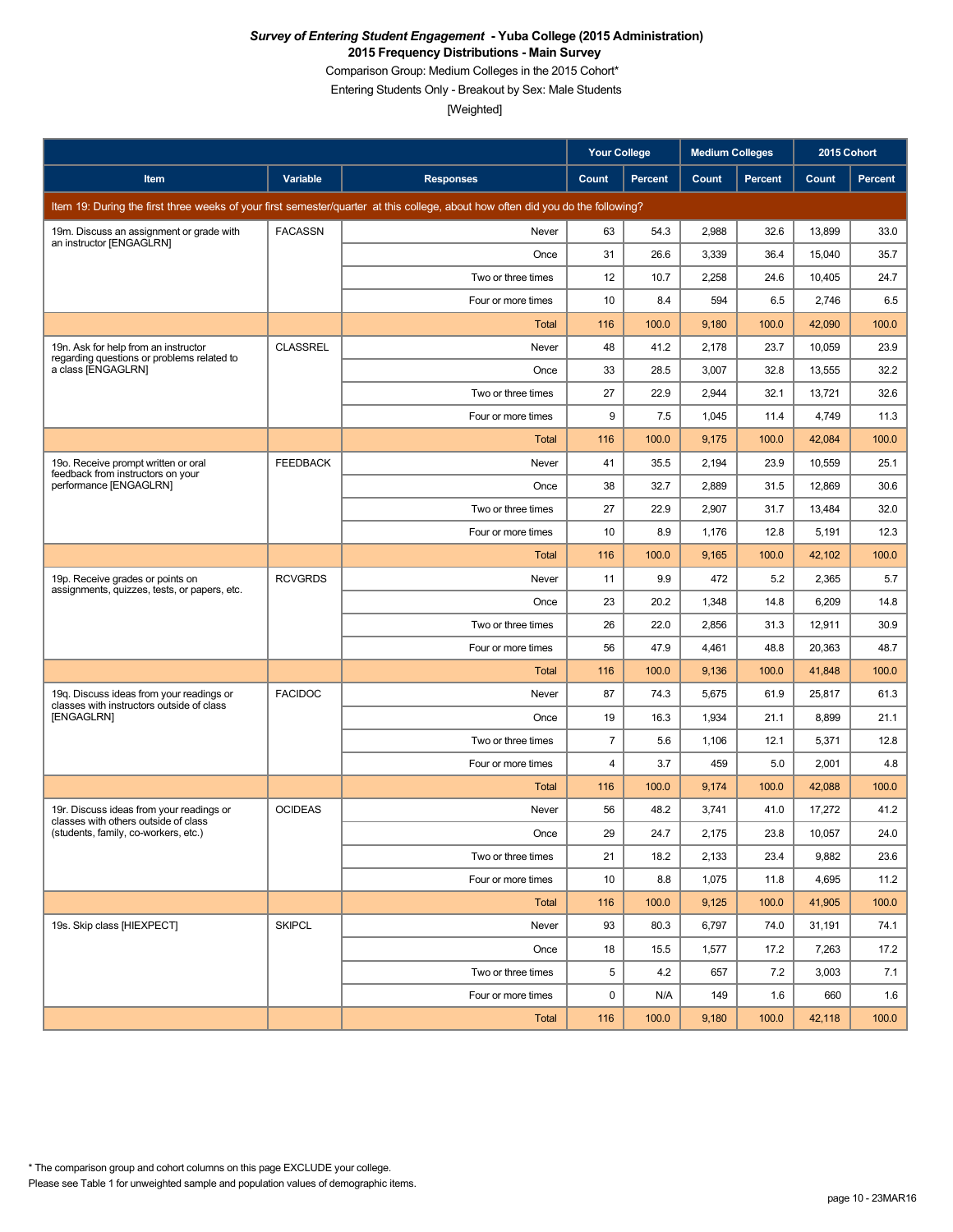Comparison Group: Medium Colleges in the 2015 Cohort\*

Entering Students Only - Breakout by Sex: Male Students

|                                                                                       |                 |                                                                                                                                 | Your College   |         | <b>Medium Colleges</b> |         | 2015 Cohort |         |
|---------------------------------------------------------------------------------------|-----------------|---------------------------------------------------------------------------------------------------------------------------------|----------------|---------|------------------------|---------|-------------|---------|
| Item                                                                                  | Variable        | <b>Responses</b>                                                                                                                | Count          | Percent | Count                  | Percent | Count       | Percent |
|                                                                                       |                 | Item 19: During the first three weeks of your first semester/quarter at this college, about how often did you do the following? |                |         |                        |         |             |         |
| 19m. Discuss an assignment or grade with                                              | <b>FACASSN</b>  | Never                                                                                                                           | 63             | 54.3    | 2,988                  | 32.6    | 13,899      | 33.0    |
| an instructor [ENGAGLRN]                                                              |                 | Once                                                                                                                            | 31             | 26.6    | 3,339                  | 36.4    | 15,040      | 35.7    |
|                                                                                       |                 | Two or three times                                                                                                              | 12             | 10.7    | 2,258                  | 24.6    | 10,405      | 24.7    |
|                                                                                       |                 | Four or more times                                                                                                              | 10             | 8.4     | 594                    | 6.5     | 2,746       | 6.5     |
|                                                                                       |                 | Total                                                                                                                           | 116            | 100.0   | 9,180                  | 100.0   | 42,090      | 100.0   |
| 19n. Ask for help from an instructor<br>regarding questions or problems related to    | <b>CLASSREL</b> | Never                                                                                                                           | 48             | 41.2    | 2,178                  | 23.7    | 10,059      | 23.9    |
| a class [ENGAGLRN]                                                                    |                 | Once                                                                                                                            | 33             | 28.5    | 3,007                  | 32.8    | 13,555      | 32.2    |
|                                                                                       |                 | Two or three times                                                                                                              | 27             | 22.9    | 2,944                  | 32.1    | 13,721      | 32.6    |
|                                                                                       |                 | Four or more times                                                                                                              | 9              | 7.5     | 1,045                  | 11.4    | 4,749       | 11.3    |
|                                                                                       |                 | <b>Total</b>                                                                                                                    | 116            | 100.0   | 9,175                  | 100.0   | 42,084      | 100.0   |
| 19o. Receive prompt written or oral<br>feedback from instructors on your              | <b>FEEDBACK</b> | Never                                                                                                                           | 41             | 35.5    | 2,194                  | 23.9    | 10,559      | 25.1    |
| performance [ENGAGLRN]                                                                |                 | Once                                                                                                                            | 38             | 32.7    | 2,889                  | 31.5    | 12,869      | 30.6    |
|                                                                                       |                 | Two or three times                                                                                                              | 27             | 22.9    | 2,907                  | 31.7    | 13,484      | 32.0    |
|                                                                                       |                 | Four or more times                                                                                                              | 10             | 8.9     | 1,176                  | 12.8    | 5,191       | 12.3    |
|                                                                                       |                 | Total                                                                                                                           | 116            | 100.0   | 9,165                  | 100.0   | 42,102      | 100.0   |
| 19p. Receive grades or points on<br>assignments, quizzes, tests, or papers, etc.      | <b>RCVGRDS</b>  | Never                                                                                                                           | 11             | 9.9     | 472                    | 5.2     | 2,365       | 5.7     |
|                                                                                       |                 | Once                                                                                                                            | 23             | 20.2    | 1,348                  | 14.8    | 6,209       | 14.8    |
|                                                                                       |                 | Two or three times                                                                                                              | 26             | 22.0    | 2,856                  | 31.3    | 12,911      | 30.9    |
|                                                                                       |                 | Four or more times                                                                                                              | 56             | 47.9    | 4,461                  | 48.8    | 20,363      | 48.7    |
|                                                                                       |                 | Total                                                                                                                           | 116            | 100.0   | 9,136                  | 100.0   | 41,848      | 100.0   |
| 19g. Discuss ideas from your readings or<br>classes with instructors outside of class | <b>FACIDOC</b>  | Never                                                                                                                           | 87             | 74.3    | 5,675                  | 61.9    | 25,817      | 61.3    |
| [ENGAGLRN]                                                                            |                 | Once                                                                                                                            | 19             | 16.3    | 1,934                  | 21.1    | 8,899       | 21.1    |
|                                                                                       |                 | Two or three times                                                                                                              | $\overline{7}$ | 5.6     | 1,106                  | 12.1    | 5,371       | 12.8    |
|                                                                                       |                 | Four or more times                                                                                                              | 4              | 3.7     | 459                    | 5.0     | 2,001       | 4.8     |
|                                                                                       |                 | Total                                                                                                                           | 116            | 100.0   | 9,174                  | 100.0   | 42,088      | 100.0   |
| 19r. Discuss ideas from your readings or<br>classes with others outside of class      | <b>OCIDEAS</b>  | Never                                                                                                                           | 56             | 48.2    | 3,741                  | 41.0    | 17,272      | 41.2    |
| (students, family, co-workers, etc.)                                                  |                 | Once                                                                                                                            | 29             | 24.7    | 2,175                  | 23.8    | 10,057      | 24.0    |
|                                                                                       |                 | Two or three times                                                                                                              | 21             | 18.2    | 2,133                  | 23.4    | 9,882       | 23.6    |
|                                                                                       |                 | Four or more times                                                                                                              | 10             | 8.8     | 1,075                  | 11.8    | 4,695       | 11.2    |
|                                                                                       |                 | Total                                                                                                                           | 116            | 100.0   | 9,125                  | 100.0   | 41,905      | 100.0   |
| 19s. Skip class [HIEXPECT]                                                            | <b>SKIPCL</b>   | Never                                                                                                                           | 93             | 80.3    | 6,797                  | 74.0    | 31,191      | 74.1    |
|                                                                                       |                 | Once                                                                                                                            | 18             | 15.5    | 1,577                  | 17.2    | 7,263       | 17.2    |
|                                                                                       |                 | Two or three times                                                                                                              | 5              | 4.2     | 657                    | 7.2     | 3,003       | 7.1     |
|                                                                                       |                 | Four or more times                                                                                                              | 0              | N/A     | 149                    | 1.6     | 660         | 1.6     |
|                                                                                       |                 | Total                                                                                                                           | 116            | 100.0   | 9,180                  | 100.0   | 42,118      | 100.0   |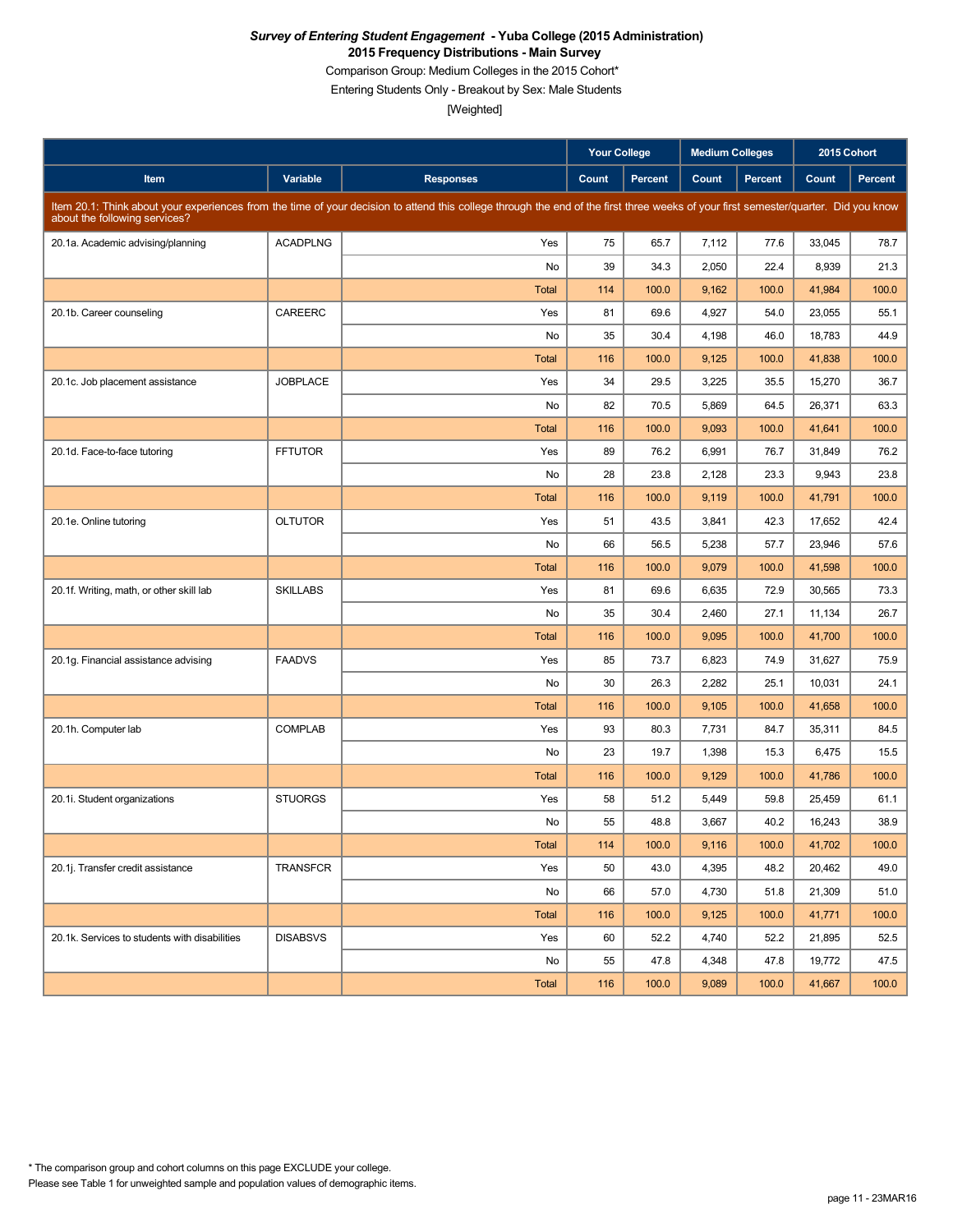Comparison Group: Medium Colleges in the 2015 Cohort\*

Entering Students Only - Breakout by Sex: Male Students

|                                               |                 |                                                                                                                                                                                     | <b>Your College</b> |                | <b>Medium Colleges</b> |         | 2015 Cohort |         |
|-----------------------------------------------|-----------------|-------------------------------------------------------------------------------------------------------------------------------------------------------------------------------------|---------------------|----------------|------------------------|---------|-------------|---------|
| Item                                          | Variable        | <b>Responses</b>                                                                                                                                                                    | Count               | <b>Percent</b> | Count                  | Percent | Count       | Percent |
| about the following services?                 |                 | Item 20.1: Think about your experiences from the time of your decision to attend this college through the end of the first three weeks of your first semester/quarter. Did you know |                     |                |                        |         |             |         |
| 20.1a. Academic advising/planning             | <b>ACADPLNG</b> | Yes                                                                                                                                                                                 | 75                  | 65.7           | 7,112                  | 77.6    | 33,045      | 78.7    |
|                                               |                 | No                                                                                                                                                                                  | 39                  | 34.3           | 2,050                  | 22.4    | 8,939       | 21.3    |
|                                               |                 | <b>Total</b>                                                                                                                                                                        | 114                 | 100.0          | 9,162                  | 100.0   | 41,984      | 100.0   |
| 20.1b. Career counseling                      | CAREERC         | Yes                                                                                                                                                                                 | 81                  | 69.6           | 4,927                  | 54.0    | 23.055      | 55.1    |
|                                               |                 | No                                                                                                                                                                                  | 35                  | 30.4           | 4,198                  | 46.0    | 18,783      | 44.9    |
|                                               |                 | <b>Total</b>                                                                                                                                                                        | 116                 | 100.0          | 9,125                  | 100.0   | 41,838      | 100.0   |
| 20.1c. Job placement assistance               | <b>JOBPLACE</b> | Yes                                                                                                                                                                                 | 34                  | 29.5           | 3,225                  | 35.5    | 15,270      | 36.7    |
|                                               |                 | No                                                                                                                                                                                  | 82                  | 70.5           | 5,869                  | 64.5    | 26,371      | 63.3    |
|                                               |                 | <b>Total</b>                                                                                                                                                                        | 116                 | 100.0          | 9,093                  | 100.0   | 41,641      | 100.0   |
| 20.1d. Face-to-face tutoring                  | <b>FFTUTOR</b>  | Yes                                                                                                                                                                                 | 89                  | 76.2           | 6,991                  | 76.7    | 31,849      | 76.2    |
|                                               |                 | No                                                                                                                                                                                  | 28                  | 23.8           | 2,128                  | 23.3    | 9,943       | 23.8    |
|                                               |                 | <b>Total</b>                                                                                                                                                                        | 116                 | 100.0          | 9,119                  | 100.0   | 41,791      | 100.0   |
| 20.1e. Online tutoring                        | <b>OLTUTOR</b>  | Yes                                                                                                                                                                                 | 51                  | 43.5           | 3,841                  | 42.3    | 17,652      | 42.4    |
|                                               |                 | No                                                                                                                                                                                  | 66                  | 56.5           | 5,238                  | 57.7    | 23,946      | 57.6    |
|                                               |                 | <b>Total</b>                                                                                                                                                                        | 116                 | 100.0          | 9,079                  | 100.0   | 41,598      | 100.0   |
| 20.1f. Writing, math, or other skill lab      | <b>SKILLABS</b> | Yes                                                                                                                                                                                 | 81                  | 69.6           | 6,635                  | 72.9    | 30,565      | 73.3    |
|                                               |                 | No                                                                                                                                                                                  | 35                  | 30.4           | 2,460                  | 27.1    | 11,134      | 26.7    |
|                                               |                 | <b>Total</b>                                                                                                                                                                        | 116                 | 100.0          | 9,095                  | 100.0   | 41,700      | 100.0   |
| 20.1g. Financial assistance advising          | <b>FAADVS</b>   | Yes                                                                                                                                                                                 | 85                  | 73.7           | 6,823                  | 74.9    | 31,627      | 75.9    |
|                                               |                 | No                                                                                                                                                                                  | 30                  | 26.3           | 2,282                  | 25.1    | 10,031      | 24.1    |
|                                               |                 | <b>Total</b>                                                                                                                                                                        | 116                 | 100.0          | 9,105                  | 100.0   | 41,658      | 100.0   |
| 20.1h. Computer lab                           | <b>COMPLAB</b>  | Yes                                                                                                                                                                                 | 93                  | 80.3           | 7,731                  | 84.7    | 35,311      | 84.5    |
|                                               |                 | No                                                                                                                                                                                  | 23                  | 19.7           | 1,398                  | 15.3    | 6,475       | 15.5    |
|                                               |                 | <b>Total</b>                                                                                                                                                                        | 116                 | 100.0          | 9,129                  | 100.0   | 41,786      | 100.0   |
| 20.1i. Student organizations                  | <b>STUORGS</b>  | Yes                                                                                                                                                                                 | 58                  | 51.2           | 5,449                  | 59.8    | 25,459      | 61.1    |
|                                               |                 | No                                                                                                                                                                                  | 55                  | 48.8           | 3,667                  | 40.2    | 16,243      | 38.9    |
|                                               |                 | Total                                                                                                                                                                               | 114                 | 100.0          | 9,116                  | 100.0   | 41,702      | 100.0   |
| 20.1j. Transfer credit assistance             | TRANSFCR        | Yes                                                                                                                                                                                 | 50                  | 43.0           | 4,395                  | 48.2    | 20,462      | 49.0    |
|                                               |                 | No                                                                                                                                                                                  | 66                  | 57.0           | 4,730                  | 51.8    | 21,309      | 51.0    |
|                                               |                 | Total                                                                                                                                                                               | 116                 | 100.0          | 9,125                  | 100.0   | 41,771      | 100.0   |
| 20.1k. Services to students with disabilities | <b>DISABSVS</b> | Yes                                                                                                                                                                                 | 60                  | 52.2           | 4,740                  | 52.2    | 21,895      | 52.5    |
|                                               |                 | No                                                                                                                                                                                  | 55                  | 47.8           | 4,348                  | 47.8    | 19,772      | 47.5    |
|                                               |                 | Total                                                                                                                                                                               | 116                 | 100.0          | 9,089                  | 100.0   | 41,667      | 100.0   |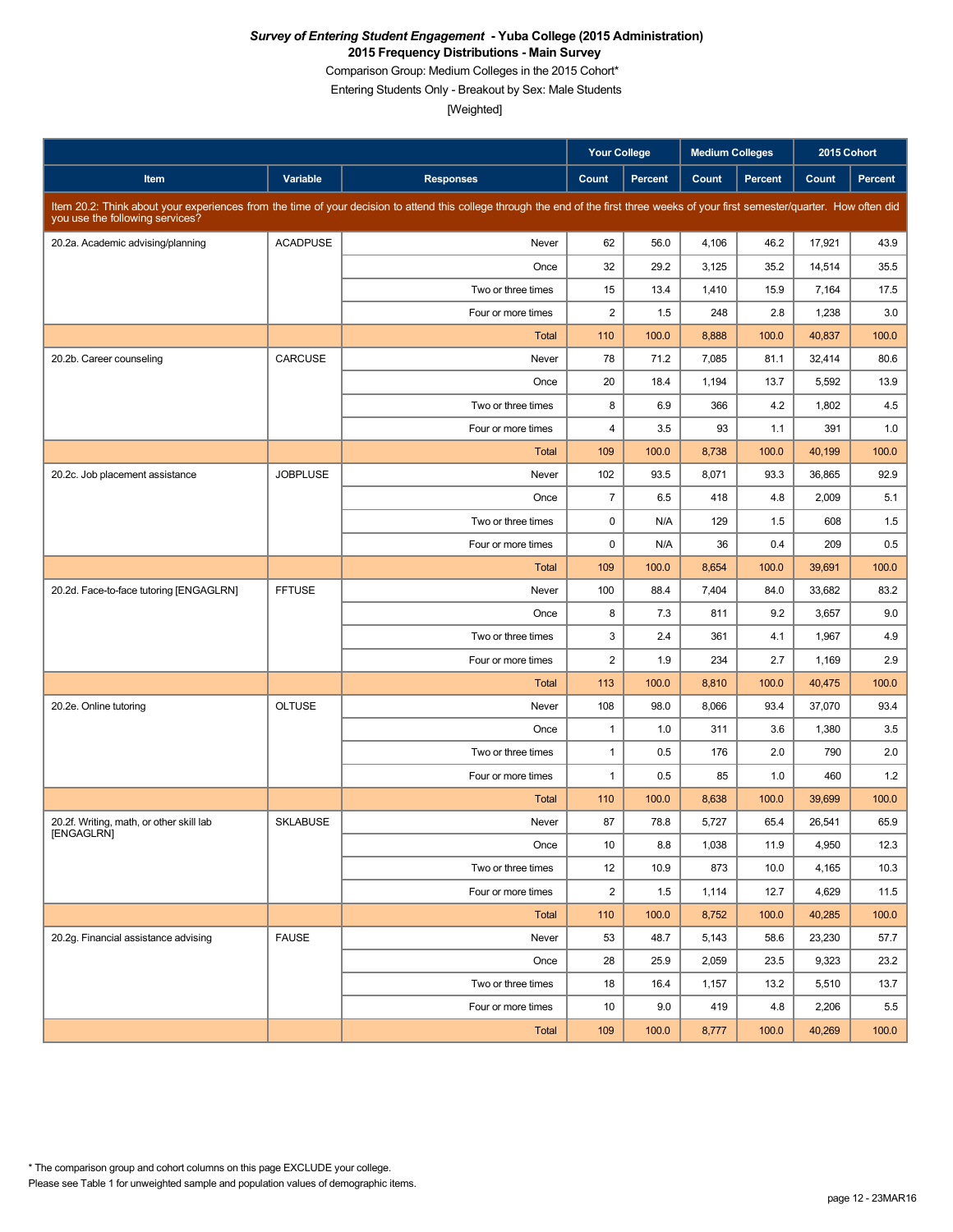Comparison Group: Medium Colleges in the 2015 Cohort\*

Entering Students Only - Breakout by Sex: Male Students

|                                          |                 |                                                                                                                                                                                      | Your College            |                | <b>Medium Colleges</b> |         |        | 2015 Cohort    |
|------------------------------------------|-----------------|--------------------------------------------------------------------------------------------------------------------------------------------------------------------------------------|-------------------------|----------------|------------------------|---------|--------|----------------|
| Item                                     | Variable        | <b>Responses</b>                                                                                                                                                                     | Count                   | <b>Percent</b> | Count                  | Percent | Count  | <b>Percent</b> |
| you use the following services?          |                 | Item 20.2: Think about your experiences from the time of your decision to attend this college through the end of the first three weeks of your first semester/quarter. How often did |                         |                |                        |         |        |                |
| 20.2a. Academic advising/planning        | <b>ACADPUSE</b> | Never                                                                                                                                                                                | 62                      | 56.0           | 4,106                  | 46.2    | 17,921 | 43.9           |
|                                          |                 | Once                                                                                                                                                                                 | 32                      | 29.2           | 3,125                  | 35.2    | 14,514 | 35.5           |
|                                          |                 | Two or three times                                                                                                                                                                   | 15                      | 13.4           | 1,410                  | 15.9    | 7,164  | 17.5           |
|                                          |                 | Four or more times                                                                                                                                                                   | $\overline{2}$          | 1.5            | 248                    | 2.8     | 1,238  | 3.0            |
|                                          |                 | <b>Total</b>                                                                                                                                                                         | 110                     | 100.0          | 8,888                  | 100.0   | 40,837 | 100.0          |
| 20.2b. Career counseling                 | CARCUSE         | Never                                                                                                                                                                                | 78                      | 71.2           | 7,085                  | 81.1    | 32,414 | 80.6           |
|                                          |                 | Once                                                                                                                                                                                 | 20                      | 18.4           | 1,194                  | 13.7    | 5,592  | 13.9           |
|                                          |                 | Two or three times                                                                                                                                                                   | 8                       | 6.9            | 366                    | 4.2     | 1,802  | 4.5            |
|                                          |                 | Four or more times                                                                                                                                                                   | $\overline{\mathbf{4}}$ | 3.5            | 93                     | 1.1     | 391    | 1.0            |
|                                          |                 | Total                                                                                                                                                                                | 109                     | 100.0          | 8,738                  | 100.0   | 40,199 | 100.0          |
| 20.2c. Job placement assistance          | <b>JOBPLUSE</b> | Never                                                                                                                                                                                | 102                     | 93.5           | 8,071                  | 93.3    | 36.865 | 92.9           |
|                                          |                 | Once                                                                                                                                                                                 | $\overline{7}$          | 6.5            | 418                    | 4.8     | 2,009  | 5.1            |
|                                          |                 | Two or three times                                                                                                                                                                   | 0                       | N/A            | 129                    | 1.5     | 608    | 1.5            |
|                                          |                 | Four or more times                                                                                                                                                                   | $\mathbf 0$             | N/A            | 36                     | 0.4     | 209    | 0.5            |
|                                          |                 | Total                                                                                                                                                                                | 109                     | 100.0          | 8,654                  | 100.0   | 39,691 | 100.0          |
| 20.2d. Face-to-face tutoring [ENGAGLRN]  | <b>FFTUSE</b>   | Never                                                                                                                                                                                | 100                     | 88.4           | 7,404                  | 84.0    | 33,682 | 83.2           |
|                                          |                 | Once                                                                                                                                                                                 | 8                       | 7.3            | 811                    | 9.2     | 3,657  | 9.0            |
|                                          |                 | Two or three times                                                                                                                                                                   | 3                       | 2.4            | 361                    | 4.1     | 1,967  | 4.9            |
|                                          |                 | Four or more times                                                                                                                                                                   | $\overline{c}$          | 1.9            | 234                    | 2.7     | 1,169  | 2.9            |
|                                          |                 | Total                                                                                                                                                                                | 113                     | 100.0          | 8,810                  | 100.0   | 40,475 | 100.0          |
| 20.2e. Online tutoring                   | <b>OLTUSE</b>   | Never                                                                                                                                                                                | 108                     | 98.0           | 8,066                  | 93.4    | 37,070 | 93.4           |
|                                          |                 | Once                                                                                                                                                                                 | $\mathbf{1}$            | 1.0            | 311                    | 3.6     | 1,380  | 3.5            |
|                                          |                 | Two or three times                                                                                                                                                                   | $\mathbf{1}$            | 0.5            | 176                    | 2.0     | 790    | 2.0            |
|                                          |                 | Four or more times                                                                                                                                                                   | $\mathbf{1}$            | 0.5            | 85                     | 1.0     | 460    | 1.2            |
|                                          |                 | Total                                                                                                                                                                                | 110                     | 100.0          | 8,638                  | 100.0   | 39,699 | 100.0          |
| 20.2f. Writing, math, or other skill lab | <b>SKLABUSE</b> | Never                                                                                                                                                                                | 87                      | 78.8           | 5,727                  | 65.4    | 26,541 | 65.9           |
| [ENGAGLRN]                               |                 | Once                                                                                                                                                                                 | 10                      | 8.8            | 1,038                  | 11.9    | 4,950  | 12.3           |
|                                          |                 | Two or three times                                                                                                                                                                   | 12                      | 10.9           | 873                    | 10.0    | 4,165  | 10.3           |
|                                          |                 | Four or more times                                                                                                                                                                   | $\overline{\mathbf{c}}$ | 1.5            | 1,114                  | 12.7    | 4,629  | 11.5           |
|                                          |                 | Total                                                                                                                                                                                | 110                     | 100.0          | 8,752                  | 100.0   | 40,285 | 100.0          |
| 20.2g. Financial assistance advising     | <b>FAUSE</b>    | Never                                                                                                                                                                                | 53                      | 48.7           | 5,143                  | 58.6    | 23,230 | 57.7           |
|                                          |                 | Once                                                                                                                                                                                 | 28                      | 25.9           | 2,059                  | 23.5    | 9,323  | 23.2           |
|                                          |                 | Two or three times                                                                                                                                                                   | 18                      | 16.4           | 1,157                  | 13.2    | 5,510  | 13.7           |
|                                          |                 | Four or more times                                                                                                                                                                   | 10                      | 9.0            | 419                    | 4.8     | 2,206  | 5.5            |
|                                          |                 | Total                                                                                                                                                                                | 109                     | 100.0          | 8,777                  | 100.0   | 40,269 | 100.0          |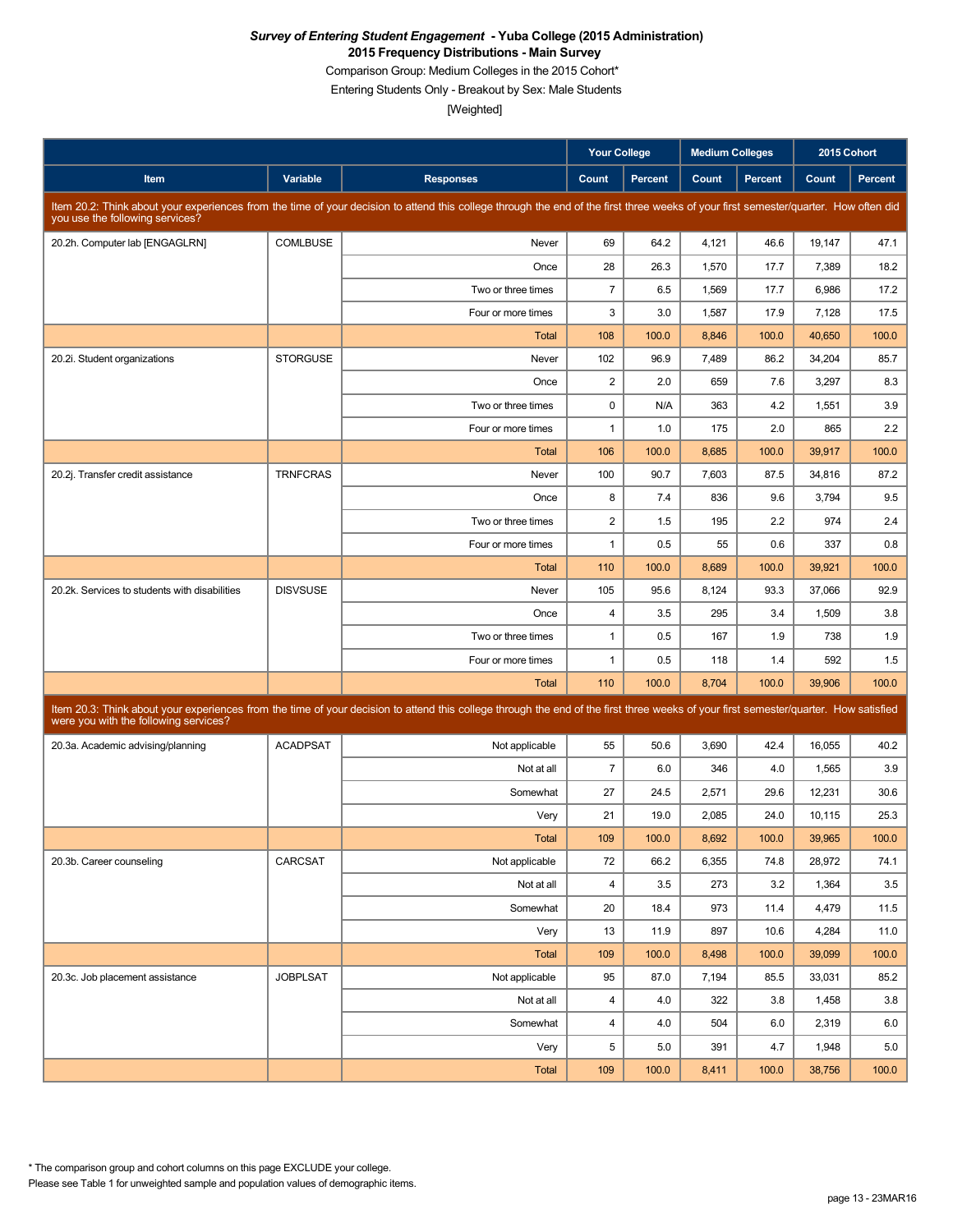Comparison Group: Medium Colleges in the 2015 Cohort\*

Entering Students Only - Breakout by Sex: Male Students

[Weighted]

|                                               |                 |                                                                                                                                                                                      | <b>Your College</b> |                | <b>Medium Colleges</b> |         | 2015 Cohort |         |
|-----------------------------------------------|-----------------|--------------------------------------------------------------------------------------------------------------------------------------------------------------------------------------|---------------------|----------------|------------------------|---------|-------------|---------|
| Item                                          | Variable        | <b>Responses</b>                                                                                                                                                                     | Count               | <b>Percent</b> | Count                  | Percent | Count       | Percent |
| you use the following services?               |                 | Item 20.2: Think about your experiences from the time of your decision to attend this college through the end of the first three weeks of your first semester/quarter. How often did |                     |                |                        |         |             |         |
| 20.2h. Computer lab [ENGAGLRN]                | <b>COMLBUSE</b> | Never                                                                                                                                                                                | 69                  | 64.2           | 4,121                  | 46.6    | 19,147      | 47.1    |
|                                               |                 | Once                                                                                                                                                                                 | 28                  | 26.3           | 1,570                  | 17.7    | 7,389       | 18.2    |
|                                               |                 | Two or three times                                                                                                                                                                   | $\overline{7}$      | 6.5            | 1,569                  | 17.7    | 6,986       | 17.2    |
|                                               |                 | Four or more times                                                                                                                                                                   | 3                   | 3.0            | 1,587                  | 17.9    | 7,128       | 17.5    |
|                                               |                 | <b>Total</b>                                                                                                                                                                         | 108                 | 100.0          | 8,846                  | 100.0   | 40,650      | 100.0   |
| 20.2i. Student organizations                  | <b>STORGUSE</b> | Never                                                                                                                                                                                | 102                 | 96.9           | 7,489                  | 86.2    | 34.204      | 85.7    |
|                                               |                 | Once                                                                                                                                                                                 | 2                   | 2.0            | 659                    | 7.6     | 3,297       | 8.3     |
|                                               |                 | Two or three times                                                                                                                                                                   | $\mathbf 0$         | N/A            | 363                    | 4.2     | 1,551       | 3.9     |
|                                               |                 | Four or more times                                                                                                                                                                   | $\mathbf{1}$        | 1.0            | 175                    | 2.0     | 865         | 2.2     |
|                                               |                 | Total                                                                                                                                                                                | 106                 | 100.0          | 8,685                  | 100.0   | 39,917      | 100.0   |
| 20.2j. Transfer credit assistance             | <b>TRNFCRAS</b> | Never                                                                                                                                                                                | 100                 | 90.7           | 7,603                  | 87.5    | 34,816      | 87.2    |
|                                               |                 | Once                                                                                                                                                                                 | 8                   | 7.4            | 836                    | 9.6     | 3,794       | 9.5     |
|                                               |                 | Two or three times                                                                                                                                                                   | $\sqrt{2}$          | 1.5            | 195                    | 2.2     | 974         | 2.4     |
|                                               |                 | Four or more times                                                                                                                                                                   | $\mathbf{1}$        | 0.5            | 55                     | 0.6     | 337         | 0.8     |
|                                               |                 | <b>Total</b>                                                                                                                                                                         | 110                 | 100.0          | 8,689                  | 100.0   | 39,921      | 100.0   |
| 20.2k. Services to students with disabilities | <b>DISVSUSE</b> | Never                                                                                                                                                                                | 105                 | 95.6           | 8,124                  | 93.3    | 37,066      | 92.9    |
|                                               |                 | Once                                                                                                                                                                                 | 4                   | 3.5            | 295                    | 3.4     | 1,509       | 3.8     |
|                                               |                 | Two or three times                                                                                                                                                                   | $\mathbf{1}$        | 0.5            | 167                    | 1.9     | 738         | 1.9     |
|                                               |                 | Four or more times                                                                                                                                                                   | $\mathbf{1}$        | 0.5            | 118                    | 1.4     | 592         | 1.5     |
|                                               |                 | <b>Total</b>                                                                                                                                                                         | 110                 | 100.0          | 8,704                  | 100.0   | 39,906      | 100.0   |
| were you with the following services?         |                 | Item 20.3: Think about your experiences from the time of your decision to attend this college through the end of the first three weeks of your first semester/quarter. How satisfied |                     |                |                        |         |             |         |
| 20.3a. Academic advising/planning             | <b>ACADPSAT</b> | Not applicable                                                                                                                                                                       | 55                  | 50.6           | 3,690                  | 42.4    | 16,055      | 40.2    |
|                                               |                 | Not at all                                                                                                                                                                           | $\overline{7}$      | 6.0            | 346                    | 4.0     | 1,565       | 3.9     |
|                                               |                 | Somewhat                                                                                                                                                                             | 27                  | 24.5           | 2,571                  | 29.6    | 12,231      | 30.6    |
|                                               |                 | Very                                                                                                                                                                                 | 21                  | 19.0           | 2,085                  | 24.0    | 10,115      | 25.3    |
|                                               |                 | Total                                                                                                                                                                                | 109                 | 100.0          | 8,692                  | 100.0   | 39,965      | 100.0   |
| 20.3b. Career counseling                      | CARCSAT         | Not applicable                                                                                                                                                                       | 72                  | 66.2           | 6,355                  | 74.8    | 28,972      | 74.1    |
|                                               |                 | Not at all                                                                                                                                                                           | 4                   | 3.5            | 273                    | 3.2     | 1,364       | 3.5     |
|                                               |                 | Somewhat                                                                                                                                                                             | 20                  | 18.4           | 973                    | 11.4    | 4,479       | 11.5    |
|                                               |                 | Very                                                                                                                                                                                 | 13                  | 11.9           | 897                    | 10.6    | 4,284       | 11.0    |
|                                               |                 | Total                                                                                                                                                                                | 109                 | 100.0          | 8,498                  | 100.0   | 39,099      | 100.0   |
| 20.3c. Job placement assistance               | <b>JOBPLSAT</b> | Not applicable                                                                                                                                                                       | 95                  | 87.0           | 7,194                  | 85.5    | 33,031      | 85.2    |
|                                               |                 | Not at all                                                                                                                                                                           | $\overline{4}$      | 4.0            | 322                    | 3.8     | 1,458       | 3.8     |
|                                               |                 | Somewhat                                                                                                                                                                             | $\overline{4}$      | 4.0            | 504                    | 6.0     | 2,319       | 6.0     |
|                                               |                 | Very                                                                                                                                                                                 | 5                   | 5.0            | 391                    | 4.7     | 1,948       | 5.0     |
|                                               |                 | Total                                                                                                                                                                                | 109                 | 100.0          | 8,411                  | 100.0   | 38,756      | 100.0   |

Please see Table 1 for unweighted sample and population values of demographic items. \* The comparison group and cohort columns on this page EXCLUDE your college.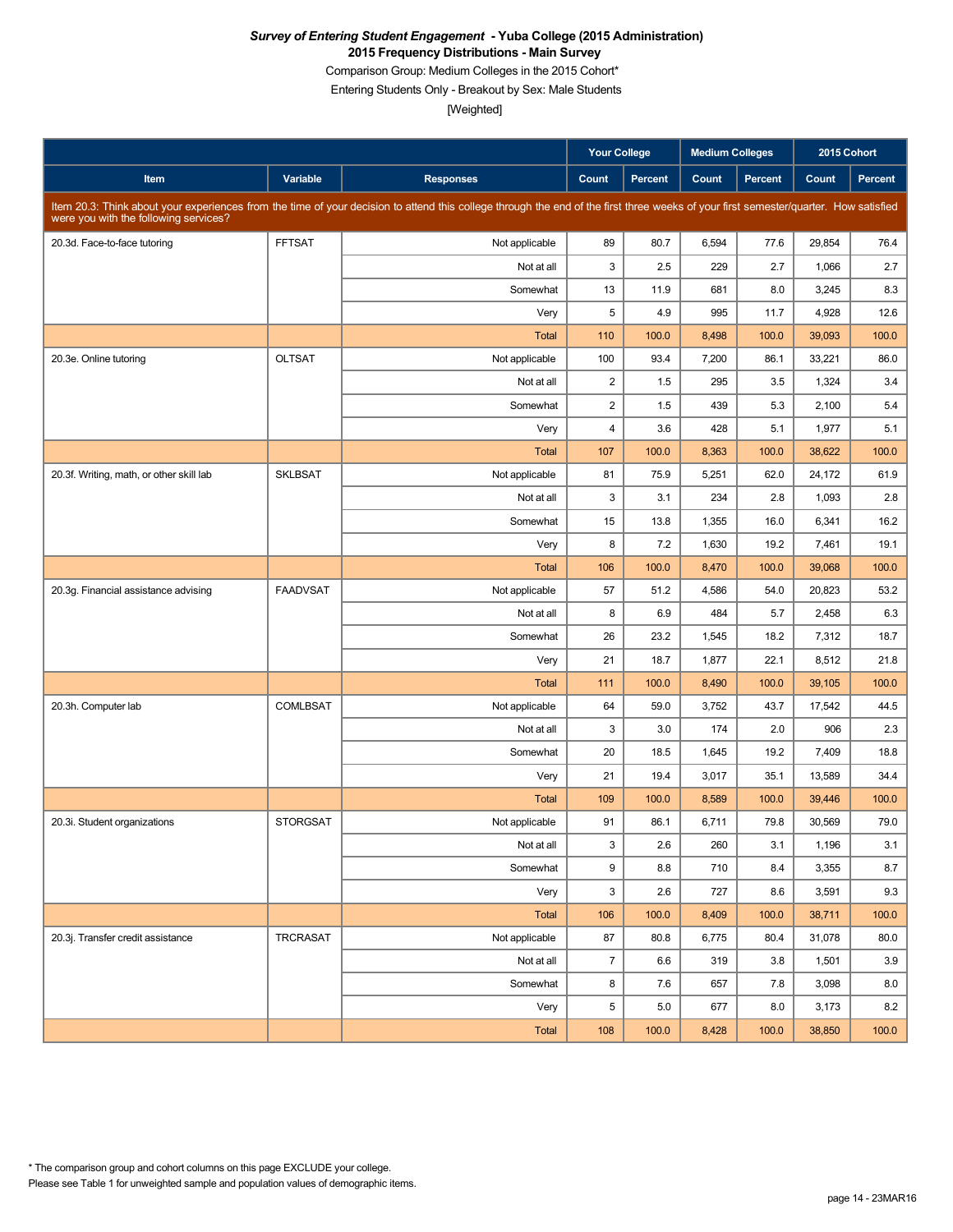Comparison Group: Medium Colleges in the 2015 Cohort\*

Entering Students Only - Breakout by Sex: Male Students

|                                          |                 |                                                                                                                                                                                      | <b>Your College</b>     |         | <b>Medium Colleges</b> |         | 2015 Cohort |         |
|------------------------------------------|-----------------|--------------------------------------------------------------------------------------------------------------------------------------------------------------------------------------|-------------------------|---------|------------------------|---------|-------------|---------|
| Item                                     | Variable        | <b>Responses</b>                                                                                                                                                                     | Count                   | Percent | Count                  | Percent | Count       | Percent |
| were you with the following services?    |                 | Item 20.3: Think about your experiences from the time of your decision to attend this college through the end of the first three weeks of your first semester/quarter. How satisfied |                         |         |                        |         |             |         |
| 20.3d. Face-to-face tutoring             | <b>FFTSAT</b>   | Not applicable                                                                                                                                                                       | 89                      | 80.7    | 6,594                  | 77.6    | 29,854      | 76.4    |
|                                          |                 | Not at all                                                                                                                                                                           | 3                       | 2.5     | 229                    | 2.7     | 1,066       | 2.7     |
|                                          |                 | Somewhat                                                                                                                                                                             | 13                      | 11.9    | 681                    | 8.0     | 3,245       | 8.3     |
|                                          |                 | Very                                                                                                                                                                                 | 5                       | 4.9     | 995                    | 11.7    | 4,928       | 12.6    |
|                                          |                 | <b>Total</b>                                                                                                                                                                         | 110                     | 100.0   | 8,498                  | 100.0   | 39,093      | 100.0   |
| 20.3e. Online tutoring                   | <b>OLTSAT</b>   | Not applicable                                                                                                                                                                       | 100                     | 93.4    | 7,200                  | 86.1    | 33,221      | 86.0    |
|                                          |                 | Not at all                                                                                                                                                                           | $\overline{\mathbf{c}}$ | 1.5     | 295                    | 3.5     | 1,324       | 3.4     |
|                                          |                 | Somewhat                                                                                                                                                                             | $\overline{\mathbf{c}}$ | 1.5     | 439                    | 5.3     | 2,100       | 5.4     |
|                                          |                 | Very                                                                                                                                                                                 | 4                       | 3.6     | 428                    | 5.1     | 1,977       | 5.1     |
|                                          |                 | <b>Total</b>                                                                                                                                                                         | 107                     | 100.0   | 8,363                  | 100.0   | 38,622      | 100.0   |
| 20.3f. Writing, math, or other skill lab | <b>SKLBSAT</b>  | Not applicable                                                                                                                                                                       | 81                      | 75.9    | 5,251                  | 62.0    | 24,172      | 61.9    |
|                                          |                 | Not at all                                                                                                                                                                           | 3                       | 3.1     | 234                    | 2.8     | 1,093       | 2.8     |
|                                          |                 | Somewhat                                                                                                                                                                             | 15                      | 13.8    | 1,355                  | 16.0    | 6,341       | 16.2    |
|                                          |                 | Very                                                                                                                                                                                 | 8                       | 7.2     | 1,630                  | 19.2    | 7,461       | 19.1    |
|                                          |                 | <b>Total</b>                                                                                                                                                                         | 106                     | 100.0   | 8,470                  | 100.0   | 39,068      | 100.0   |
| 20.3g. Financial assistance advising     | <b>FAADVSAT</b> | Not applicable                                                                                                                                                                       | 57                      | 51.2    | 4,586                  | 54.0    | 20,823      | 53.2    |
|                                          |                 | Not at all                                                                                                                                                                           | 8                       | 6.9     | 484                    | 5.7     | 2,458       | 6.3     |
|                                          |                 | Somewhat                                                                                                                                                                             | 26                      | 23.2    | 1,545                  | 18.2    | 7,312       | 18.7    |
|                                          |                 | Very                                                                                                                                                                                 | 21                      | 18.7    | 1,877                  | 22.1    | 8,512       | 21.8    |
|                                          |                 | Total                                                                                                                                                                                | 111                     | 100.0   | 8,490                  | 100.0   | 39,105      | 100.0   |
| 20.3h. Computer lab                      | <b>COMLBSAT</b> | Not applicable                                                                                                                                                                       | 64                      | 59.0    | 3,752                  | 43.7    | 17,542      | 44.5    |
|                                          |                 | Not at all                                                                                                                                                                           | 3                       | 3.0     | 174                    | 2.0     | 906         | 2.3     |
|                                          |                 | Somewhat                                                                                                                                                                             | 20                      | 18.5    | 1,645                  | 19.2    | 7,409       | 18.8    |
|                                          |                 | Very                                                                                                                                                                                 | 21                      | 19.4    | 3,017                  | 35.1    | 13,589      | 34.4    |
|                                          |                 | <b>Total</b>                                                                                                                                                                         | 109                     | 100.0   | 8,589                  | 100.0   | 39,446      | 100.0   |
| 20.3i. Student organizations             | <b>STORGSAT</b> | Not applicable                                                                                                                                                                       | 91                      | 86.1    | 6,711                  | 79.8    | 30,569      | 79.0    |
|                                          |                 | Not at all                                                                                                                                                                           | 3                       | 2.6     | 260                    | 3.1     | 1,196       | 3.1     |
|                                          |                 | Somewhat                                                                                                                                                                             | 9                       | 8.8     | 710                    | 8.4     | 3,355       | 8.7     |
|                                          |                 | Very                                                                                                                                                                                 | 3                       | 2.6     | 727                    | 8.6     | 3,591       | 9.3     |
|                                          |                 | Total                                                                                                                                                                                | 106                     | 100.0   | 8,409                  | 100.0   | 38,711      | 100.0   |
| 20.3j. Transfer credit assistance        | TRCRASAT        | Not applicable                                                                                                                                                                       | 87                      | 80.8    | 6,775                  | 80.4    | 31,078      | 80.0    |
|                                          |                 | Not at all                                                                                                                                                                           | $\overline{7}$          | 6.6     | 319                    | 3.8     | 1,501       | 3.9     |
|                                          |                 | Somewhat                                                                                                                                                                             | 8                       | 7.6     | 657                    | 7.8     | 3,098       | 8.0     |
|                                          |                 | Very                                                                                                                                                                                 | 5                       | 5.0     | 677                    | 8.0     | 3,173       | 8.2     |
|                                          |                 | Total                                                                                                                                                                                | 108                     | 100.0   | 8,428                  | 100.0   | 38,850      | 100.0   |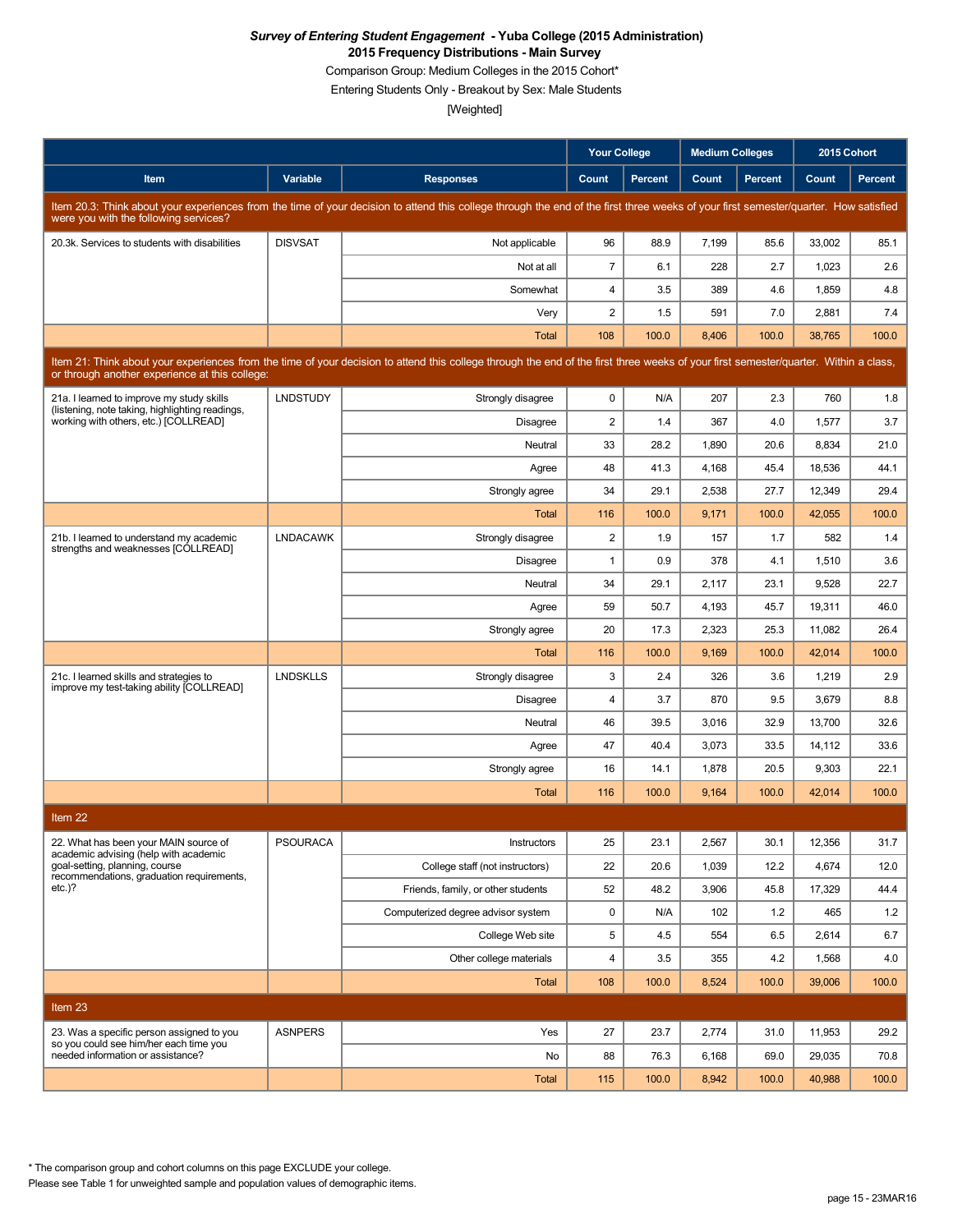Comparison Group: Medium Colleges in the 2015 Cohort\*

Entering Students Only - Breakout by Sex: Male Students

[Weighted]

|                                                                                                                                                                                                                                        |                 |                                                                                                                                                                                      | <b>Your College</b>     |                | <b>Medium Colleges</b> |         |        | 2015 Cohort    |  |
|----------------------------------------------------------------------------------------------------------------------------------------------------------------------------------------------------------------------------------------|-----------------|--------------------------------------------------------------------------------------------------------------------------------------------------------------------------------------|-------------------------|----------------|------------------------|---------|--------|----------------|--|
| Item                                                                                                                                                                                                                                   | Variable        | <b>Responses</b>                                                                                                                                                                     | Count                   | <b>Percent</b> | Count                  | Percent | Count  | <b>Percent</b> |  |
| were you with the following services?                                                                                                                                                                                                  |                 | Item 20.3: Think about your experiences from the time of your decision to attend this college through the end of the first three weeks of your first semester/quarter. How satisfied |                         |                |                        |         |        |                |  |
| 20.3k. Services to students with disabilities                                                                                                                                                                                          | <b>DISVSAT</b>  | Not applicable                                                                                                                                                                       | 96                      | 88.9           | 7,199                  | 85.6    | 33,002 | 85.1           |  |
|                                                                                                                                                                                                                                        |                 | Not at all                                                                                                                                                                           | $\overline{7}$          | 6.1            | 228                    | 2.7     | 1,023  | 2.6            |  |
|                                                                                                                                                                                                                                        |                 | Somewhat                                                                                                                                                                             | 4                       | 3.5            | 389                    | 4.6     | 1,859  | 4.8            |  |
|                                                                                                                                                                                                                                        |                 | Very                                                                                                                                                                                 | $\overline{2}$          | 1.5            | 591                    | 7.0     | 2,881  | 7.4            |  |
|                                                                                                                                                                                                                                        |                 | <b>Total</b>                                                                                                                                                                         | 108                     | 100.0          | 8,406                  | 100.0   | 38,765 | 100.0          |  |
| Item 21: Think about your experiences from the time of your decision to attend this college through the end of the first three weeks of your first semester/quarter. Within a class,<br>or through another experience at this college: |                 |                                                                                                                                                                                      |                         |                |                        |         |        |                |  |
| 21a. I learned to improve my study skills<br>(listening, note taking, highlighting readings,                                                                                                                                           | <b>LNDSTUDY</b> | Strongly disagree                                                                                                                                                                    | 0                       | N/A            | 207                    | 2.3     | 760    | 1.8            |  |
| working with others, etc.) [COLLREAD]                                                                                                                                                                                                  |                 | Disagree                                                                                                                                                                             | $\overline{c}$          | 1.4            | 367                    | 4.0     | 1,577  | 3.7            |  |
|                                                                                                                                                                                                                                        |                 | Neutral                                                                                                                                                                              | 33                      | 28.2           | 1,890                  | 20.6    | 8,834  | 21.0           |  |
|                                                                                                                                                                                                                                        |                 | Agree                                                                                                                                                                                | 48                      | 41.3           | 4,168                  | 45.4    | 18.536 | 44.1           |  |
|                                                                                                                                                                                                                                        |                 | Strongly agree                                                                                                                                                                       | 34                      | 29.1           | 2,538                  | 27.7    | 12,349 | 29.4           |  |
|                                                                                                                                                                                                                                        |                 | Total                                                                                                                                                                                | 116                     | 100.0          | 9,171                  | 100.0   | 42,055 | 100.0          |  |
| 21b. I learned to understand my academic<br>strengths and weaknesses [COLLREAD]                                                                                                                                                        | <b>LNDACAWK</b> | Strongly disagree                                                                                                                                                                    | $\overline{2}$          | 1.9            | 157                    | 1.7     | 582    | 1.4            |  |
|                                                                                                                                                                                                                                        |                 | Disagree                                                                                                                                                                             | $\mathbf{1}$            | 0.9            | 378                    | 4.1     | 1,510  | 3.6            |  |
|                                                                                                                                                                                                                                        |                 | Neutral                                                                                                                                                                              | 34                      | 29.1           | 2,117                  | 23.1    | 9,528  | 22.7           |  |
|                                                                                                                                                                                                                                        |                 | Agree                                                                                                                                                                                | 59                      | 50.7           | 4,193                  | 45.7    | 19,311 | 46.0           |  |
|                                                                                                                                                                                                                                        |                 | Strongly agree                                                                                                                                                                       | 20                      | 17.3           | 2,323                  | 25.3    | 11,082 | 26.4           |  |
|                                                                                                                                                                                                                                        |                 | Total                                                                                                                                                                                | 116                     | 100.0          | 9,169                  | 100.0   | 42,014 | 100.0          |  |
| 21c. I learned skills and strategies to<br>improve my test-taking ability [COLLREAD]                                                                                                                                                   | <b>LNDSKLLS</b> | Strongly disagree                                                                                                                                                                    | 3                       | 2.4            | 326                    | 3.6     | 1,219  | 2.9            |  |
|                                                                                                                                                                                                                                        |                 | Disagree                                                                                                                                                                             | $\overline{\mathbf{4}}$ | 3.7            | 870                    | 9.5     | 3,679  | 8.8            |  |
|                                                                                                                                                                                                                                        |                 | Neutral                                                                                                                                                                              | 46                      | 39.5           | 3,016                  | 32.9    | 13,700 | 32.6           |  |
|                                                                                                                                                                                                                                        |                 | Agree                                                                                                                                                                                | 47                      | 40.4           | 3,073                  | 33.5    | 14.112 | 33.6           |  |
|                                                                                                                                                                                                                                        |                 | Strongly agree                                                                                                                                                                       | 16                      | 14.1           | 1,878                  | 20.5    | 9,303  | 22.1           |  |
|                                                                                                                                                                                                                                        |                 | Total                                                                                                                                                                                | 116                     | 100.0          | 9,164                  | 100.0   | 42,014 | 100.0          |  |
| Item 22                                                                                                                                                                                                                                |                 |                                                                                                                                                                                      |                         |                |                        |         |        |                |  |
| 22. What has been your MAIN source of<br>academic advising (help with academic                                                                                                                                                         | <b>PSOURACA</b> | Instructors                                                                                                                                                                          | 25                      | 23.1           | 2,567                  | 30.1    | 12,356 | 31.7           |  |
| goal-setting, planning, course<br>recommendations, graduation requirements,                                                                                                                                                            |                 | College staff (not instructors)                                                                                                                                                      | 22                      | 20.6           | 1,039                  | 12.2    | 4,674  | 12.0           |  |
| $etc.$ )?                                                                                                                                                                                                                              |                 | Friends, family, or other students                                                                                                                                                   | 52                      | 48.2           | 3,906                  | 45.8    | 17,329 | 44.4           |  |
|                                                                                                                                                                                                                                        |                 | Computerized degree advisor system                                                                                                                                                   | 0                       | N/A            | 102                    | 1.2     | 465    | 1.2            |  |
|                                                                                                                                                                                                                                        |                 | College Web site                                                                                                                                                                     | 5                       | 4.5            | 554                    | 6.5     | 2,614  | 6.7            |  |
|                                                                                                                                                                                                                                        |                 | Other college materials                                                                                                                                                              | $\overline{\mathbf{4}}$ | 3.5            | 355                    | 4.2     | 1,568  | 4.0            |  |
|                                                                                                                                                                                                                                        |                 | Total                                                                                                                                                                                | 108                     | 100.0          | 8,524                  | 100.0   | 39,006 | 100.0          |  |
| Item 23                                                                                                                                                                                                                                |                 |                                                                                                                                                                                      |                         |                |                        |         |        |                |  |
| 23. Was a specific person assigned to you                                                                                                                                                                                              | <b>ASNPERS</b>  | Yes                                                                                                                                                                                  | 27                      | 23.7           | 2,774                  | 31.0    | 11,953 | 29.2           |  |
| so you could see him/her each time you<br>needed information or assistance?                                                                                                                                                            |                 | No                                                                                                                                                                                   | 88                      | 76.3           | 6,168                  | 69.0    | 29,035 | 70.8           |  |
|                                                                                                                                                                                                                                        |                 | Total                                                                                                                                                                                | 115                     | 100.0          | 8,942                  | 100.0   | 40,988 | 100.0          |  |

\* The comparison group and cohort columns on this page EXCLUDE your college.

Please see Table 1 for unweighted sample and population values of demographic items.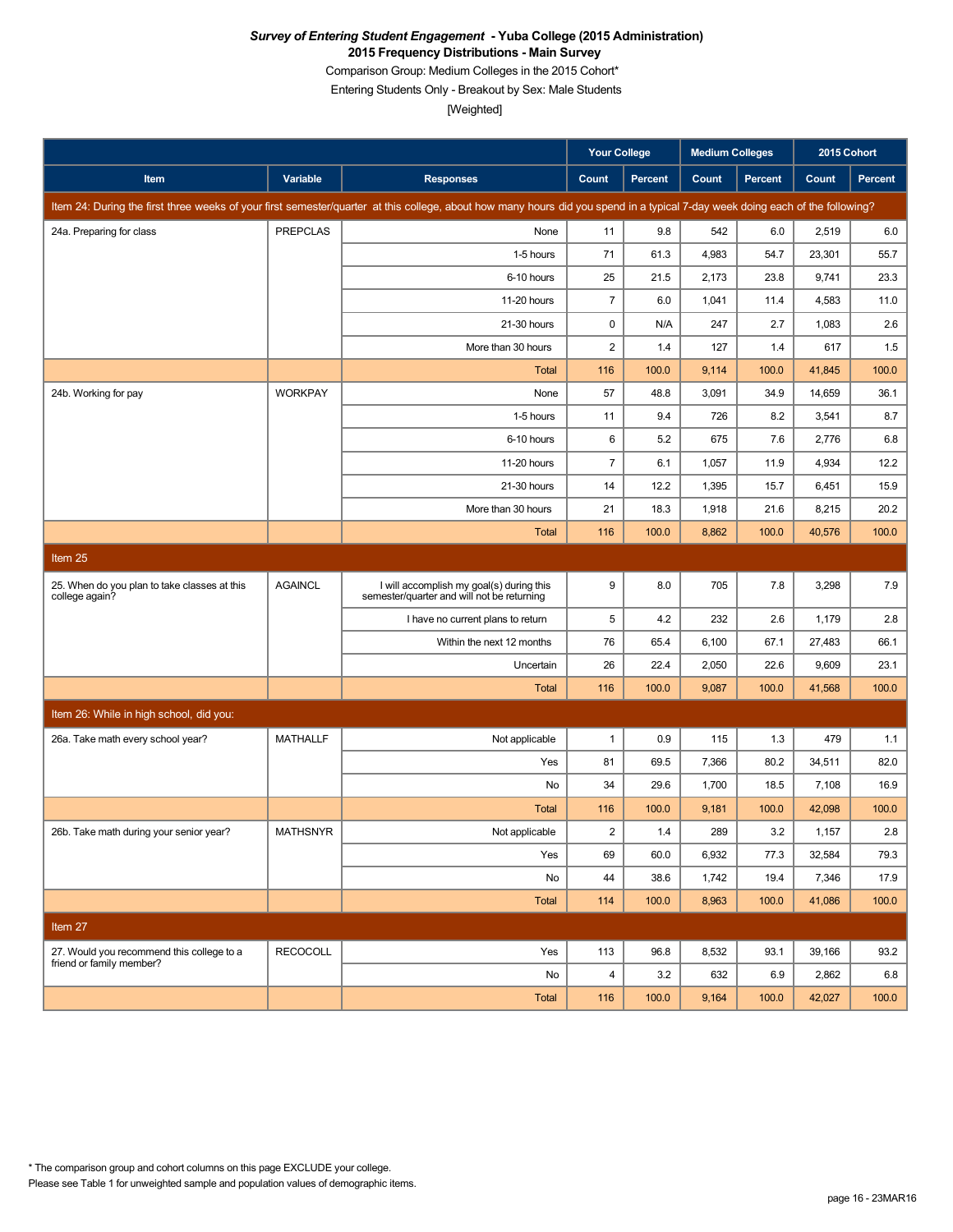Comparison Group: Medium Colleges in the 2015 Cohort\*

Entering Students Only - Breakout by Sex: Male Students

[Weighted]

|                                                                |                 |                                                                                                                                                                               | <b>Your College</b> |         | <b>Medium Colleges</b> |         | 2015 Cohort |                |
|----------------------------------------------------------------|-----------------|-------------------------------------------------------------------------------------------------------------------------------------------------------------------------------|---------------------|---------|------------------------|---------|-------------|----------------|
| Item                                                           | Variable        | <b>Responses</b>                                                                                                                                                              | Count               | Percent | Count                  | Percent | Count       | <b>Percent</b> |
|                                                                |                 | Item 24: During the first three weeks of your first semester/quarter at this college, about how many hours did you spend in a typical 7-day week doing each of the following? |                     |         |                        |         |             |                |
| 24a. Preparing for class                                       | <b>PREPCLAS</b> | None                                                                                                                                                                          | 11                  | 9.8     | 542                    | 6.0     | 2,519       | 6.0            |
|                                                                |                 | 1-5 hours                                                                                                                                                                     | 71                  | 61.3    | 4,983                  | 54.7    | 23,301      | 55.7           |
|                                                                |                 | 6-10 hours                                                                                                                                                                    | 25                  | 21.5    | 2,173                  | 23.8    | 9,741       | 23.3           |
|                                                                |                 | 11-20 hours                                                                                                                                                                   | $\overline{7}$      | 6.0     | 1,041                  | 11.4    | 4,583       | 11.0           |
|                                                                |                 | 21-30 hours                                                                                                                                                                   | 0                   | N/A     | 247                    | 2.7     | 1,083       | 2.6            |
|                                                                |                 | More than 30 hours                                                                                                                                                            | $\overline{c}$      | 1.4     | 127                    | 1.4     | 617         | 1.5            |
|                                                                |                 | Total                                                                                                                                                                         | 116                 | 100.0   | 9,114                  | 100.0   | 41,845      | 100.0          |
| 24b. Working for pay                                           | <b>WORKPAY</b>  | None                                                                                                                                                                          | 57                  | 48.8    | 3,091                  | 34.9    | 14,659      | 36.1           |
|                                                                |                 | 1-5 hours                                                                                                                                                                     | 11                  | 9.4     | 726                    | 8.2     | 3,541       | 8.7            |
|                                                                |                 | 6-10 hours                                                                                                                                                                    | 6                   | 5.2     | 675                    | 7.6     | 2,776       | 6.8            |
|                                                                |                 | 11-20 hours                                                                                                                                                                   | $\overline{7}$      | 6.1     | 1,057                  | 11.9    | 4,934       | 12.2           |
|                                                                |                 | 21-30 hours                                                                                                                                                                   | 14                  | 12.2    | 1,395                  | 15.7    | 6,451       | 15.9           |
|                                                                |                 | More than 30 hours                                                                                                                                                            | 21                  | 18.3    | 1,918                  | 21.6    | 8,215       | 20.2           |
|                                                                |                 | Total                                                                                                                                                                         | 116                 | 100.0   | 8,862                  | 100.0   | 40,576      | 100.0          |
| Item 25                                                        |                 |                                                                                                                                                                               |                     |         |                        |         |             |                |
| 25. When do you plan to take classes at this<br>college again? | <b>AGAINCL</b>  | I will accomplish my goal(s) during this<br>semester/quarter and will not be returning                                                                                        | 9                   | 8.0     | 705                    | 7.8     | 3,298       | 7.9            |
|                                                                |                 | I have no current plans to return                                                                                                                                             | 5                   | 4.2     | 232                    | 2.6     | 1,179       | 2.8            |
|                                                                |                 | Within the next 12 months                                                                                                                                                     | 76                  | 65.4    | 6,100                  | 67.1    | 27,483      | 66.1           |
|                                                                |                 | Uncertain                                                                                                                                                                     | 26                  | 22.4    | 2,050                  | 22.6    | 9,609       | 23.1           |
|                                                                |                 | <b>Total</b>                                                                                                                                                                  | 116                 | 100.0   | 9,087                  | 100.0   | 41,568      | 100.0          |
| Item 26: While in high school, did you:                        |                 |                                                                                                                                                                               |                     |         |                        |         |             |                |
| 26a. Take math every school year?                              | <b>MATHALLF</b> | Not applicable                                                                                                                                                                | $\mathbf{1}$        | 0.9     | 115                    | 1.3     | 479         | 1.1            |
|                                                                |                 | Yes                                                                                                                                                                           | 81                  | 69.5    | 7,366                  | 80.2    | 34,511      | 82.0           |
|                                                                |                 | No                                                                                                                                                                            | 34                  | 29.6    | 1,700                  | 18.5    | 7,108       | 16.9           |
|                                                                |                 | Total                                                                                                                                                                         | 116                 | 100.0   | 9,181                  | 100.0   | 42,098      | 100.0          |
| 26b. Take math during your senior year?                        | <b>MATHSNYR</b> | Not applicable                                                                                                                                                                | $\overline{2}$      | 1.4     | 289                    | 3.2     | 1,157       | 2.8            |
|                                                                |                 | Yes                                                                                                                                                                           | 69                  | 60.0    | 6,932                  | 77.3    | 32,584      | 79.3           |
|                                                                |                 | No                                                                                                                                                                            | 44                  | 38.6    | 1,742                  | 19.4    | 7,346       | 17.9           |
|                                                                |                 | Total                                                                                                                                                                         | 114                 | 100.0   | 8,963                  | 100.0   | 41,086      | 100.0          |
| Item 27                                                        |                 |                                                                                                                                                                               |                     |         |                        |         |             |                |
| 27. Would you recommend this college to a                      | <b>RECOCOLL</b> | Yes                                                                                                                                                                           | 113                 | 96.8    | 8,532                  | 93.1    | 39,166      | 93.2           |
| friend or family member?                                       |                 | No                                                                                                                                                                            | $\overline{4}$      | 3.2     | 632                    | 6.9     | 2,862       | 6.8            |
|                                                                |                 | Total                                                                                                                                                                         | 116                 | 100.0   | 9,164                  | 100.0   | 42,027      | 100.0          |

Please see Table 1 for unweighted sample and population values of demographic items. \* The comparison group and cohort columns on this page EXCLUDE your college.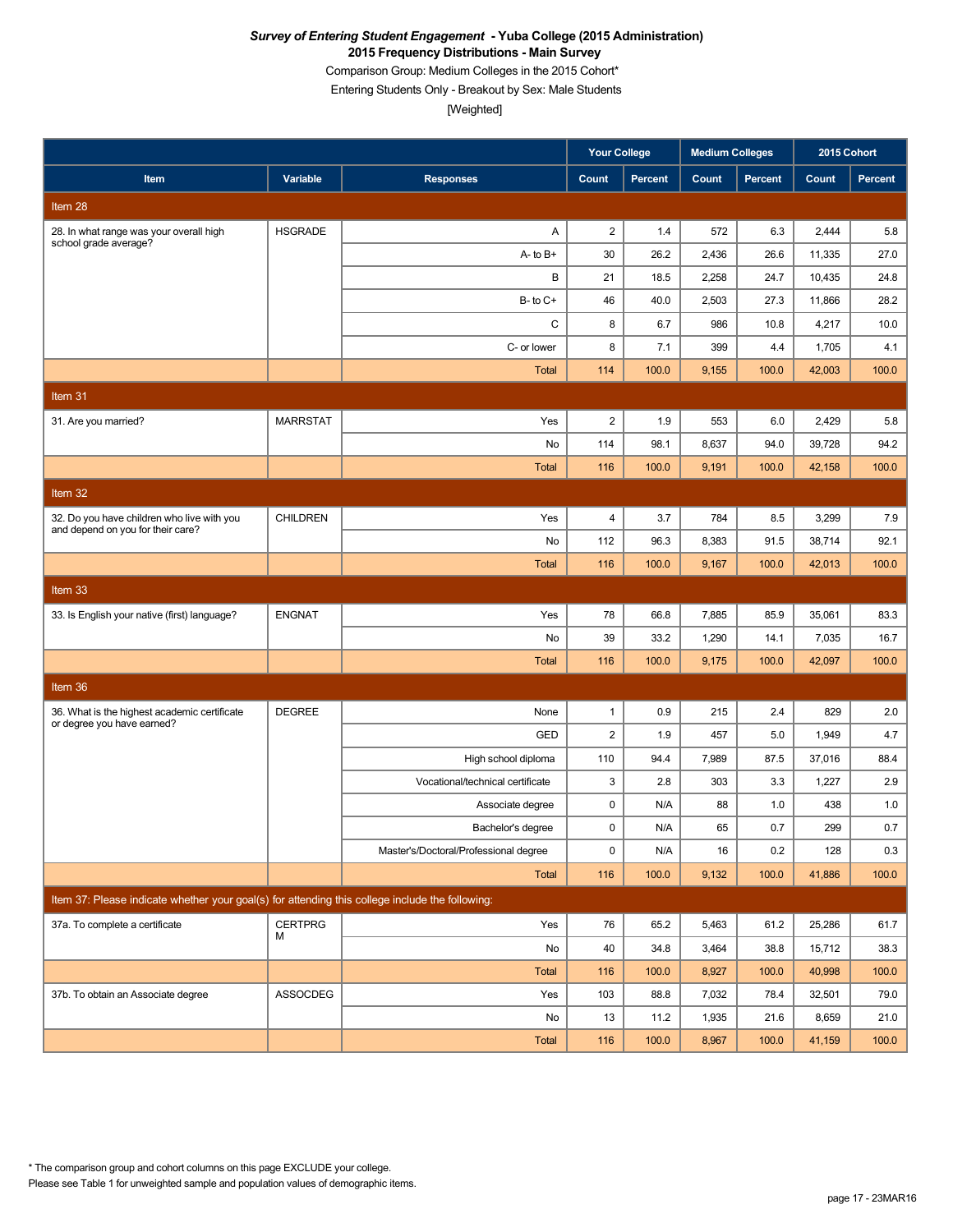Comparison Group: Medium Colleges in the 2015 Cohort\*

Entering Students Only - Breakout by Sex: Male Students

|                                                                                                 |                 |                                       | Your College   |         | <b>Medium Colleges</b> |         | 2015 Cohort |         |
|-------------------------------------------------------------------------------------------------|-----------------|---------------------------------------|----------------|---------|------------------------|---------|-------------|---------|
| Item                                                                                            | Variable        | <b>Responses</b>                      | Count          | Percent | Count                  | Percent | Count       | Percent |
| Item 28                                                                                         |                 |                                       |                |         |                        |         |             |         |
| 28. In what range was your overall high<br>school grade average?                                | <b>HSGRADE</b>  | Α                                     | $\overline{2}$ | 1.4     | 572                    | 6.3     | 2,444       | 5.8     |
|                                                                                                 |                 | $A - to B +$                          | 30             | 26.2    | 2,436                  | 26.6    | 11,335      | 27.0    |
|                                                                                                 |                 | B                                     | 21             | 18.5    | 2,258                  | 24.7    | 10,435      | 24.8    |
|                                                                                                 |                 | $B - to C +$                          | 46             | 40.0    | 2,503                  | 27.3    | 11,866      | 28.2    |
|                                                                                                 |                 | C                                     | 8              | 6.7     | 986                    | 10.8    | 4,217       | 10.0    |
|                                                                                                 |                 | C- or lower                           | 8              | 7.1     | 399                    | 4.4     | 1,705       | 4.1     |
|                                                                                                 |                 | <b>Total</b>                          | 114            | 100.0   | 9,155                  | 100.0   | 42,003      | 100.0   |
| Item 31                                                                                         |                 |                                       |                |         |                        |         |             |         |
| 31. Are you married?                                                                            | <b>MARRSTAT</b> | Yes                                   | $\overline{c}$ | 1.9     | 553                    | 6.0     | 2,429       | 5.8     |
|                                                                                                 |                 | No                                    | 114            | 98.1    | 8,637                  | 94.0    | 39,728      | 94.2    |
|                                                                                                 |                 | Total                                 | 116            | 100.0   | 9,191                  | 100.0   | 42,158      | 100.0   |
| Item $32$                                                                                       |                 |                                       |                |         |                        |         |             |         |
| 32. Do you have children who live with you                                                      | <b>CHILDREN</b> | Yes                                   | $\overline{4}$ | 3.7     | 784                    | 8.5     | 3,299       | 7.9     |
| and depend on you for their care?                                                               |                 | No                                    | 112            | 96.3    | 8,383                  | 91.5    | 38,714      | 92.1    |
|                                                                                                 |                 | <b>Total</b>                          | 116            | 100.0   | 9,167                  | 100.0   | 42,013      | 100.0   |
| Item 33                                                                                         |                 |                                       |                |         |                        |         |             |         |
| 33. Is English your native (first) language?                                                    | <b>ENGNAT</b>   | Yes                                   | 78             | 66.8    | 7,885                  | 85.9    | 35,061      | 83.3    |
|                                                                                                 |                 | No                                    | 39             | 33.2    | 1,290                  | 14.1    | 7,035       | 16.7    |
|                                                                                                 |                 | Total                                 | 116            | 100.0   | 9,175                  | 100.0   | 42,097      | 100.0   |
| Item 36                                                                                         |                 |                                       |                |         |                        |         |             |         |
| 36. What is the highest academic certificate                                                    | <b>DEGREE</b>   | None                                  | $\mathbf{1}$   | 0.9     | 215                    | 2.4     | 829         | 2.0     |
| or degree you have earned?                                                                      |                 | GED                                   | $\overline{c}$ | 1.9     | 457                    | 5.0     | 1,949       | 4.7     |
|                                                                                                 |                 | High school diploma                   | 110            | 94.4    | 7,989                  | 87.5    | 37,016      | 88.4    |
|                                                                                                 |                 | Vocational/technical certificate      | 3              | 2.8     | 303                    | 3.3     | 1,227       | 2.9     |
|                                                                                                 |                 | Associate degree                      | 0              | N/A     | 88                     | 1.0     | 438         | 1.0     |
|                                                                                                 |                 | Bachelor's degree                     | 0              | N/A     | 65                     | 0.7     | 299         | 0.7     |
|                                                                                                 |                 | Master's/Doctoral/Professional degree | $\pmb{0}$      | N/A     | 16                     | 0.2     | 128         | 0.3     |
|                                                                                                 |                 | Total                                 | 116            | 100.0   | 9,132                  | 100.0   | 41,886      | 100.0   |
| Item 37: Please indicate whether your goal(s) for attending this college include the following: |                 |                                       |                |         |                        |         |             |         |
| 37a. To complete a certificate                                                                  | <b>CERTPRG</b>  | Yes                                   | 76             | 65.2    | 5,463                  | 61.2    | 25,286      | 61.7    |
|                                                                                                 | м               | No                                    | 40             | 34.8    | 3,464                  | 38.8    | 15,712      | 38.3    |
|                                                                                                 |                 | Total                                 | 116            | 100.0   | 8,927                  | 100.0   | 40,998      | 100.0   |
| 37b. To obtain an Associate degree                                                              | ASSOCDEG        | Yes                                   | 103            | 88.8    | 7,032                  | 78.4    | 32,501      | 79.0    |
|                                                                                                 |                 | No                                    | 13             | 11.2    | 1,935                  | 21.6    | 8,659       | 21.0    |
|                                                                                                 |                 | Total                                 | 116            | 100.0   | 8,967                  | 100.0   | 41,159      | 100.0   |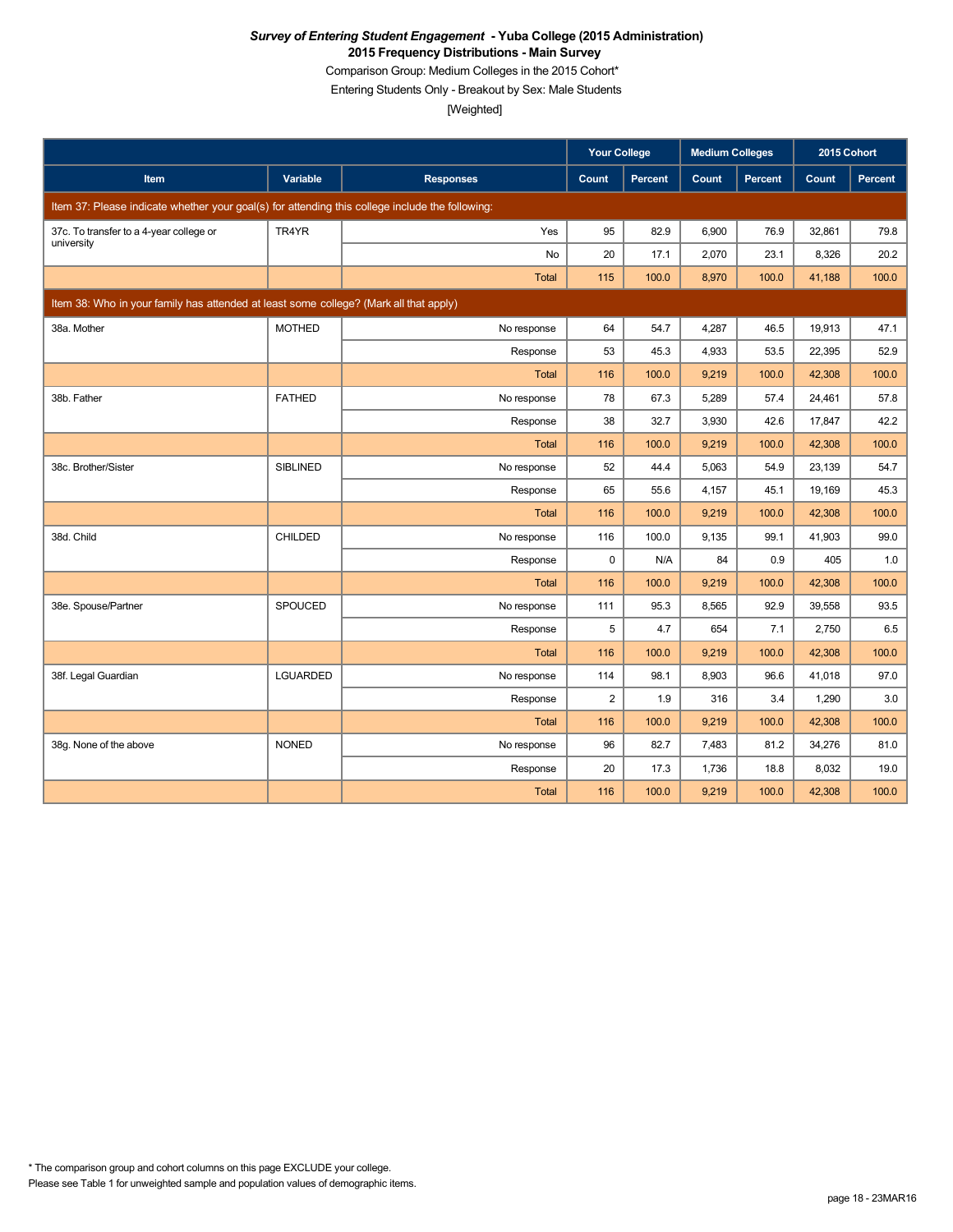Comparison Group: Medium Colleges in the 2015 Cohort\*

Entering Students Only - Breakout by Sex: Male Students

|                                                                                                 |                 |                  | <b>Your College</b> |         | <b>Medium Colleges</b> |         | 2015 Cohort |         |
|-------------------------------------------------------------------------------------------------|-----------------|------------------|---------------------|---------|------------------------|---------|-------------|---------|
| <b>Item</b>                                                                                     | Variable        | <b>Responses</b> | Count               | Percent | Count                  | Percent | Count       | Percent |
| Item 37: Please indicate whether your goal(s) for attending this college include the following: |                 |                  |                     |         |                        |         |             |         |
| 37c. To transfer to a 4-year college or                                                         | TR4YR           | Yes              | 95                  | 82.9    | 6.900                  | 76.9    | 32,861      | 79.8    |
| university                                                                                      |                 | No               | 20                  | 17.1    | 2,070                  | 23.1    | 8,326       | 20.2    |
|                                                                                                 |                 | Total            | 115                 | 100.0   | 8,970                  | 100.0   | 41,188      | 100.0   |
| Item 38: Who in your family has attended at least some college? (Mark all that apply)           |                 |                  |                     |         |                        |         |             |         |
| 38a. Mother                                                                                     | <b>MOTHED</b>   | No response      | 64                  | 54.7    | 4,287                  | 46.5    | 19,913      | 47.1    |
|                                                                                                 |                 | Response         | 53                  | 45.3    | 4,933                  | 53.5    | 22,395      | 52.9    |
|                                                                                                 |                 | Total            | 116                 | 100.0   | 9,219                  | 100.0   | 42,308      | 100.0   |
| 38b. Father                                                                                     | <b>FATHED</b>   | No response      | 78                  | 67.3    | 5,289                  | 57.4    | 24,461      | 57.8    |
|                                                                                                 |                 | Response         | 38                  | 32.7    | 3,930                  | 42.6    | 17,847      | 42.2    |
|                                                                                                 |                 | Total            | 116                 | 100.0   | 9,219                  | 100.0   | 42,308      | 100.0   |
| 38c. Brother/Sister                                                                             | <b>SIBLINED</b> | No response      | 52                  | 44.4    | 5,063                  | 54.9    | 23,139      | 54.7    |
|                                                                                                 |                 | Response         | 65                  | 55.6    | 4,157                  | 45.1    | 19,169      | 45.3    |
|                                                                                                 |                 | Total            | 116                 | 100.0   | 9,219                  | 100.0   | 42,308      | 100.0   |
| 38d. Child                                                                                      | CHILDED         | No response      | 116                 | 100.0   | 9,135                  | 99.1    | 41,903      | 99.0    |
|                                                                                                 |                 | Response         | 0                   | N/A     | 84                     | 0.9     | 405         | 1.0     |
|                                                                                                 |                 | Total            | 116                 | 100.0   | 9,219                  | 100.0   | 42,308      | 100.0   |
| 38e. Spouse/Partner                                                                             | SPOUCED         | No response      | 111                 | 95.3    | 8,565                  | 92.9    | 39,558      | 93.5    |
|                                                                                                 |                 | Response         | 5                   | 4.7     | 654                    | 7.1     | 2,750       | 6.5     |
|                                                                                                 |                 | Total            | 116                 | 100.0   | 9,219                  | 100.0   | 42,308      | 100.0   |
| 38f. Legal Guardian                                                                             | LGUARDED        | No response      | 114                 | 98.1    | 8,903                  | 96.6    | 41,018      | 97.0    |
|                                                                                                 |                 | Response         | $\overline{c}$      | 1.9     | 316                    | 3.4     | 1,290       | 3.0     |
|                                                                                                 |                 | Total            | 116                 | 100.0   | 9,219                  | 100.0   | 42,308      | 100.0   |
| 38g. None of the above                                                                          | <b>NONED</b>    | No response      | 96                  | 82.7    | 7,483                  | 81.2    | 34,276      | 81.0    |
|                                                                                                 |                 | Response         | 20                  | 17.3    | 1,736                  | 18.8    | 8,032       | 19.0    |
|                                                                                                 |                 | <b>Total</b>     | 116                 | 100.0   | 9,219                  | 100.0   | 42.308      | 100.0   |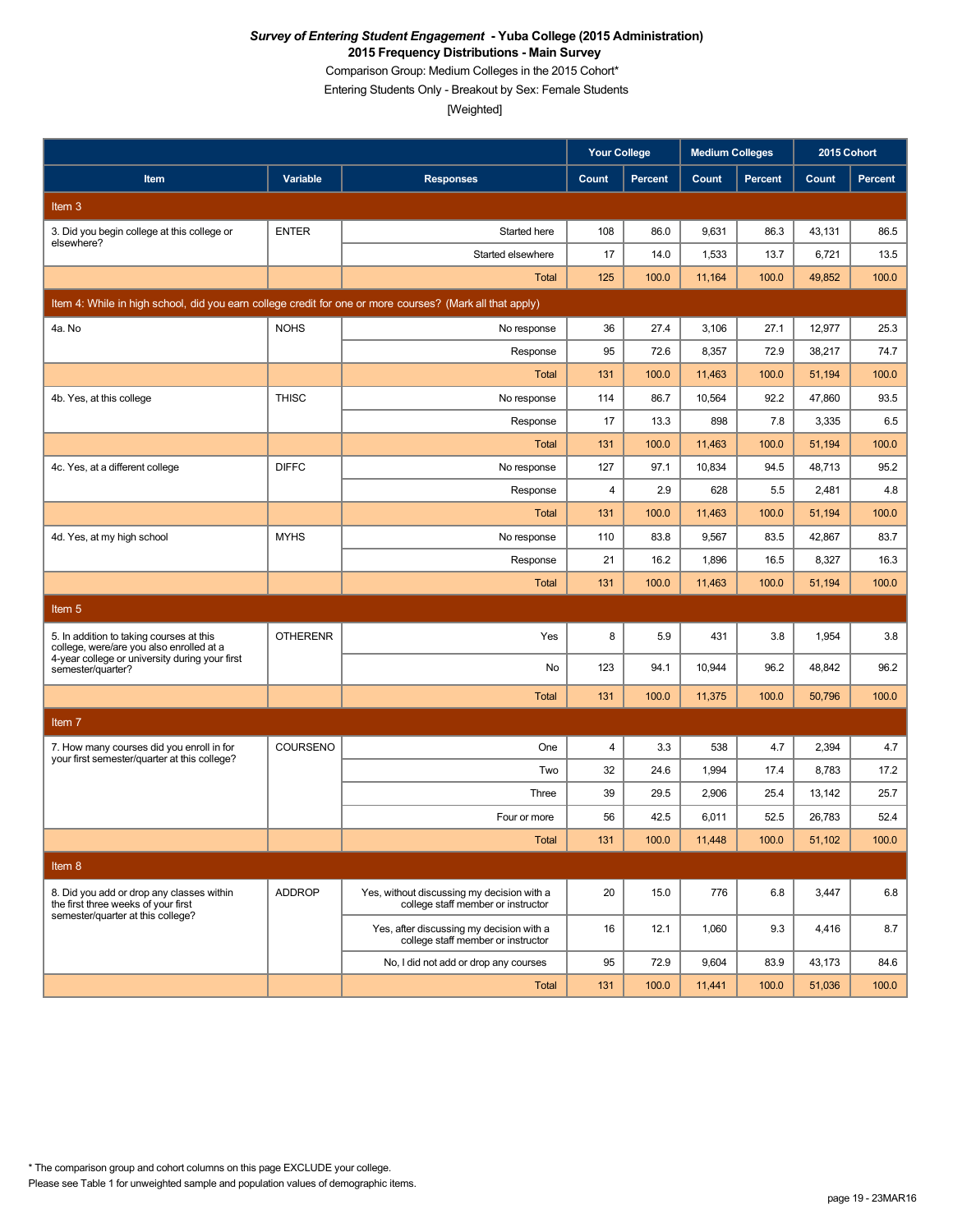Comparison Group: Medium Colleges in the 2015 Cohort\*

Entering Students Only - Breakout by Sex: Female Students

|                                                                                                          |                 |                                                                                  | <b>Your College</b> |                | <b>Medium Colleges</b> |         | 2015 Cohort |                |
|----------------------------------------------------------------------------------------------------------|-----------------|----------------------------------------------------------------------------------|---------------------|----------------|------------------------|---------|-------------|----------------|
| Item                                                                                                     | Variable        | <b>Responses</b>                                                                 | Count               | <b>Percent</b> | Count                  | Percent | Count       | <b>Percent</b> |
| Item <sub>3</sub>                                                                                        |                 |                                                                                  |                     |                |                        |         |             |                |
| 3. Did you begin college at this college or                                                              | <b>ENTER</b>    | Started here                                                                     | 108                 | 86.0           | 9,631                  | 86.3    | 43,131      | 86.5           |
| elsewhere?                                                                                               |                 | Started elsewhere                                                                | 17                  | 14.0           | 1,533                  | 13.7    | 6,721       | 13.5           |
|                                                                                                          |                 | Total                                                                            | 125                 | 100.0          | 11,164                 | 100.0   | 49,852      | 100.0          |
| Item 4: While in high school, did you earn college credit for one or more courses? (Mark all that apply) |                 |                                                                                  |                     |                |                        |         |             |                |
| 4a. No                                                                                                   | <b>NOHS</b>     | No response                                                                      | 36                  | 27.4           | 3,106                  | 27.1    | 12,977      | 25.3           |
|                                                                                                          |                 | Response                                                                         | 95                  | 72.6           | 8,357                  | 72.9    | 38,217      | 74.7           |
|                                                                                                          |                 | <b>Total</b>                                                                     | 131                 | 100.0          | 11,463                 | 100.0   | 51,194      | 100.0          |
| 4b. Yes, at this college                                                                                 | <b>THISC</b>    | No response                                                                      | 114                 | 86.7           | 10,564                 | 92.2    | 47,860      | 93.5           |
|                                                                                                          |                 | Response                                                                         | 17                  | 13.3           | 898                    | 7.8     | 3,335       | 6.5            |
|                                                                                                          |                 | <b>Total</b>                                                                     | 131                 | 100.0          | 11,463                 | 100.0   | 51,194      | 100.0          |
| 4c. Yes, at a different college                                                                          | <b>DIFFC</b>    | No response                                                                      | 127                 | 97.1           | 10,834                 | 94.5    | 48,713      | 95.2           |
|                                                                                                          |                 | Response                                                                         | 4                   | 2.9            | 628                    | 5.5     | 2,481       | 4.8            |
|                                                                                                          |                 | <b>Total</b>                                                                     | 131                 | 100.0          | 11,463                 | 100.0   | 51,194      | 100.0          |
| 4d. Yes, at my high school                                                                               | <b>MYHS</b>     | No response                                                                      | 110                 | 83.8           | 9,567                  | 83.5    | 42,867      | 83.7           |
|                                                                                                          |                 | Response                                                                         | 21                  | 16.2           | 1,896                  | 16.5    | 8,327       | 16.3           |
|                                                                                                          |                 | <b>Total</b>                                                                     | 131                 | 100.0          | 11,463                 | 100.0   | 51,194      | 100.0          |
| Item <sub>5</sub>                                                                                        |                 |                                                                                  |                     |                |                        |         |             |                |
| 5. In addition to taking courses at this<br>college, were/are you also enrolled at a                     | <b>OTHERENR</b> | Yes                                                                              | 8                   | 5.9            | 431                    | 3.8     | 1,954       | 3.8            |
| 4-year college or university during your first<br>semester/quarter?                                      |                 | No                                                                               | 123                 | 94.1           | 10,944                 | 96.2    | 48,842      | 96.2           |
|                                                                                                          |                 | <b>Total</b>                                                                     | 131                 | 100.0          | 11,375                 | 100.0   | 50,796      | 100.0          |
| Item 7                                                                                                   |                 |                                                                                  |                     |                |                        |         |             |                |
| 7. How many courses did you enroll in for                                                                | COURSENO        | One                                                                              | 4                   | 3.3            | 538                    | 4.7     | 2,394       | 4.7            |
| your first semester/quarter at this college?                                                             |                 | Two                                                                              | 32                  | 24.6           | 1,994                  | 17.4    | 8,783       | 17.2           |
|                                                                                                          |                 | Three                                                                            | 39                  | 29.5           | 2,906                  | 25.4    | 13.142      | 25.7           |
|                                                                                                          |                 | Four or more                                                                     | 56                  | 42.5           | 6,011                  | 52.5    | 26,783      | 52.4           |
|                                                                                                          |                 | Total                                                                            | 131                 | 100.0          | 11,448                 | 100.0   | 51,102      | 100.0          |
| Item 8                                                                                                   |                 |                                                                                  |                     |                |                        |         |             |                |
| 8. Did you add or drop any classes within<br>the first three weeks of your first                         | <b>ADDROP</b>   | Yes, without discussing my decision with a<br>college staff member or instructor | 20                  | 15.0           | 776                    | 6.8     | 3,447       | 6.8            |
| semester/quarter at this college?                                                                        |                 | Yes, after discussing my decision with a<br>college staff member or instructor   | 16                  | 12.1           | 1,060                  | 9.3     | 4,416       | 8.7            |
|                                                                                                          |                 | No, I did not add or drop any courses                                            | 95                  | 72.9           | 9,604                  | 83.9    | 43,173      | 84.6           |
|                                                                                                          |                 | Total                                                                            | 131                 | 100.0          | 11,441                 | 100.0   | 51,036      | 100.0          |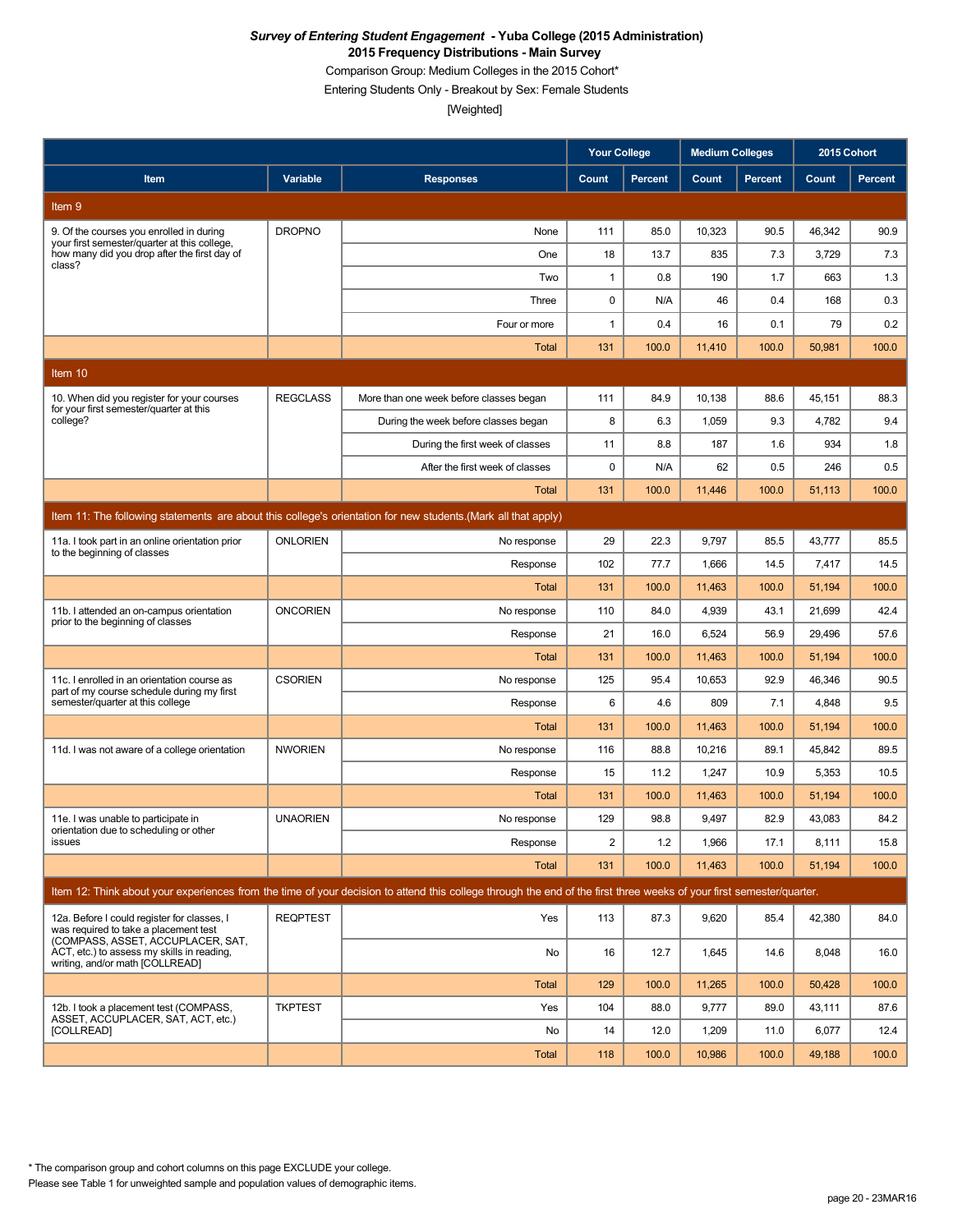Comparison Group: Medium Colleges in the 2015 Cohort\*

Entering Students Only - Breakout by Sex: Female Students

[Weighted]

|                                                                                                                                                                         |                 |                                                                                                                                                                      | <b>Your College</b> |              | <b>Medium Colleges</b> |               | 2015 Cohort     |                |
|-------------------------------------------------------------------------------------------------------------------------------------------------------------------------|-----------------|----------------------------------------------------------------------------------------------------------------------------------------------------------------------|---------------------|--------------|------------------------|---------------|-----------------|----------------|
| Item                                                                                                                                                                    | Variable        | <b>Responses</b>                                                                                                                                                     | Count               | Percent      | Count                  | Percent       | Count           | <b>Percent</b> |
| Item 9                                                                                                                                                                  |                 |                                                                                                                                                                      |                     |              |                        |               |                 |                |
| 9. Of the courses you enrolled in during                                                                                                                                | <b>DROPNO</b>   | None                                                                                                                                                                 | 111                 | 85.0         | 10,323                 | 90.5          | 46,342          | 90.9           |
| your first semester/quarter at this college.<br>how many did you drop after the first day of<br>class?                                                                  |                 | One                                                                                                                                                                  | 18                  | 13.7         | 835                    | 7.3           | 3,729           | 7.3            |
|                                                                                                                                                                         |                 | Two                                                                                                                                                                  | $\mathbf{1}$        | 0.8          | 190                    | 1.7           | 663             | 1.3            |
|                                                                                                                                                                         |                 | Three                                                                                                                                                                | 0                   | N/A          | 46                     | 0.4           | 168             | 0.3            |
|                                                                                                                                                                         |                 | Four or more                                                                                                                                                         | 1                   | 0.4          | 16                     | 0.1           | 79              | 0.2            |
|                                                                                                                                                                         |                 | <b>Total</b>                                                                                                                                                         | 131                 | 100.0        | 11,410                 | 100.0         | 50,981          | 100.0          |
| Item 10                                                                                                                                                                 |                 |                                                                                                                                                                      |                     |              |                        |               |                 |                |
| 10. When did you register for your courses<br>for your first semester/quarter at this                                                                                   | <b>REGCLASS</b> | More than one week before classes began                                                                                                                              | 111                 | 84.9         | 10,138                 | 88.6          | 45,151          | 88.3           |
| college?                                                                                                                                                                |                 | During the week before classes began                                                                                                                                 | 8                   | 6.3          | 1,059                  | 9.3           | 4,782           | 9.4            |
|                                                                                                                                                                         |                 | During the first week of classes                                                                                                                                     | 11                  | 8.8          | 187                    | 1.6           | 934             | 1.8            |
|                                                                                                                                                                         |                 | After the first week of classes                                                                                                                                      | 0                   | N/A          | 62                     | 0.5           | 246             | 0.5            |
|                                                                                                                                                                         |                 | Total                                                                                                                                                                | 131                 | 100.0        | 11,446                 | 100.0         | 51,113          | 100.0          |
|                                                                                                                                                                         |                 | Item 11: The following statements are about this college's orientation for new students. (Mark all that apply)                                                       |                     |              |                        |               |                 |                |
| 11a. I took part in an online orientation prior<br>to the beginning of classes                                                                                          | <b>ONLORIEN</b> | No response                                                                                                                                                          | 29                  | 22.3         | 9,797                  | 85.5          | 43,777          | 85.5           |
|                                                                                                                                                                         |                 | Response                                                                                                                                                             | 102                 | 77.7         | 1,666                  | 14.5          | 7,417           | 14.5           |
|                                                                                                                                                                         |                 | <b>Total</b>                                                                                                                                                         | 131                 | 100.0        | 11,463                 | 100.0         | 51,194          | 100.0          |
| 11b. I attended an on-campus orientation<br>prior to the beginning of classes                                                                                           | <b>ONCORIEN</b> | No response                                                                                                                                                          | 110                 | 84.0         | 4,939                  | 43.1          | 21,699          | 42.4           |
|                                                                                                                                                                         |                 | Response                                                                                                                                                             | 21                  | 16.0         | 6,524                  | 56.9          | 29,496          | 57.6           |
|                                                                                                                                                                         |                 | Total                                                                                                                                                                | 131                 | 100.0        | 11,463                 | 100.0         | 51,194          | 100.0          |
| 11c. I enrolled in an orientation course as<br>part of my course schedule during my first                                                                               | <b>CSORIEN</b>  | No response                                                                                                                                                          | 125                 | 95.4         | 10,653                 | 92.9          | 46,346          | 90.5           |
| semester/quarter at this college                                                                                                                                        |                 | Response                                                                                                                                                             | 6                   | 4.6          | 809                    | 7.1           | 4,848           | 9.5            |
|                                                                                                                                                                         |                 | Total                                                                                                                                                                | 131                 | 100.0        | 11,463                 | 100.0         | 51,194          | 100.0          |
| 11d. I was not aware of a college orientation                                                                                                                           | <b>NWORIEN</b>  | No response                                                                                                                                                          | 116                 | 88.8         | 10,216                 | 89.1          | 45,842          | 89.5           |
|                                                                                                                                                                         |                 | Response                                                                                                                                                             | 15                  | 11.2         | 1,247                  | 10.9          | 5,353           | 10.5           |
|                                                                                                                                                                         | <b>UNAORIEN</b> | <b>Total</b>                                                                                                                                                         | 131<br>129          | 100.0        | 11,463                 | 100.0<br>82.9 | 51,194          | 100.0          |
| 11e. I was unable to participate in<br>orientation due to scheduling or other<br>issues                                                                                 |                 | No response<br>Response                                                                                                                                              | 2                   | 98.8<br>1.2  | 9,497<br>1,966         | 17.1          | 43,083<br>8,111 | 84.2<br>15.8   |
|                                                                                                                                                                         |                 | <b>Total</b>                                                                                                                                                         | 131                 | 100.0        | 11,463                 | 100.0         | 51,194          | 100.0          |
|                                                                                                                                                                         |                 | Item 12: Think about your experiences from the time of your decision to attend this college through the end of the first three weeks of your first semester/quarter. |                     |              |                        |               |                 |                |
|                                                                                                                                                                         |                 |                                                                                                                                                                      |                     |              |                        |               |                 |                |
| 12a. Before I could register for classes, I<br>was required to take a placement test<br>(COMPASS, ASSET, ACCUPLACER, SAT,<br>ACT, etc.) to assess my skills in reading. | <b>REQPTEST</b> | Yes                                                                                                                                                                  | 113                 | 87.3         | 9,620                  | 85.4          | 42,380          | 84.0           |
| writing, and/or math [COLLREAD]                                                                                                                                         |                 | No                                                                                                                                                                   | 16                  | 12.7         | 1,645                  | 14.6          | 8,048           | 16.0           |
| 12b. I took a placement test (COMPASS.                                                                                                                                  |                 | <b>Total</b>                                                                                                                                                         | 129                 | 100.0        | 11,265                 | 100.0         | 50,428          | 100.0          |
| ASSET, ACCUPLACER, SAT, ACT, etc.)<br>[COLLREAD]                                                                                                                        | <b>TKPTEST</b>  | Yes                                                                                                                                                                  | 104<br>14           | 88.0<br>12.0 | 9,777                  | 89.0          | 43,111          | 87.6<br>12.4   |
|                                                                                                                                                                         |                 | No<br><b>Total</b>                                                                                                                                                   | 118                 | 100.0        | 1,209                  | 11.0<br>100.0 | 6,077           | 100.0          |
|                                                                                                                                                                         |                 |                                                                                                                                                                      |                     |              | 10,986                 |               | 49,188          |                |

\* The comparison group and cohort columns on this page EXCLUDE your college.

Please see Table 1 for unweighted sample and population values of demographic items.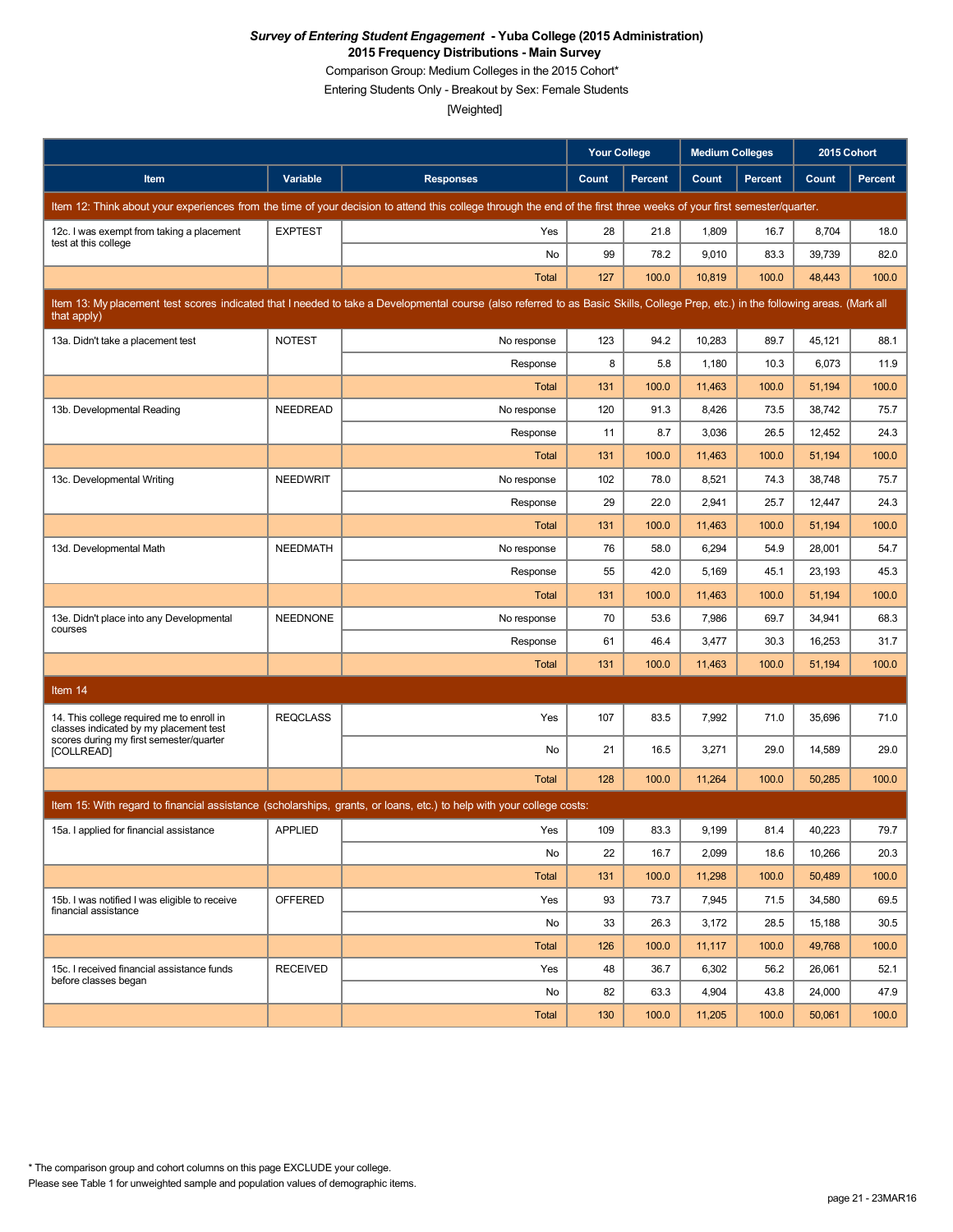Comparison Group: Medium Colleges in the 2015 Cohort\*

Entering Students Only - Breakout by Sex: Female Students

|                                                                                     |                 |                                                                                                                                                                                   | <b>Your College</b> |                | <b>Medium Colleges</b> |                | 2015 Cohort |         |
|-------------------------------------------------------------------------------------|-----------------|-----------------------------------------------------------------------------------------------------------------------------------------------------------------------------------|---------------------|----------------|------------------------|----------------|-------------|---------|
| Item                                                                                | Variable        | <b>Responses</b>                                                                                                                                                                  | Count               | <b>Percent</b> | Count                  | <b>Percent</b> | Count       | Percent |
|                                                                                     |                 | Item 12: Think about your experiences from the time of your decision to attend this college through the end of the first three weeks of your first semester/quarter.              |                     |                |                        |                |             |         |
| 12c. I was exempt from taking a placement<br>test at this college                   | <b>EXPTEST</b>  | Yes                                                                                                                                                                               | 28                  | 21.8           | 1,809                  | 16.7           | 8,704       | 18.0    |
|                                                                                     |                 | No                                                                                                                                                                                | 99                  | 78.2           | 9,010                  | 83.3           | 39,739      | 82.0    |
|                                                                                     |                 | <b>Total</b>                                                                                                                                                                      | 127                 | 100.0          | 10,819                 | 100.0          | 48,443      | 100.0   |
| that apply)                                                                         |                 | Item 13: My placement test scores indicated that I needed to take a Developmental course (also referred to as Basic Skills, College Prep, etc.) in the following areas. (Mark all |                     |                |                        |                |             |         |
| 13a. Didn't take a placement test                                                   | <b>NOTEST</b>   | No response                                                                                                                                                                       | 123                 | 94.2           | 10,283                 | 89.7           | 45,121      | 88.1    |
|                                                                                     |                 | Response                                                                                                                                                                          | 8                   | 5.8            | 1,180                  | 10.3           | 6,073       | 11.9    |
|                                                                                     |                 | Total                                                                                                                                                                             | 131                 | 100.0          | 11,463                 | 100.0          | 51,194      | 100.0   |
| 13b. Developmental Reading                                                          | NEEDREAD        | No response                                                                                                                                                                       | 120                 | 91.3           | 8,426                  | 73.5           | 38,742      | 75.7    |
|                                                                                     |                 | Response                                                                                                                                                                          | 11                  | 8.7            | 3,036                  | 26.5           | 12,452      | 24.3    |
|                                                                                     |                 | <b>Total</b>                                                                                                                                                                      | 131                 | 100.0          | 11,463                 | 100.0          | 51,194      | 100.0   |
| 13c. Developmental Writing                                                          | <b>NEEDWRIT</b> | No response                                                                                                                                                                       | 102                 | 78.0           | 8,521                  | 74.3           | 38,748      | 75.7    |
|                                                                                     |                 | Response                                                                                                                                                                          | 29                  | 22.0           | 2,941                  | 25.7           | 12,447      | 24.3    |
|                                                                                     |                 | Total                                                                                                                                                                             | 131                 | 100.0          | 11,463                 | 100.0          | 51,194      | 100.0   |
| 13d. Developmental Math                                                             | <b>NEEDMATH</b> | No response                                                                                                                                                                       | 76                  | 58.0           | 6,294                  | 54.9           | 28,001      | 54.7    |
|                                                                                     |                 | Response                                                                                                                                                                          | 55                  | 42.0           | 5,169                  | 45.1           | 23,193      | 45.3    |
|                                                                                     |                 | Total                                                                                                                                                                             | 131                 | 100.0          | 11,463                 | 100.0          | 51,194      | 100.0   |
| 13e. Didn't place into any Developmental<br>courses                                 | <b>NEEDNONE</b> | No response                                                                                                                                                                       | 70                  | 53.6           | 7,986                  | 69.7           | 34,941      | 68.3    |
|                                                                                     |                 | Response                                                                                                                                                                          | 61                  | 46.4           | 3,477                  | 30.3           | 16,253      | 31.7    |
|                                                                                     |                 | <b>Total</b>                                                                                                                                                                      | 131                 | 100.0          | 11,463                 | 100.0          | 51,194      | 100.0   |
| Item 14                                                                             |                 |                                                                                                                                                                                   |                     |                |                        |                |             |         |
| 14. This college required me to enroll in<br>classes indicated by my placement test | <b>REQCLASS</b> | Yes                                                                                                                                                                               | 107                 | 83.5           | 7,992                  | 71.0           | 35,696      | 71.0    |
| scores during my first semester/quarter<br><b>[COLLREAD]</b>                        |                 | No                                                                                                                                                                                | 21                  | 16.5           | 3,271                  | 29.0           | 14,589      | 29.0    |
|                                                                                     |                 | Total                                                                                                                                                                             | 128                 | 100.0          | 11,264                 | 100.0          | 50,285      | 100.0   |
|                                                                                     |                 | Item 15: With regard to financial assistance (scholarships, grants, or loans, etc.) to help with your college costs:                                                              |                     |                |                        |                |             |         |
| 15a. I applied for financial assistance                                             | <b>APPLIED</b>  | Yes                                                                                                                                                                               | 109                 | 83.3           | 9,199                  | 81.4           | 40,223      | 79.7    |
|                                                                                     |                 | No                                                                                                                                                                                | 22                  | 16.7           | 2,099                  | 18.6           | 10,266      | 20.3    |
|                                                                                     |                 | Total                                                                                                                                                                             | 131                 | 100.0          | 11,298                 | 100.0          | 50,489      | 100.0   |
| 15b. I was notified I was eligible to receive                                       | OFFERED         | Yes                                                                                                                                                                               | 93                  | 73.7           | 7,945                  | 71.5           | 34,580      | 69.5    |
| financial assistance                                                                |                 | No                                                                                                                                                                                | 33                  | 26.3           | 3,172                  | 28.5           | 15,188      | 30.5    |
|                                                                                     |                 | Total                                                                                                                                                                             | 126                 | 100.0          | 11,117                 | 100.0          | 49,768      | 100.0   |
| 15c. I received financial assistance funds                                          | <b>RECEIVED</b> | Yes                                                                                                                                                                               | 48                  | 36.7           | 6,302                  | 56.2           | 26,061      | 52.1    |
| before classes began                                                                |                 | No                                                                                                                                                                                | 82                  | 63.3           | 4,904                  | 43.8           | 24,000      | 47.9    |
|                                                                                     |                 | Total                                                                                                                                                                             | 130                 | 100.0          | 11,205                 | 100.0          | 50,061      | 100.0   |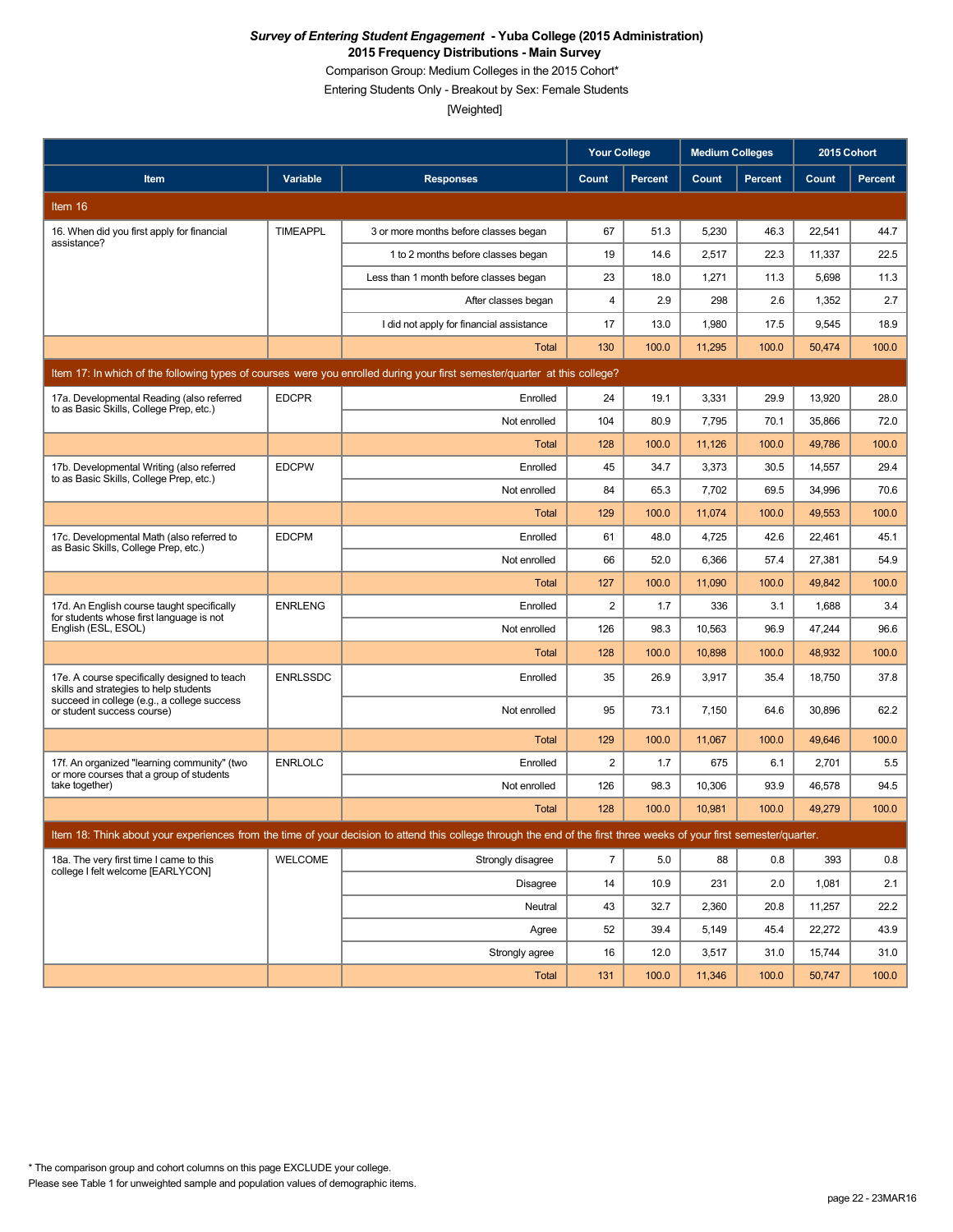Comparison Group: Medium Colleges in the 2015 Cohort\*

Entering Students Only - Breakout by Sex: Female Students

|                                                                                         |                 |                                                                                                                                                                      | <b>Your College</b> |                | <b>Medium Colleges</b> |         | 2015 Cohort |                |
|-----------------------------------------------------------------------------------------|-----------------|----------------------------------------------------------------------------------------------------------------------------------------------------------------------|---------------------|----------------|------------------------|---------|-------------|----------------|
| Item                                                                                    | Variable        | <b>Responses</b>                                                                                                                                                     | Count               | <b>Percent</b> | Count                  | Percent | Count       | <b>Percent</b> |
| Item 16                                                                                 |                 |                                                                                                                                                                      |                     |                |                        |         |             |                |
| 16. When did you first apply for financial<br>assistance?                               | <b>TIMEAPPL</b> | 3 or more months before classes began                                                                                                                                | 67                  | 51.3           | 5,230                  | 46.3    | 22,541      | 44.7           |
|                                                                                         |                 | 1 to 2 months before classes began                                                                                                                                   | 19                  | 14.6           | 2,517                  | 22.3    | 11,337      | 22.5           |
|                                                                                         |                 | Less than 1 month before classes began                                                                                                                               | 23                  | 18.0           | 1,271                  | 11.3    | 5,698       | 11.3           |
|                                                                                         |                 | After classes began                                                                                                                                                  | 4                   | 2.9            | 298                    | 2.6     | 1,352       | 2.7            |
|                                                                                         |                 | I did not apply for financial assistance                                                                                                                             | 17                  | 13.0           | 1,980                  | 17.5    | 9,545       | 18.9           |
|                                                                                         |                 | <b>Total</b>                                                                                                                                                         | 130                 | 100.0          | 11,295                 | 100.0   | 50,474      | 100.0          |
|                                                                                         |                 | Item 17: In which of the following types of courses were you enrolled during your first semester/quarter at this college?                                            |                     |                |                        |         |             |                |
| 17a. Developmental Reading (also referred                                               | <b>EDCPR</b>    | Enrolled                                                                                                                                                             | 24                  | 19.1           | 3,331                  | 29.9    | 13,920      | 28.0           |
| to as Basic Skills, College Prep, etc.)                                                 |                 | Not enrolled                                                                                                                                                         | 104                 | 80.9           | 7,795                  | 70.1    | 35,866      | 72.0           |
|                                                                                         |                 | Total                                                                                                                                                                | 128                 | 100.0          | 11,126                 | 100.0   | 49,786      | 100.0          |
| 17b. Developmental Writing (also referred<br>to as Basic Skills, College Prep, etc.)    | <b>EDCPW</b>    | Enrolled                                                                                                                                                             | 45                  | 34.7           | 3,373                  | 30.5    | 14,557      | 29.4           |
|                                                                                         |                 | Not enrolled                                                                                                                                                         | 84                  | 65.3           | 7,702                  | 69.5    | 34,996      | 70.6           |
|                                                                                         |                 | Total                                                                                                                                                                | 129                 | 100.0          | 11,074                 | 100.0   | 49,553      | 100.0          |
| 17c. Developmental Math (also referred to<br>as Basic Skills, College Prep, etc.)       | <b>EDCPM</b>    | Enrolled                                                                                                                                                             | 61                  | 48.0           | 4,725                  | 42.6    | 22,461      | 45.1           |
|                                                                                         |                 | Not enrolled                                                                                                                                                         | 66                  | 52.0           | 6,366                  | 57.4    | 27,381      | 54.9           |
|                                                                                         |                 | Total                                                                                                                                                                | 127                 | 100.0          | 11,090                 | 100.0   | 49,842      | 100.0          |
| 17d. An English course taught specifically<br>for students whose first language is not  | <b>ENRLENG</b>  | Enrolled                                                                                                                                                             | 2                   | 1.7            | 336                    | 3.1     | 1,688       | 3.4            |
| English (ESL, ESOL)                                                                     |                 | Not enrolled                                                                                                                                                         | 126                 | 98.3           | 10,563                 | 96.9    | 47,244      | 96.6           |
|                                                                                         |                 | Total                                                                                                                                                                | 128                 | 100.0          | 10,898                 | 100.0   | 48,932      | 100.0          |
| 17e. A course specifically designed to teach<br>skills and strategies to help students  | <b>ENRLSSDC</b> | Enrolled                                                                                                                                                             | 35                  | 26.9           | 3,917                  | 35.4    | 18,750      | 37.8           |
| succeed in college (e.g., a college success<br>or student success course)               |                 | Not enrolled                                                                                                                                                         | 95                  | 73.1           | 7,150                  | 64.6    | 30,896      | 62.2           |
|                                                                                         |                 | <b>Total</b>                                                                                                                                                         | 129                 | 100.0          | 11,067                 | 100.0   | 49,646      | 100.0          |
| 17f. An organized "learning community" (two<br>or more courses that a group of students | <b>ENRLOLC</b>  | Enrolled                                                                                                                                                             | 2                   | 1.7            | 675                    | 6.1     | 2,701       | 5.5            |
| take together)                                                                          |                 | Not enrolled                                                                                                                                                         | 126                 | 98.3           | 10,306                 | 93.9    | 46,578      | 94.5           |
|                                                                                         |                 | <b>Total</b>                                                                                                                                                         | 128                 | 100.0          | 10,981                 | 100.0   | 49,279      | 100.0          |
|                                                                                         |                 | Item 18: Think about your experiences from the time of your decision to attend this college through the end of the first three weeks of your first semester/quarter. |                     |                |                        |         |             |                |
| 18a. The very first time I came to this                                                 | <b>WELCOME</b>  | Strongly disagree                                                                                                                                                    | $\overline{7}$      | 5.0            | 88                     | 0.8     | 393         | 0.8            |
| college I felt welcome [EARLYCON]                                                       |                 | Disagree                                                                                                                                                             | 14                  | 10.9           | 231                    | 2.0     | 1,081       | 2.1            |
|                                                                                         |                 | Neutral                                                                                                                                                              | 43                  | 32.7           | 2,360                  | 20.8    | 11,257      | 22.2           |
|                                                                                         |                 | Agree                                                                                                                                                                | 52                  | 39.4           | 5,149                  | 45.4    | 22,272      | 43.9           |
|                                                                                         |                 | Strongly agree                                                                                                                                                       | 16                  | 12.0           | 3,517                  | 31.0    | 15,744      | 31.0           |
|                                                                                         |                 | Total                                                                                                                                                                | 131                 | 100.0          | 11,346                 | 100.0   | 50,747      | 100.0          |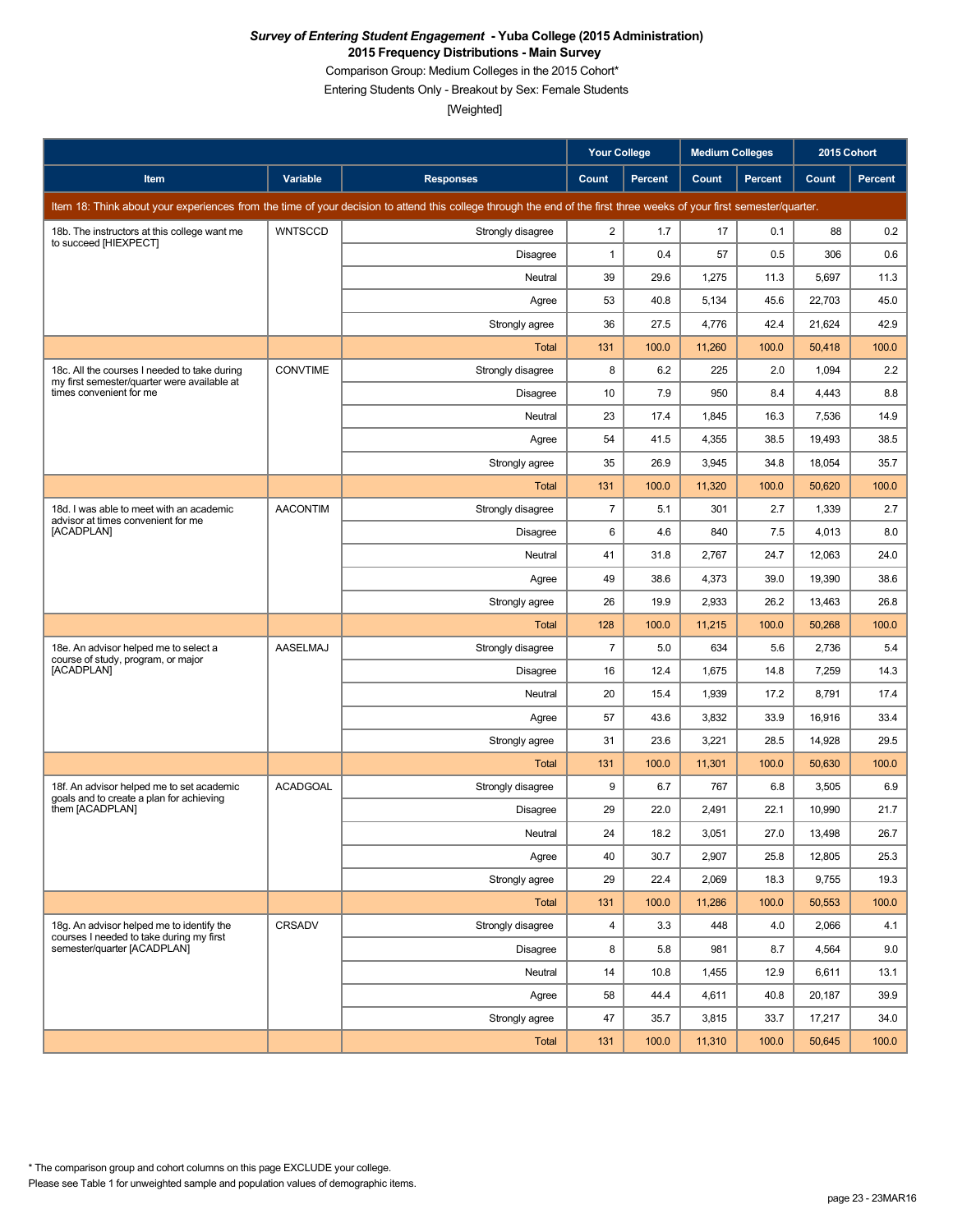Comparison Group: Medium Colleges in the 2015 Cohort\*

Entering Students Only - Breakout by Sex: Female Students

|                                                                                             |                 |                                                                                                                                                                      | <b>Your College</b> |                | <b>Medium Colleges</b> |                | 2015 Cohort |         |
|---------------------------------------------------------------------------------------------|-----------------|----------------------------------------------------------------------------------------------------------------------------------------------------------------------|---------------------|----------------|------------------------|----------------|-------------|---------|
| Item                                                                                        | Variable        | <b>Responses</b>                                                                                                                                                     | Count               | <b>Percent</b> | Count                  | <b>Percent</b> | Count       | Percent |
|                                                                                             |                 | Item 18: Think about your experiences from the time of your decision to attend this college through the end of the first three weeks of your first semester/quarter. |                     |                |                        |                |             |         |
| 18b. The instructors at this college want me<br>to succeed [HIEXPECT]                       | <b>WNTSCCD</b>  | Strongly disagree                                                                                                                                                    | 2                   | 1.7            | 17                     | 0.1            | 88          | 0.2     |
|                                                                                             |                 | Disagree                                                                                                                                                             | $\mathbf{1}$        | 0.4            | 57                     | 0.5            | 306         | 0.6     |
|                                                                                             |                 | Neutral                                                                                                                                                              | 39                  | 29.6           | 1,275                  | 11.3           | 5,697       | 11.3    |
|                                                                                             |                 | Agree                                                                                                                                                                | 53                  | 40.8           | 5,134                  | 45.6           | 22,703      | 45.0    |
|                                                                                             |                 | Strongly agree                                                                                                                                                       | 36                  | 27.5           | 4,776                  | 42.4           | 21,624      | 42.9    |
|                                                                                             |                 | Total                                                                                                                                                                | 131                 | 100.0          | 11,260                 | 100.0          | 50,418      | 100.0   |
| 18c. All the courses I needed to take during<br>my first semester/quarter were available at | <b>CONVTIME</b> | Strongly disagree                                                                                                                                                    | 8                   | 6.2            | 225                    | 2.0            | 1,094       | 2.2     |
| times convenient for me                                                                     |                 | Disagree                                                                                                                                                             | 10                  | 7.9            | 950                    | 8.4            | 4,443       | 8.8     |
|                                                                                             |                 | Neutral                                                                                                                                                              | 23                  | 17.4           | 1,845                  | 16.3           | 7,536       | 14.9    |
|                                                                                             |                 | Agree                                                                                                                                                                | 54                  | 41.5           | 4,355                  | 38.5           | 19,493      | 38.5    |
|                                                                                             |                 | Strongly agree                                                                                                                                                       | 35                  | 26.9           | 3,945                  | 34.8           | 18,054      | 35.7    |
|                                                                                             |                 | Total                                                                                                                                                                | 131                 | 100.0          | 11,320                 | 100.0          | 50,620      | 100.0   |
| 18d. I was able to meet with an academic<br>advisor at times convenient for me              | <b>AACONTIM</b> | Strongly disagree                                                                                                                                                    | $\overline{7}$      | 5.1            | 301                    | 2.7            | 1,339       | 2.7     |
| [ACADPLAN]                                                                                  |                 | <b>Disagree</b>                                                                                                                                                      | 6                   | 4.6            | 840                    | 7.5            | 4,013       | 8.0     |
|                                                                                             |                 | Neutral                                                                                                                                                              | 41                  | 31.8           | 2,767                  | 24.7           | 12,063      | 24.0    |
|                                                                                             |                 | Agree                                                                                                                                                                | 49                  | 38.6           | 4,373                  | 39.0           | 19,390      | 38.6    |
|                                                                                             |                 | Strongly agree                                                                                                                                                       | 26                  | 19.9           | 2,933                  | 26.2           | 13,463      | 26.8    |
|                                                                                             |                 | Total                                                                                                                                                                | 128                 | 100.0          | 11,215                 | 100.0          | 50,268      | 100.0   |
| 18e. An advisor helped me to select a<br>course of study, program, or major                 | AASELMAJ        | Strongly disagree                                                                                                                                                    | $\overline{7}$      | 5.0            | 634                    | 5.6            | 2,736       | 5.4     |
| [ACADPLAN]                                                                                  |                 | <b>Disagree</b>                                                                                                                                                      | 16                  | 12.4           | 1,675                  | 14.8           | 7,259       | 14.3    |
|                                                                                             |                 | Neutral                                                                                                                                                              | 20                  | 15.4           | 1,939                  | 17.2           | 8,791       | 17.4    |
|                                                                                             |                 | Agree                                                                                                                                                                | 57                  | 43.6           | 3,832                  | 33.9           | 16,916      | 33.4    |
|                                                                                             |                 | Strongly agree                                                                                                                                                       | 31                  | 23.6           | 3,221                  | 28.5           | 14,928      | 29.5    |
|                                                                                             |                 | Total                                                                                                                                                                | 131                 | 100.0          | 11,301                 | 100.0          | 50,630      | 100.0   |
| 18f. An advisor helped me to set academic<br>goals and to create a plan for achieving       | <b>ACADGOAL</b> | Strongly disagree                                                                                                                                                    | 9                   | 6.7            | 767                    | 6.8            | 3,505       | 6.9     |
| them [ACADPLAN]                                                                             |                 | Disagree                                                                                                                                                             | 29                  | 22.0           | 2,491                  | 22.1           | 10,990      | 21.7    |
|                                                                                             |                 | Neutral                                                                                                                                                              | 24                  | 18.2           | 3,051                  | 27.0           | 13,498      | 26.7    |
|                                                                                             |                 | Agree                                                                                                                                                                | 40                  | 30.7           | 2,907                  | 25.8           | 12,805      | 25.3    |
|                                                                                             |                 | Strongly agree                                                                                                                                                       | 29                  | 22.4           | 2,069                  | 18.3           | 9,755       | 19.3    |
|                                                                                             |                 | Total                                                                                                                                                                | 131                 | 100.0          | 11,286                 | 100.0          | 50,553      | 100.0   |
| 18g. An advisor helped me to identify the<br>courses I needed to take during my first       | <b>CRSADV</b>   | Strongly disagree                                                                                                                                                    | 4                   | 3.3            | 448                    | 4.0            | 2,066       | 4.1     |
| semester/quarter [ACADPLAN]                                                                 |                 | Disagree                                                                                                                                                             | 8                   | 5.8            | 981                    | 8.7            | 4,564       | 9.0     |
|                                                                                             |                 | Neutral                                                                                                                                                              | 14                  | 10.8           | 1,455                  | 12.9           | 6,611       | 13.1    |
|                                                                                             |                 | Agree                                                                                                                                                                | 58                  | 44.4           | 4,611                  | 40.8           | 20,187      | 39.9    |
|                                                                                             |                 | Strongly agree                                                                                                                                                       | 47                  | 35.7           | 3,815                  | 33.7           | 17,217      | 34.0    |
|                                                                                             |                 | Total                                                                                                                                                                | 131                 | 100.0          | 11,310                 | 100.0          | 50,645      | 100.0   |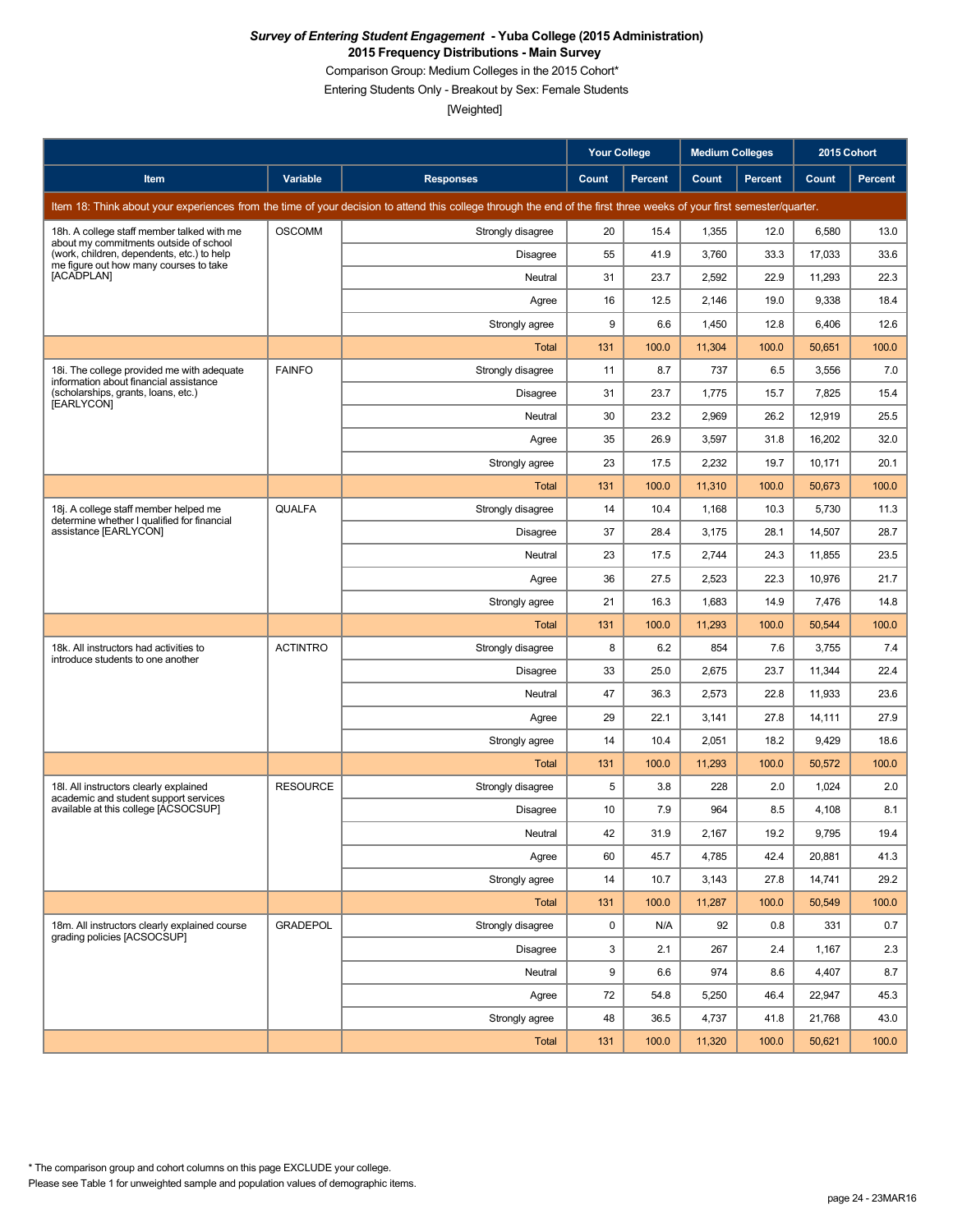Comparison Group: Medium Colleges in the 2015 Cohort\*

Entering Students Only - Breakout by Sex: Female Students

|                                                                                                                                |                 |                                                                                                                                                                      | <b>Your College</b> |                | <b>Medium Colleges</b> |         | 2015 Cohort |         |
|--------------------------------------------------------------------------------------------------------------------------------|-----------------|----------------------------------------------------------------------------------------------------------------------------------------------------------------------|---------------------|----------------|------------------------|---------|-------------|---------|
| Item                                                                                                                           | Variable        | <b>Responses</b>                                                                                                                                                     | Count               | <b>Percent</b> | Count                  | Percent | Count       | Percent |
|                                                                                                                                |                 | Item 18: Think about your experiences from the time of your decision to attend this college through the end of the first three weeks of your first semester/quarter. |                     |                |                        |         |             |         |
| 18h. A college staff member talked with me                                                                                     | <b>OSCOMM</b>   | Strongly disagree                                                                                                                                                    | 20                  | 15.4           | 1,355                  | 12.0    | 6,580       | 13.0    |
| about my commitments outside of school<br>(work, children, dependents, etc.) to help<br>me figure out how many courses to take |                 | <b>Disagree</b>                                                                                                                                                      | 55                  | 41.9           | 3,760                  | 33.3    | 17,033      | 33.6    |
| [ACADPLAN]                                                                                                                     |                 | Neutral                                                                                                                                                              | 31                  | 23.7           | 2,592                  | 22.9    | 11,293      | 22.3    |
|                                                                                                                                |                 | Agree                                                                                                                                                                | 16                  | 12.5           | 2,146                  | 19.0    | 9,338       | 18.4    |
|                                                                                                                                |                 | Strongly agree                                                                                                                                                       | 9                   | 6.6            | 1,450                  | 12.8    | 6,406       | 12.6    |
|                                                                                                                                |                 | Total                                                                                                                                                                | 131                 | 100.0          | 11,304                 | 100.0   | 50,651      | 100.0   |
| 18i. The college provided me with adequate<br>information about financial assistance                                           | <b>FAINFO</b>   | Strongly disagree                                                                                                                                                    | 11                  | 8.7            | 737                    | 6.5     | 3,556       | 7.0     |
| (scholarships, grants, loans, etc.)<br>[EARLYCON]                                                                              |                 | <b>Disagree</b>                                                                                                                                                      | 31                  | 23.7           | 1,775                  | 15.7    | 7,825       | 15.4    |
|                                                                                                                                |                 | Neutral                                                                                                                                                              | 30                  | 23.2           | 2,969                  | 26.2    | 12,919      | 25.5    |
|                                                                                                                                |                 | Agree                                                                                                                                                                | 35                  | 26.9           | 3,597                  | 31.8    | 16,202      | 32.0    |
|                                                                                                                                |                 | Strongly agree                                                                                                                                                       | 23                  | 17.5           | 2,232                  | 19.7    | 10,171      | 20.1    |
|                                                                                                                                |                 | Total                                                                                                                                                                | 131                 | 100.0          | 11,310                 | 100.0   | 50,673      | 100.0   |
| 18j. A college staff member helped me<br>determine whether I qualified for financial                                           | QUALFA          | Strongly disagree                                                                                                                                                    | 14                  | 10.4           | 1,168                  | 10.3    | 5,730       | 11.3    |
| assistance [EARLYCON]                                                                                                          |                 | <b>Disagree</b>                                                                                                                                                      | 37                  | 28.4           | 3,175                  | 28.1    | 14,507      | 28.7    |
|                                                                                                                                |                 | Neutral                                                                                                                                                              | 23                  | 17.5           | 2,744                  | 24.3    | 11,855      | 23.5    |
|                                                                                                                                |                 | Agree                                                                                                                                                                | 36                  | 27.5           | 2,523                  | 22.3    | 10,976      | 21.7    |
|                                                                                                                                |                 | Strongly agree                                                                                                                                                       | 21                  | 16.3           | 1,683                  | 14.9    | 7,476       | 14.8    |
|                                                                                                                                |                 | <b>Total</b>                                                                                                                                                         | 131                 | 100.0          | 11,293                 | 100.0   | 50,544      | 100.0   |
| 18k. All instructors had activities to<br>introduce students to one another                                                    | <b>ACTINTRO</b> | Strongly disagree                                                                                                                                                    | 8                   | 6.2            | 854                    | 7.6     | 3,755       | 7.4     |
|                                                                                                                                |                 | <b>Disagree</b>                                                                                                                                                      | 33                  | 25.0           | 2,675                  | 23.7    | 11,344      | 22.4    |
|                                                                                                                                |                 | Neutral                                                                                                                                                              | 47                  | 36.3           | 2,573                  | 22.8    | 11,933      | 23.6    |
|                                                                                                                                |                 | Agree                                                                                                                                                                | 29                  | 22.1           | 3,141                  | 27.8    | 14,111      | 27.9    |
|                                                                                                                                |                 | Strongly agree                                                                                                                                                       | 14                  | 10.4           | 2,051                  | 18.2    | 9,429       | 18.6    |
|                                                                                                                                |                 | Total                                                                                                                                                                | 131                 | 100.0          | 11,293                 | 100.0   | 50,572      | 100.0   |
| 18I. All instructors clearly explained<br>academic and student support services                                                | <b>RESOURCE</b> | Strongly disagree                                                                                                                                                    | 5                   | 3.8            | 228                    | 2.0     | 1,024       | 2.0     |
| available at this college [ACSOCSUP]                                                                                           |                 | Disagree                                                                                                                                                             | 10                  | 7.9            | 964                    | 8.5     | 4,108       | 8.1     |
|                                                                                                                                |                 | Neutral                                                                                                                                                              | 42                  | 31.9           | 2,167                  | 19.2    | 9,795       | 19.4    |
|                                                                                                                                |                 | Agree                                                                                                                                                                | 60                  | 45.7           | 4,785                  | 42.4    | 20,881      | 41.3    |
|                                                                                                                                |                 | Strongly agree                                                                                                                                                       | 14                  | 10.7           | 3,143                  | 27.8    | 14,741      | 29.2    |
|                                                                                                                                |                 | Total                                                                                                                                                                | 131                 | 100.0          | 11,287                 | 100.0   | 50,549      | 100.0   |
| 18m. All instructors clearly explained course<br>grading policies [ACSOCSUP]                                                   | <b>GRADEPOL</b> | Strongly disagree                                                                                                                                                    | 0                   | N/A            | 92                     | 0.8     | 331         | 0.7     |
|                                                                                                                                |                 | Disagree                                                                                                                                                             | 3                   | 2.1            | 267                    | 2.4     | 1,167       | 2.3     |
|                                                                                                                                |                 | Neutral                                                                                                                                                              | 9                   | 6.6            | 974                    | 8.6     | 4,407       | 8.7     |
|                                                                                                                                |                 | Agree                                                                                                                                                                | 72                  | 54.8           | 5,250                  | 46.4    | 22,947      | 45.3    |
|                                                                                                                                |                 | Strongly agree                                                                                                                                                       | 48                  | 36.5           | 4,737                  | 41.8    | 21,768      | 43.0    |
|                                                                                                                                |                 | Total                                                                                                                                                                | 131                 | 100.0          | 11,320                 | 100.0   | 50,621      | 100.0   |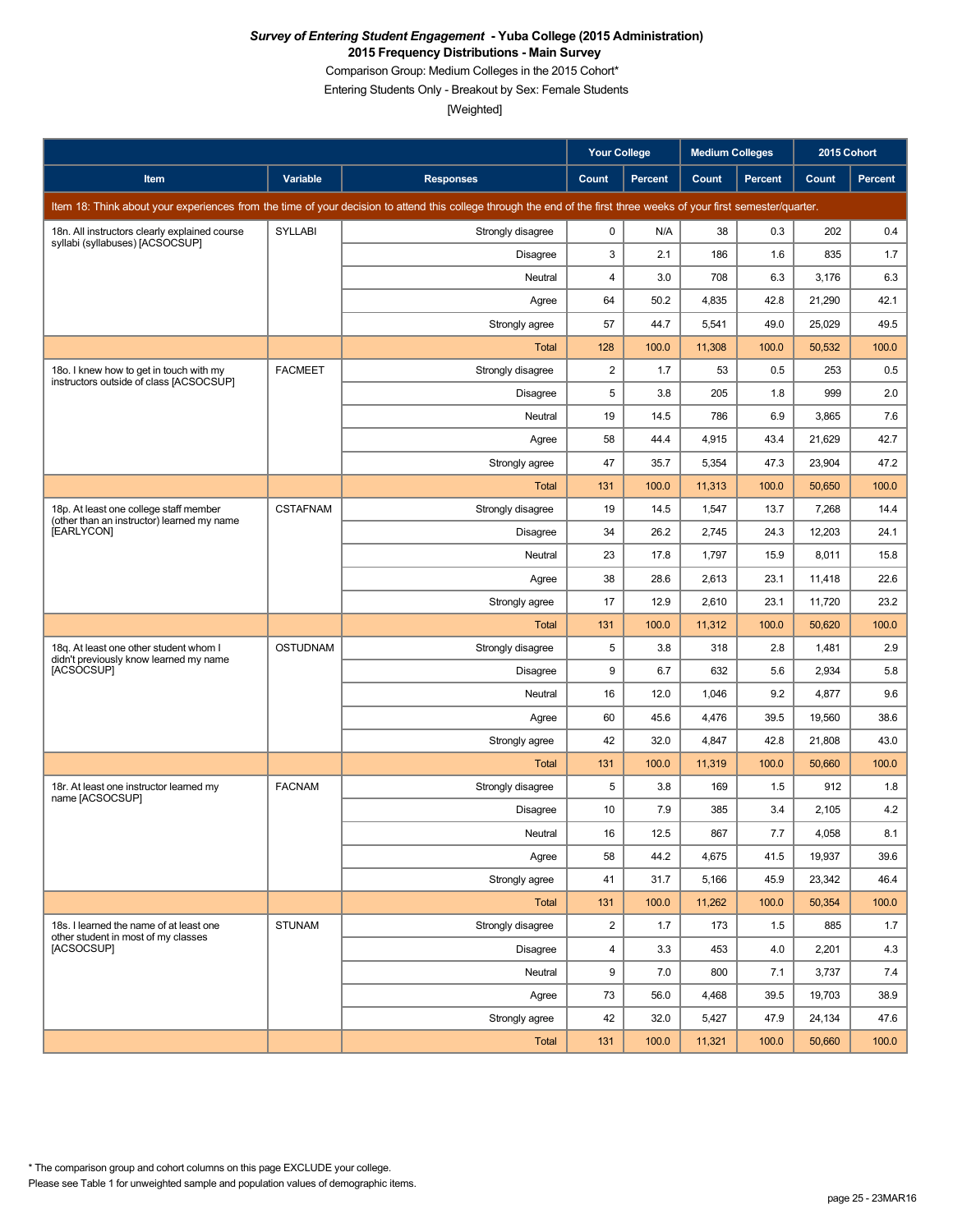Comparison Group: Medium Colleges in the 2015 Cohort\*

Entering Students Only - Breakout by Sex: Female Students

|                                                                                      |                 |                                                                                                                                                                      | Your College   |                | <b>Medium Colleges</b> |                | 2015 Cohort |         |
|--------------------------------------------------------------------------------------|-----------------|----------------------------------------------------------------------------------------------------------------------------------------------------------------------|----------------|----------------|------------------------|----------------|-------------|---------|
| Item                                                                                 | Variable        | <b>Responses</b>                                                                                                                                                     | Count          | <b>Percent</b> | Count                  | <b>Percent</b> | Count       | Percent |
|                                                                                      |                 | Item 18: Think about your experiences from the time of your decision to attend this college through the end of the first three weeks of your first semester/quarter. |                |                |                        |                |             |         |
| 18n. All instructors clearly explained course<br>syllabi (syllabuses) [ACSOCSUP]     | <b>SYLLABI</b>  | Strongly disagree                                                                                                                                                    | 0              | N/A            | 38                     | 0.3            | 202         | 0.4     |
|                                                                                      |                 | Disagree                                                                                                                                                             | 3              | 2.1            | 186                    | 1.6            | 835         | 1.7     |
|                                                                                      |                 | Neutral                                                                                                                                                              | 4              | 3.0            | 708                    | 6.3            | 3,176       | 6.3     |
|                                                                                      |                 | Agree                                                                                                                                                                | 64             | 50.2           | 4,835                  | 42.8           | 21,290      | 42.1    |
|                                                                                      |                 | Strongly agree                                                                                                                                                       | 57             | 44.7           | 5,541                  | 49.0           | 25,029      | 49.5    |
|                                                                                      |                 | <b>Total</b>                                                                                                                                                         | 128            | 100.0          | 11,308                 | 100.0          | 50,532      | 100.0   |
| 18o. I knew how to get in touch with my<br>instructors outside of class [ACSOCSUP]   | <b>FACMEET</b>  | Strongly disagree                                                                                                                                                    | $\overline{c}$ | 1.7            | 53                     | 0.5            | 253         | 0.5     |
|                                                                                      |                 | <b>Disagree</b>                                                                                                                                                      | 5              | 3.8            | 205                    | 1.8            | 999         | 2.0     |
|                                                                                      |                 | Neutral                                                                                                                                                              | 19             | 14.5           | 786                    | 6.9            | 3,865       | 7.6     |
|                                                                                      |                 | Agree                                                                                                                                                                | 58             | 44.4           | 4,915                  | 43.4           | 21,629      | 42.7    |
|                                                                                      |                 | Strongly agree                                                                                                                                                       | 47             | 35.7           | 5,354                  | 47.3           | 23,904      | 47.2    |
|                                                                                      |                 | Total                                                                                                                                                                | 131            | 100.0          | 11,313                 | 100.0          | 50,650      | 100.0   |
| 18p. At least one college staff member<br>(other than an instructor) learned my name | <b>CSTAFNAM</b> | Strongly disagree                                                                                                                                                    | 19             | 14.5           | 1,547                  | 13.7           | 7,268       | 14.4    |
| [EARLYCON]                                                                           |                 | <b>Disagree</b>                                                                                                                                                      | 34             | 26.2           | 2,745                  | 24.3           | 12,203      | 24.1    |
|                                                                                      |                 | Neutral                                                                                                                                                              | 23             | 17.8           | 1,797                  | 15.9           | 8,011       | 15.8    |
|                                                                                      |                 | Agree                                                                                                                                                                | 38             | 28.6           | 2,613                  | 23.1           | 11,418      | 22.6    |
|                                                                                      |                 | Strongly agree                                                                                                                                                       | 17             | 12.9           | 2,610                  | 23.1           | 11,720      | 23.2    |
|                                                                                      |                 | <b>Total</b>                                                                                                                                                         | 131            | 100.0          | 11,312                 | 100.0          | 50,620      | 100.0   |
| 18q. At least one other student whom I<br>didn't previously know learned my name     | <b>OSTUDNAM</b> | Strongly disagree                                                                                                                                                    | 5              | 3.8            | 318                    | 2.8            | 1,481       | 2.9     |
| [ACSOCSUP]                                                                           |                 | <b>Disagree</b>                                                                                                                                                      | 9              | 6.7            | 632                    | 5.6            | 2,934       | 5.8     |
|                                                                                      |                 | Neutral                                                                                                                                                              | 16             | 12.0           | 1,046                  | 9.2            | 4,877       | 9.6     |
|                                                                                      |                 | Agree                                                                                                                                                                | 60             | 45.6           | 4,476                  | 39.5           | 19,560      | 38.6    |
|                                                                                      |                 | Strongly agree                                                                                                                                                       | 42             | 32.0           | 4,847                  | 42.8           | 21,808      | 43.0    |
|                                                                                      |                 | Total                                                                                                                                                                | 131            | 100.0          | 11,319                 | 100.0          | 50,660      | 100.0   |
| 18r. At least one instructor learned my<br>name [ACSOCSUP]                           | <b>FACNAM</b>   | Strongly disagree                                                                                                                                                    | 5              | 3.8            | 169                    | 1.5            | 912         | 1.8     |
|                                                                                      |                 | Disagree                                                                                                                                                             | 10             | 7.9            | 385                    | 3.4            | 2,105       | 4.2     |
|                                                                                      |                 | Neutral                                                                                                                                                              | 16             | 12.5           | 867                    | $7.7\,$        | 4,058       | 8.1     |
|                                                                                      |                 | Agree                                                                                                                                                                | 58             | 44.2           | 4,675                  | 41.5           | 19,937      | 39.6    |
|                                                                                      |                 | Strongly agree                                                                                                                                                       | 41             | 31.7           | 5,166                  | 45.9           | 23,342      | 46.4    |
|                                                                                      |                 | Total                                                                                                                                                                | 131            | 100.0          | 11,262                 | 100.0          | 50,354      | 100.0   |
| 18s. I learned the name of at least one<br>other student in most of my classes       | STUNAM          | Strongly disagree                                                                                                                                                    | $\overline{2}$ | 1.7            | 173                    | 1.5            | 885         | 1.7     |
| [ACSOCSUP]                                                                           |                 | Disagree                                                                                                                                                             | 4              | 3.3            | 453                    | 4.0            | 2,201       | 4.3     |
|                                                                                      |                 | Neutral                                                                                                                                                              | 9              | 7.0            | 800                    | 7.1            | 3,737       | 7.4     |
|                                                                                      |                 | Agree                                                                                                                                                                | 73             | 56.0           | 4,468                  | 39.5           | 19,703      | 38.9    |
|                                                                                      |                 | Strongly agree                                                                                                                                                       | 42             | 32.0           | 5,427                  | 47.9           | 24,134      | 47.6    |
|                                                                                      |                 | Total                                                                                                                                                                | 131            | 100.0          | 11,321                 | 100.0          | 50,660      | 100.0   |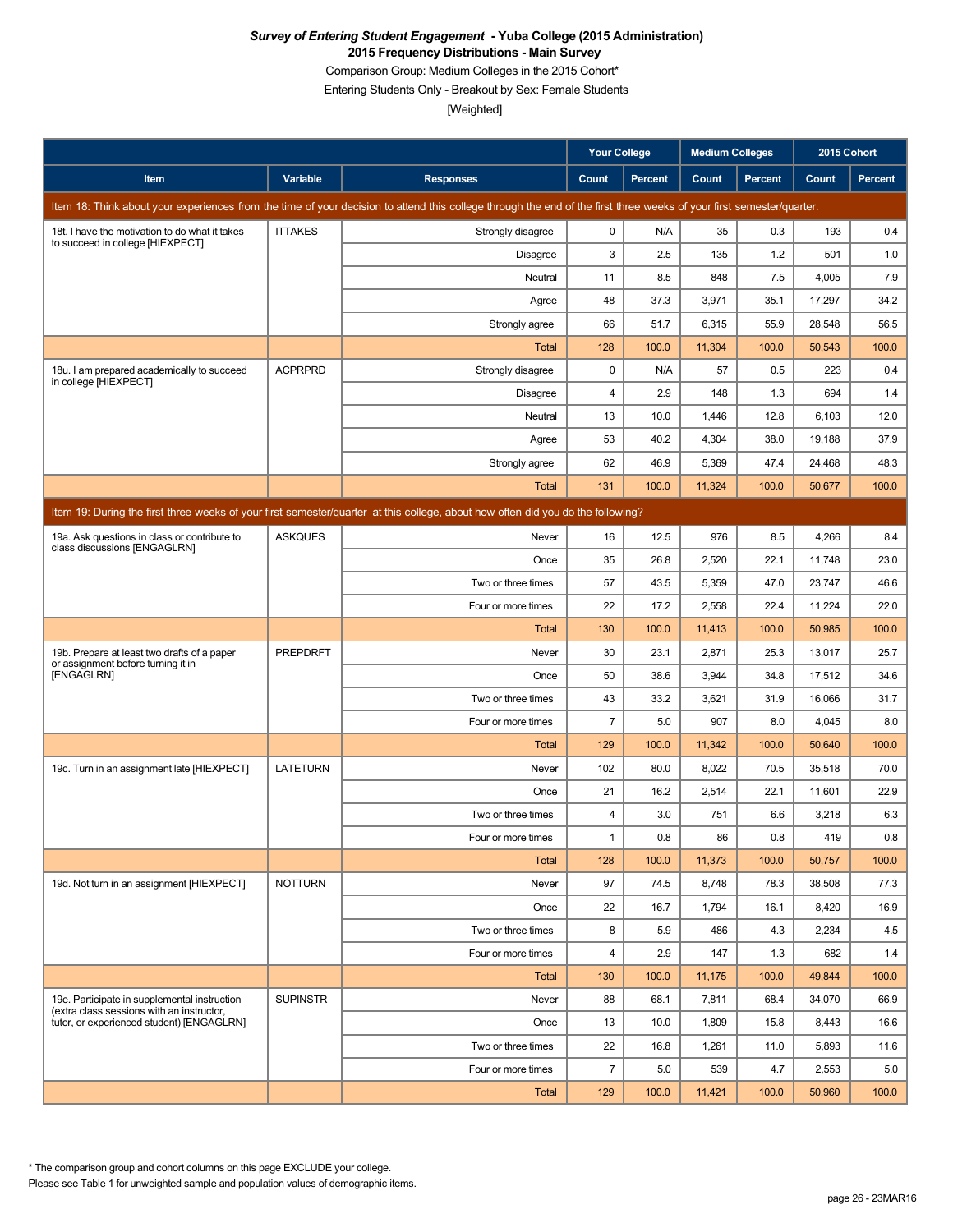Comparison Group: Medium Colleges in the 2015 Cohort\*

Entering Students Only - Breakout by Sex: Female Students

[Weighted]

|                                                                                                                                 |                 |                                                                                                                                                                      | <b>Your College</b> |                | <b>Medium Colleges</b> |         | 2015 Cohort |         |  |  |
|---------------------------------------------------------------------------------------------------------------------------------|-----------------|----------------------------------------------------------------------------------------------------------------------------------------------------------------------|---------------------|----------------|------------------------|---------|-------------|---------|--|--|
| Item                                                                                                                            | Variable        | <b>Responses</b>                                                                                                                                                     | Count               | <b>Percent</b> | Count                  | Percent | Count       | Percent |  |  |
|                                                                                                                                 |                 | Item 18: Think about your experiences from the time of your decision to attend this college through the end of the first three weeks of your first semester/quarter. |                     |                |                        |         |             |         |  |  |
| 18t. I have the motivation to do what it takes                                                                                  | <b>ITTAKES</b>  | Strongly disagree                                                                                                                                                    | 0                   | N/A            | 35                     | 0.3     | 193         | 0.4     |  |  |
| to succeed in college [HIEXPECT]                                                                                                |                 | <b>Disagree</b>                                                                                                                                                      | 3                   | 2.5            | 135                    | 1.2     | 501         | 1.0     |  |  |
|                                                                                                                                 |                 | Neutral                                                                                                                                                              | 11                  | 8.5            | 848                    | 7.5     | 4,005       | 7.9     |  |  |
|                                                                                                                                 |                 | Agree                                                                                                                                                                | 48                  | 37.3           | 3,971                  | 35.1    | 17,297      | 34.2    |  |  |
|                                                                                                                                 |                 | Strongly agree                                                                                                                                                       | 66                  | 51.7           | 6,315                  | 55.9    | 28,548      | 56.5    |  |  |
|                                                                                                                                 |                 | <b>Total</b>                                                                                                                                                         | 128                 | 100.0          | 11,304                 | 100.0   | 50,543      | 100.0   |  |  |
| 18u. I am prepared academically to succeed<br>in college [HIEXPECT]                                                             | <b>ACPRPRD</b>  | Strongly disagree                                                                                                                                                    | 0                   | N/A            | 57                     | 0.5     | 223         | 0.4     |  |  |
|                                                                                                                                 |                 | Disagree                                                                                                                                                             | 4                   | 2.9            | 148                    | 1.3     | 694         | 1.4     |  |  |
|                                                                                                                                 |                 | Neutral                                                                                                                                                              | 13                  | 10.0           | 1,446                  | 12.8    | 6,103       | 12.0    |  |  |
|                                                                                                                                 |                 | Agree                                                                                                                                                                | 53                  | 40.2           | 4,304                  | 38.0    | 19,188      | 37.9    |  |  |
|                                                                                                                                 |                 | Strongly agree                                                                                                                                                       | 62                  | 46.9           | 5,369                  | 47.4    | 24,468      | 48.3    |  |  |
|                                                                                                                                 |                 | <b>Total</b>                                                                                                                                                         | 131                 | 100.0          | 11,324                 | 100.0   | 50,677      | 100.0   |  |  |
| Item 19: During the first three weeks of your first semester/quarter at this college, about how often did you do the following? |                 |                                                                                                                                                                      |                     |                |                        |         |             |         |  |  |
| 19a. Ask questions in class or contribute to                                                                                    | <b>ASKQUES</b>  | Never                                                                                                                                                                | 16                  | 12.5           | 976                    | 8.5     | 4,266       | 8.4     |  |  |
| class discussions [ENGAGLRN]                                                                                                    |                 | Once                                                                                                                                                                 | 35                  | 26.8           | 2,520                  | 22.1    | 11,748      | 23.0    |  |  |
|                                                                                                                                 |                 | Two or three times                                                                                                                                                   | 57                  | 43.5           | 5,359                  | 47.0    | 23,747      | 46.6    |  |  |
|                                                                                                                                 |                 | Four or more times                                                                                                                                                   | 22                  | 17.2           | 2,558                  | 22.4    | 11,224      | 22.0    |  |  |
|                                                                                                                                 |                 | <b>Total</b>                                                                                                                                                         | 130                 | 100.0          | 11,413                 | 100.0   | 50,985      | 100.0   |  |  |
| 19b. Prepare at least two drafts of a paper<br>or assignment before turning it in                                               | <b>PREPDRFT</b> | Never                                                                                                                                                                | 30                  | 23.1           | 2,871                  | 25.3    | 13,017      | 25.7    |  |  |
| [ENGAGLRN]                                                                                                                      |                 | Once                                                                                                                                                                 | 50                  | 38.6           | 3,944                  | 34.8    | 17,512      | 34.6    |  |  |
|                                                                                                                                 |                 | Two or three times                                                                                                                                                   | 43                  | 33.2           | 3,621                  | 31.9    | 16,066      | 31.7    |  |  |
|                                                                                                                                 |                 | Four or more times                                                                                                                                                   | 7                   | 5.0            | 907                    | 8.0     | 4,045       | 8.0     |  |  |
|                                                                                                                                 |                 | Total                                                                                                                                                                | 129                 | 100.0          | 11,342                 | 100.0   | 50,640      | 100.0   |  |  |
| 19c. Turn in an assignment late [HIEXPECT]                                                                                      | <b>LATETURN</b> | Never                                                                                                                                                                | 102                 | 80.0           | 8,022                  | 70.5    | 35,518      | 70.0    |  |  |
|                                                                                                                                 |                 | Once                                                                                                                                                                 | 21                  | 16.2           | 2,514                  | 22.1    | 11,601      | 22.9    |  |  |
|                                                                                                                                 |                 | Two or three times                                                                                                                                                   | 4                   | 3.0            | 751                    | 6.6     | 3,218       | 6.3     |  |  |
|                                                                                                                                 |                 | Four or more times                                                                                                                                                   | 1                   | 0.8            | 86                     | $0.8\,$ | 419         | $0.8\,$ |  |  |
|                                                                                                                                 |                 | Total                                                                                                                                                                | 128                 | 100.0          | 11,373                 | 100.0   | 50,757      | 100.0   |  |  |
| 19d. Not turn in an assignment [HIEXPECT]                                                                                       | <b>NOTTURN</b>  | Never                                                                                                                                                                | 97                  | 74.5           | 8,748                  | 78.3    | 38,508      | 77.3    |  |  |
|                                                                                                                                 |                 | Once                                                                                                                                                                 | 22                  | 16.7           | 1,794                  | 16.1    | 8,420       | 16.9    |  |  |
|                                                                                                                                 |                 | Two or three times                                                                                                                                                   | 8                   | 5.9            | 486                    | 4.3     | 2,234       | 4.5     |  |  |
|                                                                                                                                 |                 | Four or more times                                                                                                                                                   | 4                   | 2.9            | 147                    | 1.3     | 682         | 1.4     |  |  |
|                                                                                                                                 |                 | Total                                                                                                                                                                | 130                 | 100.0          | 11,175                 | 100.0   | 49,844      | 100.0   |  |  |
| 19e. Participate in supplemental instruction<br>(extra class sessions with an instructor,                                       | <b>SUPINSTR</b> | Never                                                                                                                                                                | 88                  | 68.1           | 7,811                  | 68.4    | 34,070      | 66.9    |  |  |
| tutor, or experienced student) [ENGAGLRN]                                                                                       |                 | Once                                                                                                                                                                 | 13                  | 10.0           | 1,809                  | 15.8    | 8,443       | 16.6    |  |  |
|                                                                                                                                 |                 | Two or three times                                                                                                                                                   | 22                  | 16.8           | 1,261                  | 11.0    | 5,893       | 11.6    |  |  |
|                                                                                                                                 |                 | Four or more times                                                                                                                                                   | $\overline{7}$      | 5.0            | 539                    | 4.7     | 2,553       | 5.0     |  |  |
|                                                                                                                                 |                 | <b>Total</b>                                                                                                                                                         | 129                 | 100.0          | 11,421                 | 100.0   | 50,960      | 100.0   |  |  |

Please see Table 1 for unweighted sample and population values of demographic items. \* The comparison group and cohort columns on this page EXCLUDE your college.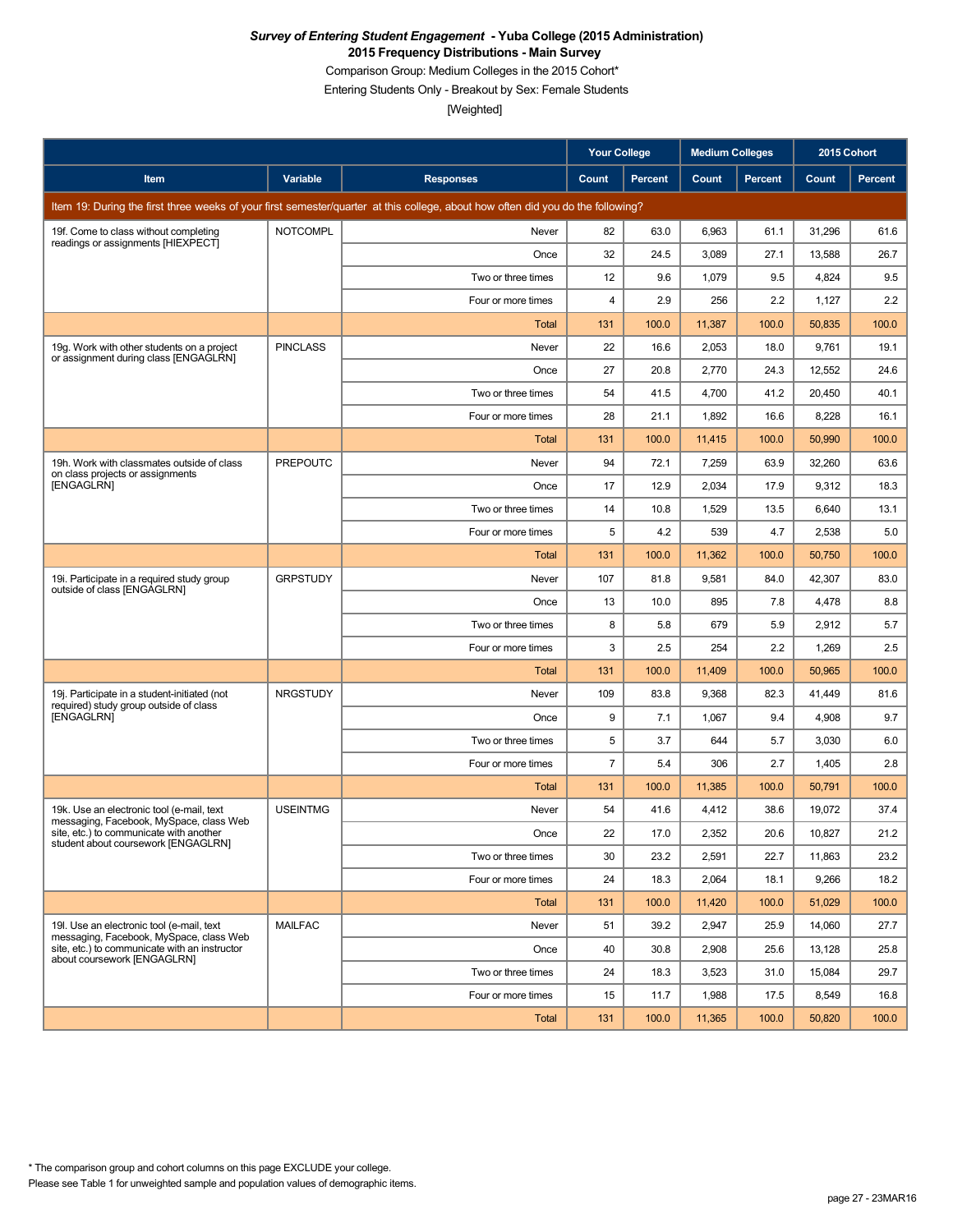Comparison Group: Medium Colleges in the 2015 Cohort\*

Entering Students Only - Breakout by Sex: Female Students

|                                                                                        |                 |                                                                                                                                 | <b>Your College</b> |                | <b>Medium Colleges</b> |         | 2015 Cohort |         |
|----------------------------------------------------------------------------------------|-----------------|---------------------------------------------------------------------------------------------------------------------------------|---------------------|----------------|------------------------|---------|-------------|---------|
| Item                                                                                   | <b>Variable</b> | <b>Responses</b>                                                                                                                | Count               | <b>Percent</b> | Count                  | Percent | Count       | Percent |
|                                                                                        |                 | Item 19: During the first three weeks of your first semester/quarter at this college, about how often did you do the following? |                     |                |                        |         |             |         |
| 19f. Come to class without completing<br>readings or assignments [HIEXPECT]            | <b>NOTCOMPL</b> | Never                                                                                                                           | 82                  | 63.0           | 6,963                  | 61.1    | 31,296      | 61.6    |
|                                                                                        |                 | Once                                                                                                                            | 32                  | 24.5           | 3,089                  | 27.1    | 13,588      | 26.7    |
|                                                                                        |                 | Two or three times                                                                                                              | 12                  | 9.6            | 1,079                  | 9.5     | 4,824       | 9.5     |
|                                                                                        |                 | Four or more times                                                                                                              | 4                   | 2.9            | 256                    | 2.2     | 1,127       | 2.2     |
|                                                                                        |                 | Total                                                                                                                           | 131                 | 100.0          | 11,387                 | 100.0   | 50,835      | 100.0   |
| 19g. Work with other students on a project<br>or assignment during class [ENGAGLRN]    | <b>PINCLASS</b> | Never                                                                                                                           | 22                  | 16.6           | 2,053                  | 18.0    | 9,761       | 19.1    |
|                                                                                        |                 | Once                                                                                                                            | 27                  | 20.8           | 2,770                  | 24.3    | 12,552      | 24.6    |
|                                                                                        |                 | Two or three times                                                                                                              | 54                  | 41.5           | 4,700                  | 41.2    | 20,450      | 40.1    |
|                                                                                        |                 | Four or more times                                                                                                              | 28                  | 21.1           | 1,892                  | 16.6    | 8,228       | 16.1    |
|                                                                                        |                 | Total                                                                                                                           | 131                 | 100.0          | 11,415                 | 100.0   | 50,990      | 100.0   |
| 19h. Work with classmates outside of class<br>on class projects or assignments         | <b>PREPOUTC</b> | Never                                                                                                                           | 94                  | 72.1           | 7,259                  | 63.9    | 32,260      | 63.6    |
| [ENGAGLRN]                                                                             |                 | Once                                                                                                                            | 17                  | 12.9           | 2,034                  | 17.9    | 9,312       | 18.3    |
|                                                                                        |                 | Two or three times                                                                                                              | 14                  | 10.8           | 1,529                  | 13.5    | 6,640       | 13.1    |
|                                                                                        |                 | Four or more times                                                                                                              | 5                   | 4.2            | 539                    | 4.7     | 2,538       | 5.0     |
|                                                                                        |                 | Total                                                                                                                           | 131                 | 100.0          | 11,362                 | 100.0   | 50,750      | 100.0   |
| 19i. Participate in a required study group<br>outside of class [ENGAGLRN]              | <b>GRPSTUDY</b> | Never                                                                                                                           | 107                 | 81.8           | 9,581                  | 84.0    | 42,307      | 83.0    |
|                                                                                        |                 | Once                                                                                                                            | 13                  | 10.0           | 895                    | 7.8     | 4,478       | 8.8     |
|                                                                                        |                 | Two or three times                                                                                                              | 8                   | 5.8            | 679                    | 5.9     | 2,912       | 5.7     |
|                                                                                        |                 | Four or more times                                                                                                              | 3                   | 2.5            | 254                    | 2.2     | 1,269       | 2.5     |
|                                                                                        |                 | Total                                                                                                                           | 131                 | 100.0          | 11,409                 | 100.0   | 50,965      | 100.0   |
| 19j. Participate in a student-initiated (not<br>required) study group outside of class | <b>NRGSTUDY</b> | Never                                                                                                                           | 109                 | 83.8           | 9,368                  | 82.3    | 41,449      | 81.6    |
| [ENGAGLRN]                                                                             |                 | Once                                                                                                                            | 9                   | 7.1            | 1,067                  | 9.4     | 4,908       | 9.7     |
|                                                                                        |                 | Two or three times                                                                                                              | 5                   | 3.7            | 644                    | 5.7     | 3,030       | 6.0     |
|                                                                                        |                 | Four or more times                                                                                                              | $\overline{7}$      | 5.4            | 306                    | 2.7     | 1,405       | 2.8     |
|                                                                                        |                 | <b>Total</b>                                                                                                                    | 131                 | 100.0          | 11,385                 | 100.0   | 50,791      | 100.0   |
| 19k. Use an electronic tool (e-mail, text<br>messaging, Facebook, MySpace, class Web   | <b>USEINTMG</b> | Never                                                                                                                           | 54                  | 41.6           | 4,412                  | 38.6    | 19,072      | 37.4    |
| site, etc.) to communicate with another<br>student about coursework [ENGAGLRN]         |                 | Once                                                                                                                            | 22                  | 17.0           | 2,352                  | 20.6    | 10,827      | 21.2    |
|                                                                                        |                 | Two or three times                                                                                                              | 30                  | 23.2           | 2,591                  | 22.7    | 11,863      | 23.2    |
|                                                                                        |                 | Four or more times                                                                                                              | 24                  | 18.3           | 2,064                  | 18.1    | 9,266       | 18.2    |
|                                                                                        |                 | Total                                                                                                                           | 131                 | 100.0          | 11,420                 | 100.0   | 51,029      | 100.0   |
| 19I. Use an electronic tool (e-mail, text<br>messaging, Facebook, MySpace, class Web   | <b>MAILFAC</b>  | Never                                                                                                                           | 51                  | 39.2           | 2,947                  | 25.9    | 14,060      | 27.7    |
| site, etc.) to communicate with an instructor<br>about coursework [ENGAGLRN]           |                 | Once                                                                                                                            | 40                  | 30.8           | 2,908                  | 25.6    | 13,128      | 25.8    |
|                                                                                        |                 | Two or three times                                                                                                              | 24                  | 18.3           | 3,523                  | 31.0    | 15,084      | 29.7    |
|                                                                                        |                 | Four or more times                                                                                                              | 15                  | 11.7           | 1,988                  | 17.5    | 8,549       | 16.8    |
|                                                                                        |                 | Total                                                                                                                           | 131                 | 100.0          | 11,365                 | 100.0   | 50,820      | 100.0   |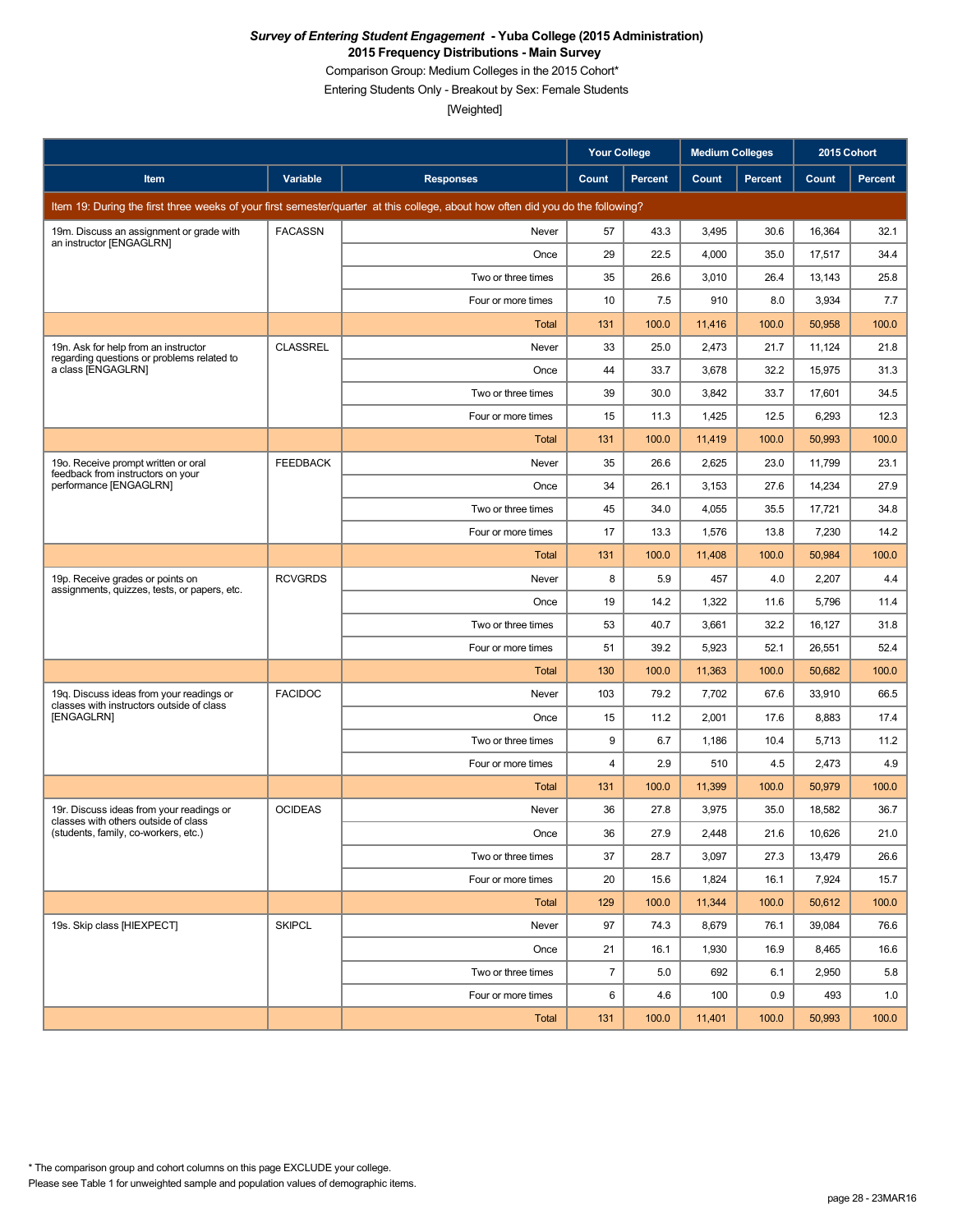Comparison Group: Medium Colleges in the 2015 Cohort\*

Entering Students Only - Breakout by Sex: Female Students

|                                                                                       |                 |                                                                                                                                 | <b>Your College</b> |                | <b>Medium Colleges</b> |         | 2015 Cohort |         |
|---------------------------------------------------------------------------------------|-----------------|---------------------------------------------------------------------------------------------------------------------------------|---------------------|----------------|------------------------|---------|-------------|---------|
| Item                                                                                  | Variable        | <b>Responses</b>                                                                                                                | Count               | <b>Percent</b> | Count                  | Percent | Count       | Percent |
|                                                                                       |                 | Item 19: During the first three weeks of your first semester/quarter at this college, about how often did you do the following? |                     |                |                        |         |             |         |
| 19m. Discuss an assignment or grade with<br>an instructor [ENGAGLRN]                  | <b>FACASSN</b>  | Never                                                                                                                           | 57                  | 43.3           | 3,495                  | 30.6    | 16,364      | 32.1    |
|                                                                                       |                 | Once                                                                                                                            | 29                  | 22.5           | 4,000                  | 35.0    | 17,517      | 34.4    |
|                                                                                       |                 | Two or three times                                                                                                              | 35                  | 26.6           | 3,010                  | 26.4    | 13,143      | 25.8    |
|                                                                                       |                 | Four or more times                                                                                                              | 10                  | 7.5            | 910                    | 8.0     | 3,934       | 7.7     |
|                                                                                       |                 | <b>Total</b>                                                                                                                    | 131                 | 100.0          | 11.416                 | 100.0   | 50,958      | 100.0   |
| 19n. Ask for help from an instructor<br>regarding questions or problems related to    | <b>CLASSREL</b> | Never                                                                                                                           | 33                  | 25.0           | 2,473                  | 21.7    | 11,124      | 21.8    |
| a class [ENGAGLRN]                                                                    |                 | Once                                                                                                                            | 44                  | 33.7           | 3,678                  | 32.2    | 15,975      | 31.3    |
|                                                                                       |                 | Two or three times                                                                                                              | 39                  | 30.0           | 3,842                  | 33.7    | 17,601      | 34.5    |
|                                                                                       |                 | Four or more times                                                                                                              | 15                  | 11.3           | 1,425                  | 12.5    | 6,293       | 12.3    |
|                                                                                       |                 | Total                                                                                                                           | 131                 | 100.0          | 11,419                 | 100.0   | 50,993      | 100.0   |
| 19o. Receive prompt written or oral<br>feedback from instructors on your              | <b>FEEDBACK</b> | Never                                                                                                                           | 35                  | 26.6           | 2,625                  | 23.0    | 11,799      | 23.1    |
| performance [ENGAGLRN]                                                                |                 | Once                                                                                                                            | 34                  | 26.1           | 3,153                  | 27.6    | 14,234      | 27.9    |
|                                                                                       |                 | Two or three times                                                                                                              | 45                  | 34.0           | 4,055                  | 35.5    | 17,721      | 34.8    |
|                                                                                       |                 | Four or more times                                                                                                              | 17                  | 13.3           | 1,576                  | 13.8    | 7,230       | 14.2    |
|                                                                                       |                 | Total                                                                                                                           | 131                 | 100.0          | 11,408                 | 100.0   | 50,984      | 100.0   |
| 19p. Receive grades or points on<br>assignments, quizzes, tests, or papers, etc.      | <b>RCVGRDS</b>  | Never                                                                                                                           | 8                   | 5.9            | 457                    | 4.0     | 2,207       | 4.4     |
|                                                                                       |                 | Once                                                                                                                            | 19                  | 14.2           | 1,322                  | 11.6    | 5,796       | 11.4    |
|                                                                                       |                 | Two or three times                                                                                                              | 53                  | 40.7           | 3,661                  | 32.2    | 16,127      | 31.8    |
|                                                                                       |                 | Four or more times                                                                                                              | 51                  | 39.2           | 5,923                  | 52.1    | 26,551      | 52.4    |
|                                                                                       |                 | <b>Total</b>                                                                                                                    | 130                 | 100.0          | 11,363                 | 100.0   | 50,682      | 100.0   |
| 19q. Discuss ideas from your readings or<br>classes with instructors outside of class | <b>FACIDOC</b>  | Never                                                                                                                           | 103                 | 79.2           | 7,702                  | 67.6    | 33,910      | 66.5    |
| [ENGAGLRN]                                                                            |                 | Once                                                                                                                            | 15                  | 11.2           | 2,001                  | 17.6    | 8,883       | 17.4    |
|                                                                                       |                 | Two or three times                                                                                                              | 9                   | 6.7            | 1,186                  | 10.4    | 5,713       | 11.2    |
|                                                                                       |                 | Four or more times                                                                                                              | 4                   | 2.9            | 510                    | 4.5     | 2,473       | 4.9     |
|                                                                                       |                 | Total                                                                                                                           | 131                 | 100.0          | 11,399                 | 100.0   | 50,979      | 100.0   |
| 19r. Discuss ideas from your readings or<br>classes with others outside of class      | <b>OCIDEAS</b>  | Never                                                                                                                           | 36                  | 27.8           | 3,975                  | 35.0    | 18,582      | 36.7    |
| (students, family, co-workers, etc.)                                                  |                 | Once                                                                                                                            | 36                  | 27.9           | 2,448                  | 21.6    | 10,626      | 21.0    |
|                                                                                       |                 | Two or three times                                                                                                              | 37                  | 28.7           | 3,097                  | 27.3    | 13,479      | 26.6    |
|                                                                                       |                 | Four or more times                                                                                                              | 20                  | 15.6           | 1,824                  | 16.1    | 7,924       | 15.7    |
|                                                                                       |                 | Total                                                                                                                           | 129                 | 100.0          | 11,344                 | 100.0   | 50,612      | 100.0   |
| 19s. Skip class [HIEXPECT]                                                            | <b>SKIPCL</b>   | Never                                                                                                                           | 97                  | 74.3           | 8,679                  | 76.1    | 39,084      | 76.6    |
|                                                                                       |                 | Once                                                                                                                            | 21                  | 16.1           | 1,930                  | 16.9    | 8,465       | 16.6    |
|                                                                                       |                 | Two or three times                                                                                                              | $\overline{7}$      | 5.0            | 692                    | 6.1     | 2,950       | 5.8     |
|                                                                                       |                 | Four or more times                                                                                                              | 6                   | 4.6            | 100                    | 0.9     | 493         | 1.0     |
|                                                                                       |                 | Total                                                                                                                           | 131                 | 100.0          | 11,401                 | 100.0   | 50,993      | 100.0   |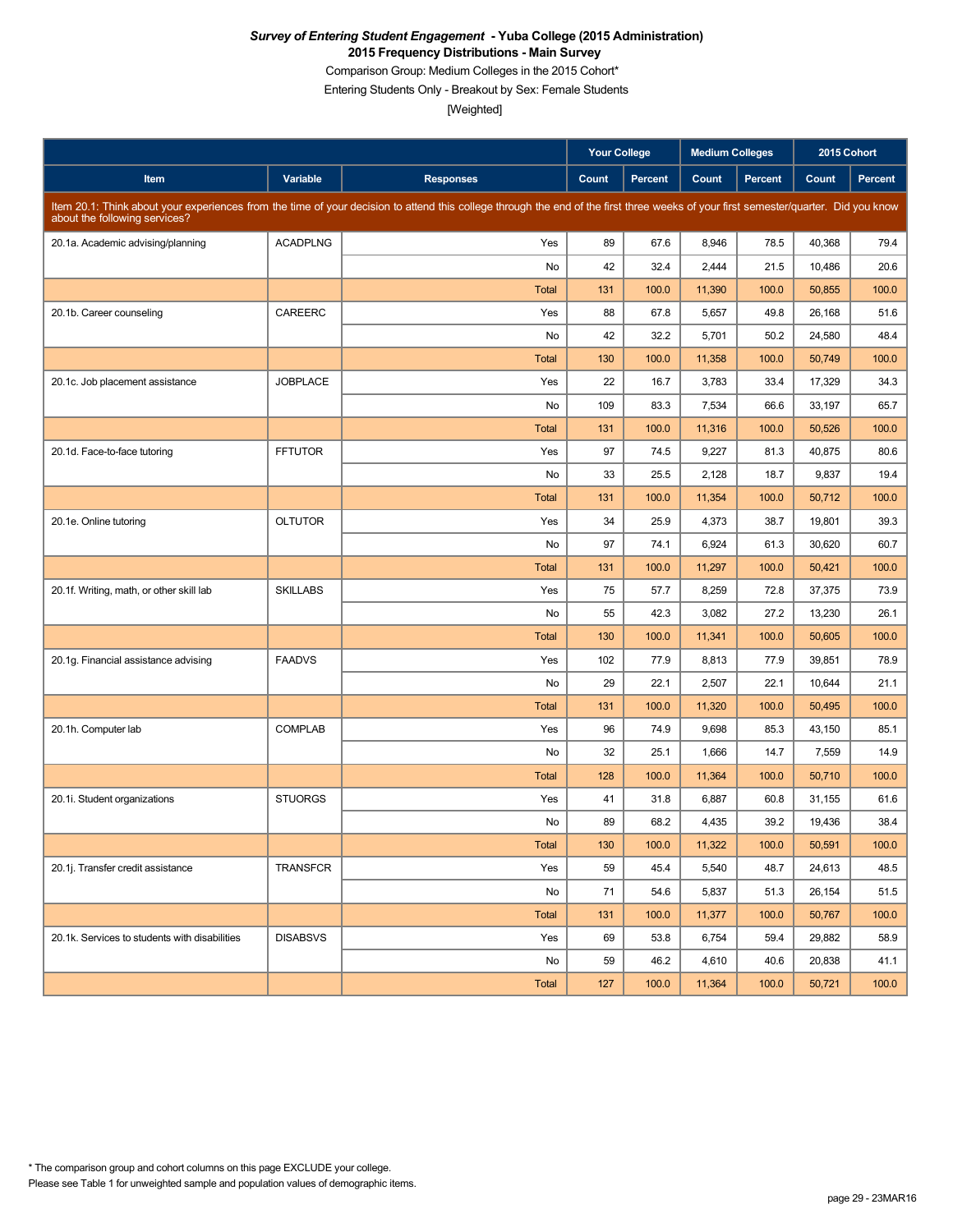Comparison Group: Medium Colleges in the 2015 Cohort\*

Entering Students Only - Breakout by Sex: Female Students

|                                               |                 |                                                                                                                                                                                     | <b>Your College</b> |                | <b>Medium Colleges</b> |                | 2015 Cohort |         |
|-----------------------------------------------|-----------------|-------------------------------------------------------------------------------------------------------------------------------------------------------------------------------------|---------------------|----------------|------------------------|----------------|-------------|---------|
| Item                                          | Variable        | <b>Responses</b>                                                                                                                                                                    | Count               | <b>Percent</b> | Count                  | <b>Percent</b> | Count       | Percent |
| about the following services?                 |                 | Item 20.1: Think about your experiences from the time of your decision to attend this college through the end of the first three weeks of your first semester/quarter. Did you know |                     |                |                        |                |             |         |
| 20.1a. Academic advising/planning             | <b>ACADPLNG</b> | Yes                                                                                                                                                                                 | 89                  | 67.6           | 8,946                  | 78.5           | 40,368      | 79.4    |
|                                               |                 | No                                                                                                                                                                                  | 42                  | 32.4           | 2,444                  | 21.5           | 10,486      | 20.6    |
|                                               |                 | <b>Total</b>                                                                                                                                                                        | 131                 | 100.0          | 11,390                 | 100.0          | 50,855      | 100.0   |
| 20.1b. Career counseling                      | <b>CAREERC</b>  | Yes                                                                                                                                                                                 | 88                  | 67.8           | 5,657                  | 49.8           | 26,168      | 51.6    |
|                                               |                 | No                                                                                                                                                                                  | 42                  | 32.2           | 5,701                  | 50.2           | 24,580      | 48.4    |
|                                               |                 | <b>Total</b>                                                                                                                                                                        | 130                 | 100.0          | 11,358                 | 100.0          | 50,749      | 100.0   |
| 20.1c. Job placement assistance               | <b>JOBPLACE</b> | Yes                                                                                                                                                                                 | 22                  | 16.7           | 3,783                  | 33.4           | 17,329      | 34.3    |
|                                               |                 | No                                                                                                                                                                                  | 109                 | 83.3           | 7,534                  | 66.6           | 33,197      | 65.7    |
|                                               |                 | <b>Total</b>                                                                                                                                                                        | 131                 | 100.0          | 11,316                 | 100.0          | 50,526      | 100.0   |
| 20.1d. Face-to-face tutoring                  | <b>FFTUTOR</b>  | Yes                                                                                                                                                                                 | 97                  | 74.5           | 9,227                  | 81.3           | 40,875      | 80.6    |
|                                               |                 | No                                                                                                                                                                                  | 33                  | 25.5           | 2,128                  | 18.7           | 9,837       | 19.4    |
|                                               |                 | <b>Total</b>                                                                                                                                                                        | 131                 | 100.0          | 11,354                 | 100.0          | 50,712      | 100.0   |
| 20.1e. Online tutoring                        | <b>OLTUTOR</b>  | Yes                                                                                                                                                                                 | 34                  | 25.9           | 4,373                  | 38.7           | 19,801      | 39.3    |
|                                               |                 | No                                                                                                                                                                                  | 97                  | 74.1           | 6,924                  | 61.3           | 30,620      | 60.7    |
|                                               |                 | <b>Total</b>                                                                                                                                                                        | 131                 | 100.0          | 11,297                 | 100.0          | 50,421      | 100.0   |
| 20.1f. Writing, math, or other skill lab      | <b>SKILLABS</b> | Yes                                                                                                                                                                                 | 75                  | 57.7           | 8,259                  | 72.8           | 37,375      | 73.9    |
|                                               |                 | No                                                                                                                                                                                  | 55                  | 42.3           | 3,082                  | 27.2           | 13,230      | 26.1    |
|                                               |                 | <b>Total</b>                                                                                                                                                                        | 130                 | 100.0          | 11,341                 | 100.0          | 50,605      | 100.0   |
| 20.1g. Financial assistance advising          | <b>FAADVS</b>   | Yes                                                                                                                                                                                 | 102                 | 77.9           | 8,813                  | 77.9           | 39,851      | 78.9    |
|                                               |                 | No                                                                                                                                                                                  | 29                  | 22.1           | 2,507                  | 22.1           | 10,644      | 21.1    |
|                                               |                 | <b>Total</b>                                                                                                                                                                        | 131                 | 100.0          | 11,320                 | 100.0          | 50,495      | 100.0   |
| 20.1h. Computer lab                           | <b>COMPLAB</b>  | Yes                                                                                                                                                                                 | 96                  | 74.9           | 9,698                  | 85.3           | 43,150      | 85.1    |
|                                               |                 | No                                                                                                                                                                                  | 32                  | 25.1           | 1,666                  | 14.7           | 7,559       | 14.9    |
|                                               |                 | <b>Total</b>                                                                                                                                                                        | 128                 | 100.0          | 11,364                 | 100.0          | 50,710      | 100.0   |
| 20.1i. Student organizations                  | <b>STUORGS</b>  | Yes                                                                                                                                                                                 | 41                  | 31.8           | 6,887                  | 60.8           | 31,155      | 61.6    |
|                                               |                 | No                                                                                                                                                                                  | 89                  | 68.2           | 4,435                  | 39.2           | 19,436      | 38.4    |
|                                               |                 | Total                                                                                                                                                                               | 130                 | 100.0          | 11,322                 | 100.0          | 50,591      | 100.0   |
| 20.1j. Transfer credit assistance             | <b>TRANSFCR</b> | Yes                                                                                                                                                                                 | 59                  | 45.4           | 5,540                  | 48.7           | 24,613      | 48.5    |
|                                               |                 | No                                                                                                                                                                                  | 71                  | 54.6           | 5,837                  | 51.3           | 26,154      | 51.5    |
|                                               |                 | Total                                                                                                                                                                               | 131                 | 100.0          | 11,377                 | 100.0          | 50,767      | 100.0   |
| 20.1k. Services to students with disabilities | <b>DISABSVS</b> | Yes                                                                                                                                                                                 | 69                  | 53.8           | 6,754                  | 59.4           | 29,882      | 58.9    |
|                                               |                 | No                                                                                                                                                                                  | 59                  | 46.2           | 4,610                  | 40.6           | 20,838      | 41.1    |
|                                               |                 | Total                                                                                                                                                                               | 127                 | 100.0          | 11,364                 | 100.0          | 50,721      | 100.0   |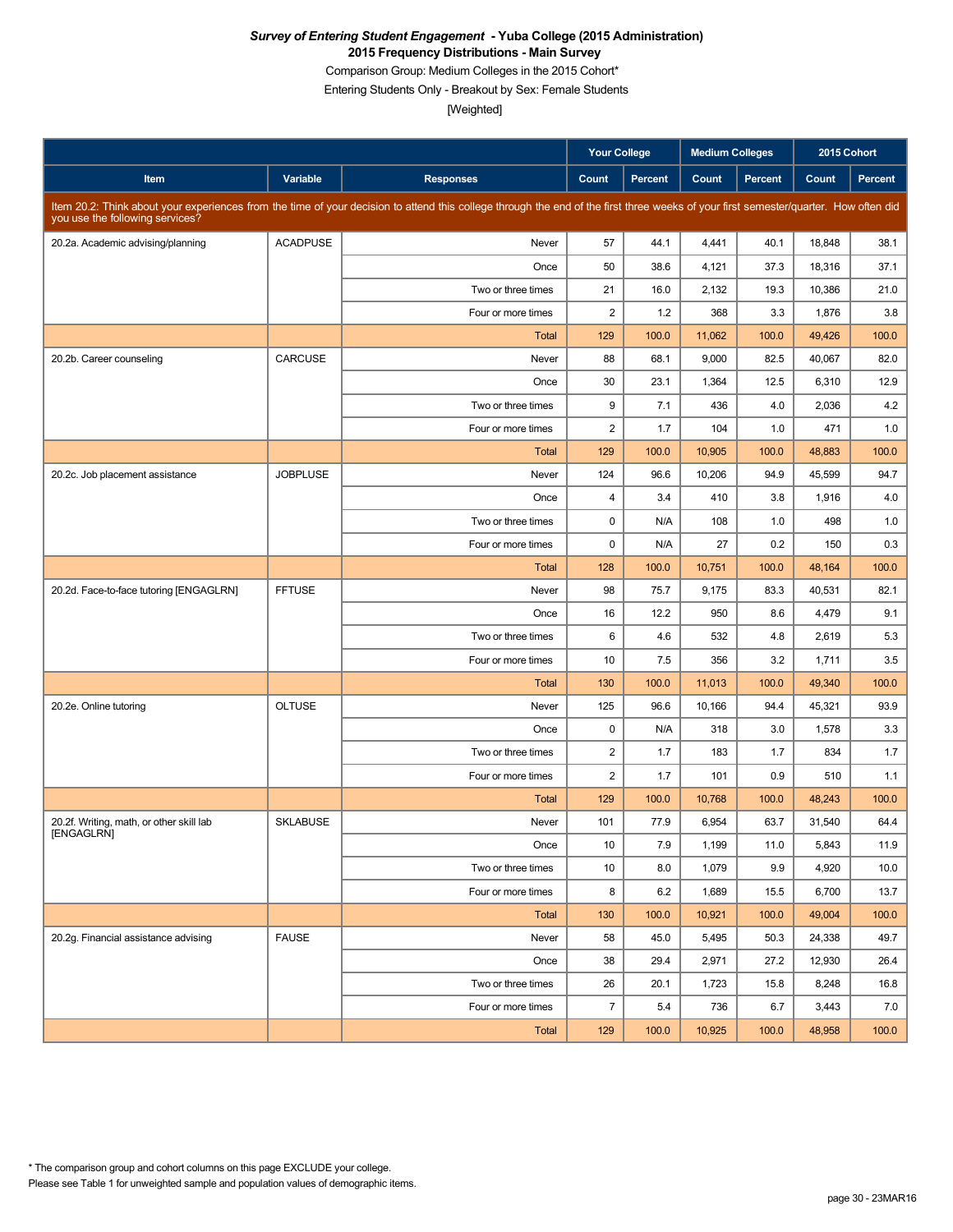Comparison Group: Medium Colleges in the 2015 Cohort\*

Entering Students Only - Breakout by Sex: Female Students

|                                          |                 |                                                                                                                                                                                      | <b>Your College</b>     |         | <b>Medium Colleges</b> |         |        | 2015 Cohort |
|------------------------------------------|-----------------|--------------------------------------------------------------------------------------------------------------------------------------------------------------------------------------|-------------------------|---------|------------------------|---------|--------|-------------|
| Item                                     | Variable        | <b>Responses</b>                                                                                                                                                                     | Count                   | Percent | Count                  | Percent | Count  | Percent     |
| you use the following services?          |                 | Item 20.2: Think about your experiences from the time of your decision to attend this college through the end of the first three weeks of your first semester/quarter. How often did |                         |         |                        |         |        |             |
| 20.2a. Academic advising/planning        | <b>ACADPUSE</b> | Never                                                                                                                                                                                | 57                      | 44.1    | 4,441                  | 40.1    | 18,848 | 38.1        |
|                                          |                 | Once                                                                                                                                                                                 | 50                      | 38.6    | 4,121                  | 37.3    | 18,316 | 37.1        |
|                                          |                 | Two or three times                                                                                                                                                                   | 21                      | 16.0    | 2,132                  | 19.3    | 10,386 | 21.0        |
|                                          |                 | Four or more times                                                                                                                                                                   | $\overline{c}$          | 1.2     | 368                    | 3.3     | 1,876  | 3.8         |
|                                          |                 | <b>Total</b>                                                                                                                                                                         | 129                     | 100.0   | 11,062                 | 100.0   | 49,426 | 100.0       |
| 20.2b. Career counseling                 | CARCUSE         | Never                                                                                                                                                                                | 88                      | 68.1    | 9,000                  | 82.5    | 40,067 | 82.0        |
|                                          |                 | Once                                                                                                                                                                                 | 30                      | 23.1    | 1,364                  | 12.5    | 6,310  | 12.9        |
|                                          |                 | Two or three times                                                                                                                                                                   | 9                       | 7.1     | 436                    | 4.0     | 2,036  | 4.2         |
|                                          |                 | Four or more times                                                                                                                                                                   | $\overline{c}$          | 1.7     | 104                    | 1.0     | 471    | 1.0         |
|                                          |                 | Total                                                                                                                                                                                | 129                     | 100.0   | 10,905                 | 100.0   | 48,883 | 100.0       |
| 20.2c. Job placement assistance          | <b>JOBPLUSE</b> | Never                                                                                                                                                                                | 124                     | 96.6    | 10,206                 | 94.9    | 45,599 | 94.7        |
|                                          |                 | Once                                                                                                                                                                                 | $\overline{\mathbf{4}}$ | 3.4     | 410                    | 3.8     | 1,916  | 4.0         |
|                                          |                 | Two or three times                                                                                                                                                                   | 0                       | N/A     | 108                    | 1.0     | 498    | 1.0         |
|                                          |                 | Four or more times                                                                                                                                                                   | $\mathbf 0$             | N/A     | 27                     | 0.2     | 150    | 0.3         |
|                                          |                 | Total                                                                                                                                                                                | 128                     | 100.0   | 10,751                 | 100.0   | 48,164 | 100.0       |
| 20.2d. Face-to-face tutoring [ENGAGLRN]  | <b>FFTUSE</b>   | Never                                                                                                                                                                                | 98                      | 75.7    | 9,175                  | 83.3    | 40,531 | 82.1        |
|                                          |                 | Once                                                                                                                                                                                 | 16                      | 12.2    | 950                    | 8.6     | 4,479  | 9.1         |
|                                          |                 | Two or three times                                                                                                                                                                   | 6                       | 4.6     | 532                    | 4.8     | 2,619  | 5.3         |
|                                          |                 | Four or more times                                                                                                                                                                   | 10                      | 7.5     | 356                    | 3.2     | 1,711  | 3.5         |
|                                          |                 | <b>Total</b>                                                                                                                                                                         | 130                     | 100.0   | 11,013                 | 100.0   | 49,340 | 100.0       |
| 20.2e. Online tutoring                   | <b>OLTUSE</b>   | Never                                                                                                                                                                                | 125                     | 96.6    | 10,166                 | 94.4    | 45,321 | 93.9        |
|                                          |                 | Once                                                                                                                                                                                 | 0                       | N/A     | 318                    | 3.0     | 1,578  | 3.3         |
|                                          |                 | Two or three times                                                                                                                                                                   | $\overline{\mathbf{c}}$ | 1.7     | 183                    | 1.7     | 834    | 1.7         |
|                                          |                 | Four or more times                                                                                                                                                                   | $\overline{2}$          | 1.7     | 101                    | 0.9     | 510    | 1.1         |
|                                          |                 | Total                                                                                                                                                                                | 129                     | 100.0   | 10,768                 | 100.0   | 48,243 | 100.0       |
| 20.2f. Writing, math, or other skill lab | <b>SKLABUSE</b> | Never                                                                                                                                                                                | 101                     | 77.9    | 6,954                  | 63.7    | 31,540 | 64.4        |
| [ENGAGLRN]                               |                 | Once                                                                                                                                                                                 | 10                      | 7.9     | 1,199                  | 11.0    | 5,843  | 11.9        |
|                                          |                 | Two or three times                                                                                                                                                                   | 10                      | 8.0     | 1,079                  | 9.9     | 4,920  | 10.0        |
|                                          |                 | Four or more times                                                                                                                                                                   | 8                       | 6.2     | 1,689                  | 15.5    | 6,700  | 13.7        |
|                                          |                 | Total                                                                                                                                                                                | 130                     | 100.0   | 10,921                 | 100.0   | 49,004 | 100.0       |
| 20.2g. Financial assistance advising     | <b>FAUSE</b>    | Never                                                                                                                                                                                | 58                      | 45.0    | 5,495                  | 50.3    | 24,338 | 49.7        |
|                                          |                 | Once                                                                                                                                                                                 | 38                      | 29.4    | 2,971                  | 27.2    | 12,930 | 26.4        |
|                                          |                 | Two or three times                                                                                                                                                                   | 26                      | 20.1    | 1,723                  | 15.8    | 8,248  | 16.8        |
|                                          |                 | Four or more times                                                                                                                                                                   | $\overline{7}$          | 5.4     | 736                    | 6.7     | 3,443  | 7.0         |
|                                          |                 | Total                                                                                                                                                                                | 129                     | 100.0   | 10,925                 | 100.0   | 48,958 | 100.0       |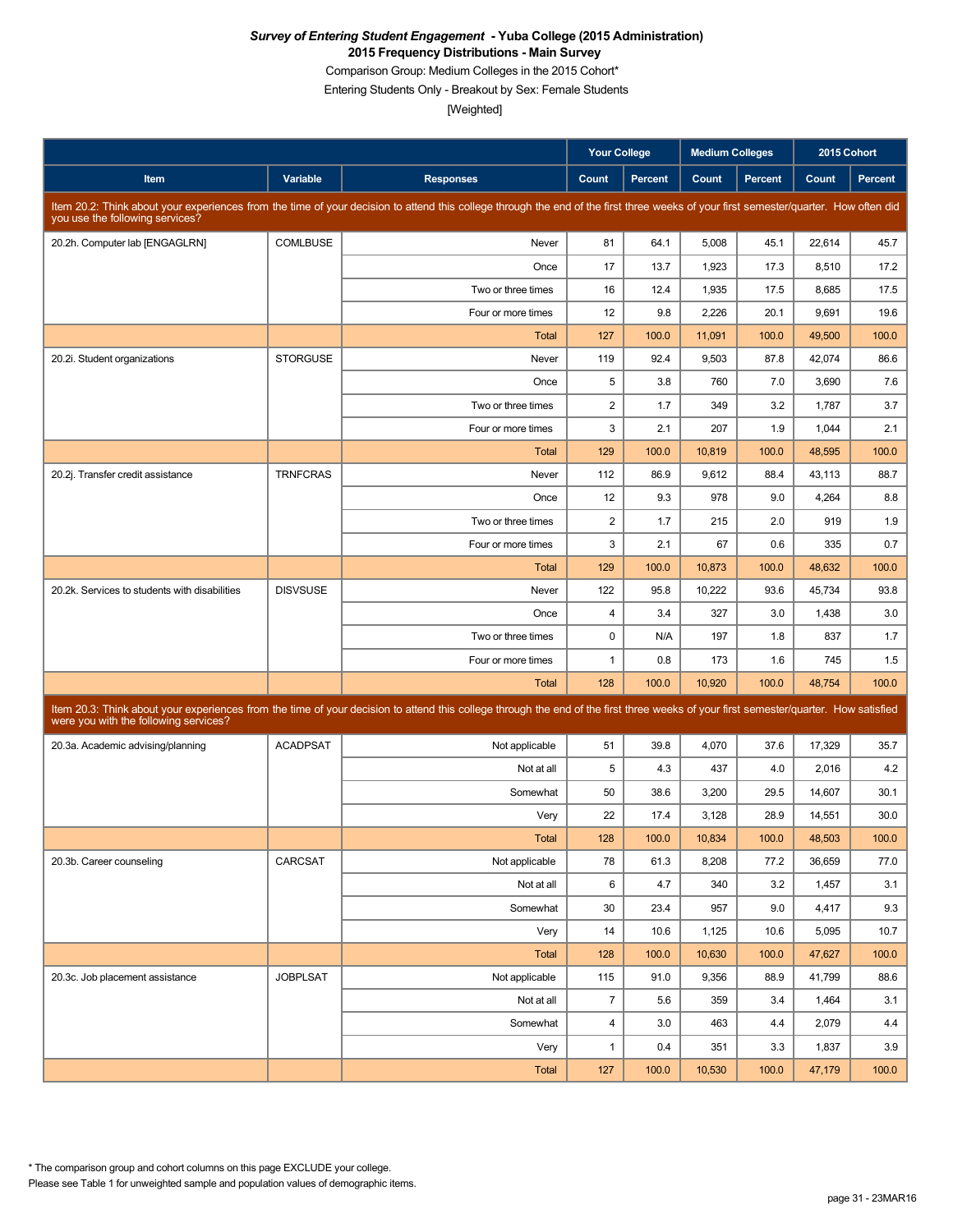Comparison Group: Medium Colleges in the 2015 Cohort\*

Entering Students Only - Breakout by Sex: Female Students

|                                               |                 |                                                                                                                                                                                      | <b>Your College</b>     |                | <b>Medium Colleges</b> |         | 2015 Cohort |         |
|-----------------------------------------------|-----------------|--------------------------------------------------------------------------------------------------------------------------------------------------------------------------------------|-------------------------|----------------|------------------------|---------|-------------|---------|
| Item                                          | Variable        | <b>Responses</b>                                                                                                                                                                     | Count                   | <b>Percent</b> | Count                  | Percent | Count       | Percent |
| you use the following services?               |                 | Item 20.2: Think about your experiences from the time of your decision to attend this college through the end of the first three weeks of your first semester/quarter. How often did |                         |                |                        |         |             |         |
| 20.2h. Computer lab [ENGAGLRN]                | <b>COMLBUSE</b> | Never                                                                                                                                                                                | 81                      | 64.1           | 5,008                  | 45.1    | 22,614      | 45.7    |
|                                               |                 | Once                                                                                                                                                                                 | 17                      | 13.7           | 1,923                  | 17.3    | 8,510       | 17.2    |
|                                               |                 | Two or three times                                                                                                                                                                   | 16                      | 12.4           | 1,935                  | 17.5    | 8,685       | 17.5    |
|                                               |                 | Four or more times                                                                                                                                                                   | 12                      | 9.8            | 2,226                  | 20.1    | 9,691       | 19.6    |
|                                               |                 | Total                                                                                                                                                                                | 127                     | 100.0          | 11,091                 | 100.0   | 49,500      | 100.0   |
| 20.2i. Student organizations                  | <b>STORGUSE</b> | Never                                                                                                                                                                                | 119                     | 92.4           | 9,503                  | 87.8    | 42,074      | 86.6    |
|                                               |                 | Once                                                                                                                                                                                 | 5                       | 3.8            | 760                    | 7.0     | 3,690       | 7.6     |
|                                               |                 | Two or three times                                                                                                                                                                   | $\overline{2}$          | 1.7            | 349                    | 3.2     | 1,787       | 3.7     |
|                                               |                 | Four or more times                                                                                                                                                                   | 3                       | 2.1            | 207                    | 1.9     | 1,044       | 2.1     |
|                                               |                 | Total                                                                                                                                                                                | 129                     | 100.0          | 10,819                 | 100.0   | 48,595      | 100.0   |
| 20.2j. Transfer credit assistance             | <b>TRNFCRAS</b> | Never                                                                                                                                                                                | 112                     | 86.9           | 9,612                  | 88.4    | 43,113      | 88.7    |
|                                               |                 | Once                                                                                                                                                                                 | 12                      | 9.3            | 978                    | 9.0     | 4,264       | 8.8     |
|                                               |                 | Two or three times                                                                                                                                                                   | $\overline{\mathbf{c}}$ | 1.7            | 215                    | 2.0     | 919         | 1.9     |
|                                               |                 | Four or more times                                                                                                                                                                   | 3                       | 2.1            | 67                     | 0.6     | 335         | 0.7     |
|                                               |                 | Total                                                                                                                                                                                | 129                     | 100.0          | 10,873                 | 100.0   | 48,632      | 100.0   |
| 20.2k. Services to students with disabilities | <b>DISVSUSE</b> | Never                                                                                                                                                                                | 122                     | 95.8           | 10,222                 | 93.6    | 45,734      | 93.8    |
|                                               |                 | Once                                                                                                                                                                                 | $\overline{\mathbf{4}}$ | 3.4            | 327                    | 3.0     | 1,438       | 3.0     |
|                                               |                 | Two or three times                                                                                                                                                                   | 0                       | N/A            | 197                    | 1.8     | 837         | 1.7     |
|                                               |                 | Four or more times                                                                                                                                                                   | $\mathbf{1}$            | 0.8            | 173                    | 1.6     | 745         | 1.5     |
|                                               |                 | Total                                                                                                                                                                                | 128                     | 100.0          | 10,920                 | 100.0   | 48,754      | 100.0   |
| were you with the following services?         |                 | Item 20.3: Think about your experiences from the time of your decision to attend this college through the end of the first three weeks of your first semester/quarter. How satisfied |                         |                |                        |         |             |         |
| 20.3a. Academic advising/planning             | <b>ACADPSAT</b> | Not applicable                                                                                                                                                                       | 51                      | 39.8           | 4,070                  | 37.6    | 17,329      | 35.7    |
|                                               |                 | Not at all                                                                                                                                                                           | 5                       | 4.3            | 437                    | 4.0     | 2,016       | 4.2     |
|                                               |                 | Somewhat                                                                                                                                                                             | 50                      | 38.6           | 3,200                  | 29.5    | 14,607      | 30.1    |
|                                               |                 | Very                                                                                                                                                                                 | 22                      | 17.4           | 3,128                  | 28.9    | 14,551      | 30.0    |
|                                               |                 | Total                                                                                                                                                                                | 128                     | 100.0          | 10,834                 | 100.0   | 48,503      | 100.0   |
| 20.3b. Career counseling                      | CARCSAT         | Not applicable                                                                                                                                                                       | 78                      | 61.3           | 8,208                  | 77.2    | 36,659      | 77.0    |
|                                               |                 | Not at all                                                                                                                                                                           | 6                       | 4.7            | 340                    | 3.2     | 1,457       | 3.1     |
|                                               |                 | Somewhat                                                                                                                                                                             | 30                      | 23.4           | 957                    | 9.0     | 4,417       | 9.3     |
|                                               |                 | Very                                                                                                                                                                                 | 14                      | 10.6           | 1,125                  | 10.6    | 5,095       | 10.7    |
|                                               |                 | Total                                                                                                                                                                                | 128                     | 100.0          | 10,630                 | 100.0   | 47,627      | 100.0   |
| 20.3c. Job placement assistance               | <b>JOBPLSAT</b> | Not applicable                                                                                                                                                                       | 115                     | 91.0           | 9,356                  | 88.9    | 41,799      | 88.6    |
|                                               |                 | Not at all                                                                                                                                                                           | $\overline{7}$          | 5.6            | 359                    | 3.4     | 1,464       | 3.1     |
|                                               |                 | Somewhat                                                                                                                                                                             | $\overline{\mathbf{4}}$ | 3.0            | 463                    | 4.4     | 2,079       | 4.4     |
|                                               |                 | Very                                                                                                                                                                                 | $\mathbf{1}$            | 0.4            | 351                    | 3.3     | 1,837       | 3.9     |
|                                               |                 | Total                                                                                                                                                                                | 127                     | 100.0          | 10,530                 | 100.0   | 47,179      | 100.0   |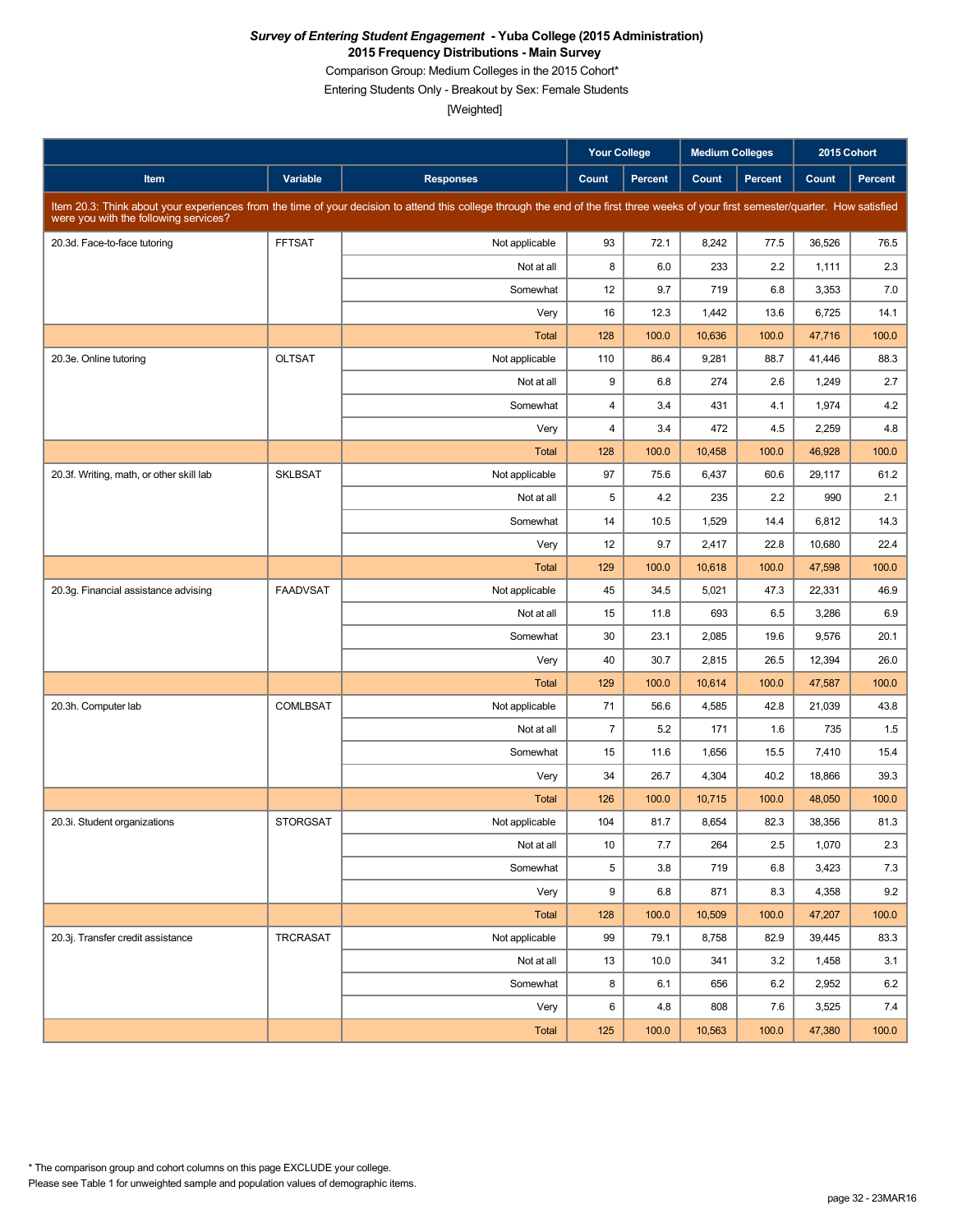Comparison Group: Medium Colleges in the 2015 Cohort\*

Entering Students Only - Breakout by Sex: Female Students

|                                          |                 |                                                                                                                                                                                      | <b>Your College</b> |                | Medium Colleges |         | 2015 Cohort |                |
|------------------------------------------|-----------------|--------------------------------------------------------------------------------------------------------------------------------------------------------------------------------------|---------------------|----------------|-----------------|---------|-------------|----------------|
| Item                                     | Variable        | <b>Responses</b>                                                                                                                                                                     | Count               | <b>Percent</b> | Count           | Percent | Count       | <b>Percent</b> |
| were you with the following services?    |                 | Item 20.3: Think about your experiences from the time of your decision to attend this college through the end of the first three weeks of your first semester/quarter. How satisfied |                     |                |                 |         |             |                |
| 20.3d. Face-to-face tutoring             | <b>FFTSAT</b>   | Not applicable                                                                                                                                                                       | 93                  | 72.1           | 8,242           | 77.5    | 36,526      | 76.5           |
|                                          |                 | Not at all                                                                                                                                                                           | 8                   | 6.0            | 233             | 2.2     | 1,111       | 2.3            |
|                                          |                 | Somewhat                                                                                                                                                                             | 12                  | 9.7            | 719             | 6.8     | 3,353       | 7.0            |
|                                          |                 | Very                                                                                                                                                                                 | 16                  | 12.3           | 1,442           | 13.6    | 6,725       | 14.1           |
|                                          |                 | <b>Total</b>                                                                                                                                                                         | 128                 | 100.0          | 10,636          | 100.0   | 47,716      | 100.0          |
| 20.3e. Online tutoring                   | <b>OLTSAT</b>   | Not applicable                                                                                                                                                                       | 110                 | 86.4           | 9,281           | 88.7    | 41.446      | 88.3           |
|                                          |                 | Not at all                                                                                                                                                                           | 9                   | 6.8            | 274             | 2.6     | 1,249       | 2.7            |
|                                          |                 | Somewhat                                                                                                                                                                             | $\overline{4}$      | 3.4            | 431             | 4.1     | 1,974       | 4.2            |
|                                          |                 | Very                                                                                                                                                                                 | $\overline{4}$      | 3.4            | 472             | 4.5     | 2,259       | 4.8            |
|                                          |                 | <b>Total</b>                                                                                                                                                                         | 128                 | 100.0          | 10,458          | 100.0   | 46,928      | 100.0          |
| 20.3f. Writing, math, or other skill lab | <b>SKLBSAT</b>  | Not applicable                                                                                                                                                                       | 97                  | 75.6           | 6,437           | 60.6    | 29,117      | 61.2           |
|                                          |                 | Not at all                                                                                                                                                                           | 5                   | 4.2            | 235             | 2.2     | 990         | 2.1            |
|                                          |                 | Somewhat                                                                                                                                                                             | 14                  | 10.5           | 1,529           | 14.4    | 6,812       | 14.3           |
|                                          |                 | Very                                                                                                                                                                                 | 12                  | 9.7            | 2,417           | 22.8    | 10,680      | 22.4           |
|                                          |                 | <b>Total</b>                                                                                                                                                                         | 129                 | 100.0          | 10,618          | 100.0   | 47,598      | 100.0          |
| 20.3g. Financial assistance advising     | <b>FAADVSAT</b> | Not applicable                                                                                                                                                                       | 45                  | 34.5           | 5,021           | 47.3    | 22,331      | 46.9           |
|                                          |                 | Not at all                                                                                                                                                                           | 15                  | 11.8           | 693             | 6.5     | 3,286       | 6.9            |
|                                          |                 | Somewhat                                                                                                                                                                             | 30                  | 23.1           | 2,085           | 19.6    | 9,576       | 20.1           |
|                                          |                 | Very                                                                                                                                                                                 | 40                  | 30.7           | 2,815           | 26.5    | 12,394      | 26.0           |
|                                          |                 | <b>Total</b>                                                                                                                                                                         | 129                 | 100.0          | 10,614          | 100.0   | 47,587      | 100.0          |
| 20.3h. Computer lab                      | <b>COMLBSAT</b> | Not applicable                                                                                                                                                                       | 71                  | 56.6           | 4,585           | 42.8    | 21,039      | 43.8           |
|                                          |                 | Not at all                                                                                                                                                                           | $\overline{7}$      | 5.2            | 171             | 1.6     | 735         | 1.5            |
|                                          |                 | Somewhat                                                                                                                                                                             | 15                  | 11.6           | 1,656           | 15.5    | 7,410       | 15.4           |
|                                          |                 | Very                                                                                                                                                                                 | 34                  | 26.7           | 4,304           | 40.2    | 18,866      | 39.3           |
|                                          |                 | <b>Total</b>                                                                                                                                                                         | 126                 | 100.0          | 10,715          | 100.0   | 48,050      | 100.0          |
| 20.3i. Student organizations             | <b>STORGSAT</b> | Not applicable                                                                                                                                                                       | 104                 | 81.7           | 8,654           | 82.3    | 38,356      | 81.3           |
|                                          |                 | Not at all                                                                                                                                                                           | 10                  | 7.7            | 264             | $2.5\,$ | 1,070       | 2.3            |
|                                          |                 | Somewhat                                                                                                                                                                             | 5                   | 3.8            | 719             | 6.8     | 3,423       | 7.3            |
|                                          |                 | Very                                                                                                                                                                                 | 9                   | 6.8            | 871             | 8.3     | 4,358       | 9.2            |
|                                          |                 | Total                                                                                                                                                                                | 128                 | 100.0          | 10,509          | 100.0   | 47,207      | 100.0          |
| 20.3j. Transfer credit assistance        | TRCRASAT        | Not applicable                                                                                                                                                                       | 99                  | 79.1           | 8,758           | 82.9    | 39,445      | 83.3           |
|                                          |                 | Not at all                                                                                                                                                                           | 13                  | 10.0           | 341             | 3.2     | 1,458       | 3.1            |
|                                          |                 | Somewhat                                                                                                                                                                             | 8                   | 6.1            | 656             | 6.2     | 2,952       | 6.2            |
|                                          |                 | Very                                                                                                                                                                                 | 6                   | 4.8            | 808             | 7.6     | 3,525       | 7.4            |
|                                          |                 | Total                                                                                                                                                                                | 125                 | 100.0          | 10,563          | 100.0   | 47,380      | 100.0          |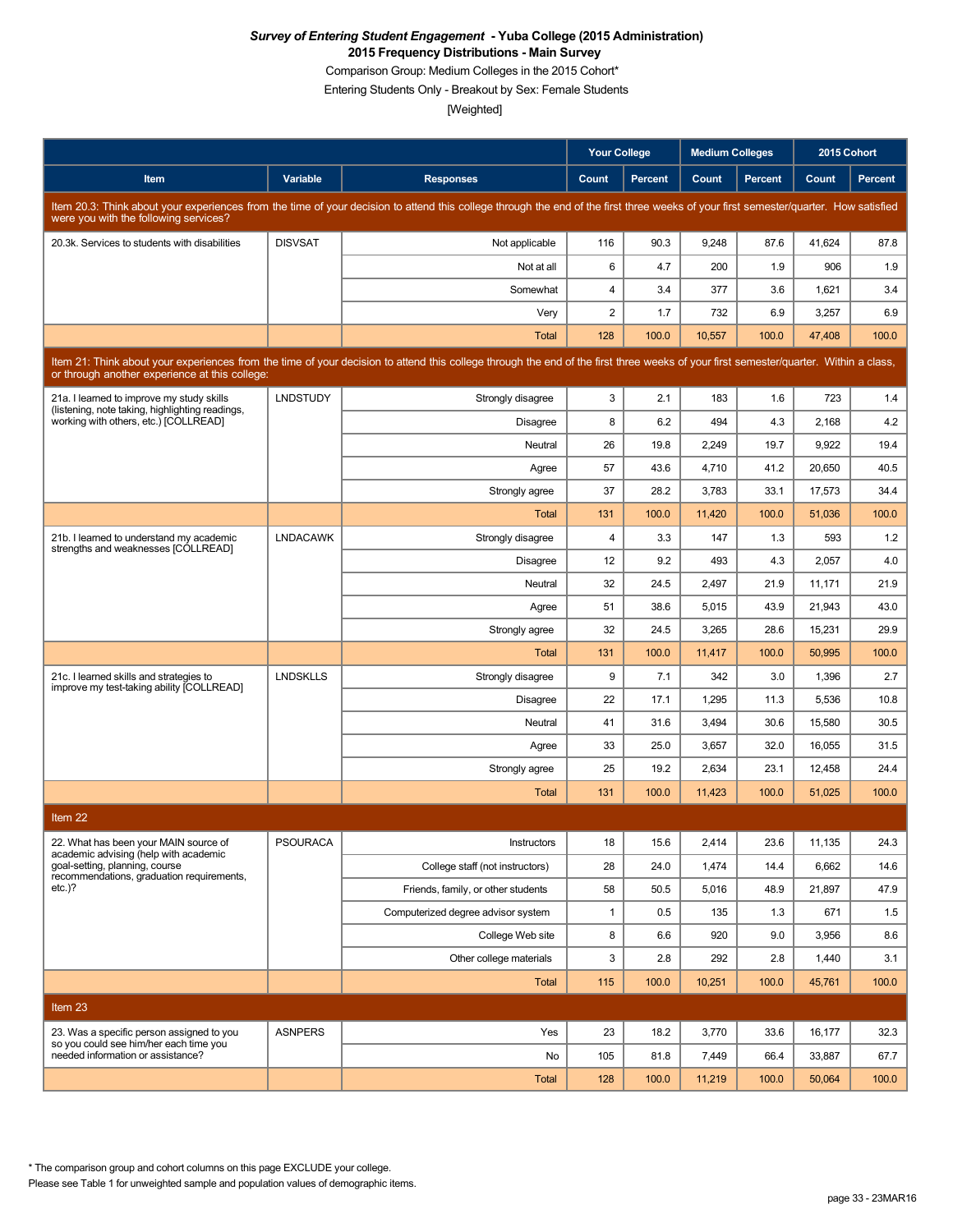Comparison Group: Medium Colleges in the 2015 Cohort\*

Entering Students Only - Breakout by Sex: Female Students

[Weighted]

|                                                                                                                                                                                                                                        |                 |                                                                                                                                                                                      | <b>Your College</b>     |                | <b>Medium Colleges</b> |                |        | 2015 Cohort    |  |
|----------------------------------------------------------------------------------------------------------------------------------------------------------------------------------------------------------------------------------------|-----------------|--------------------------------------------------------------------------------------------------------------------------------------------------------------------------------------|-------------------------|----------------|------------------------|----------------|--------|----------------|--|
| <b>Item</b>                                                                                                                                                                                                                            | Variable        | <b>Responses</b>                                                                                                                                                                     | Count                   | <b>Percent</b> | Count                  | <b>Percent</b> | Count  | <b>Percent</b> |  |
| were you with the following services?                                                                                                                                                                                                  |                 | Item 20.3: Think about your experiences from the time of your decision to attend this college through the end of the first three weeks of your first semester/quarter. How satisfied |                         |                |                        |                |        |                |  |
| 20.3k. Services to students with disabilities                                                                                                                                                                                          | <b>DISVSAT</b>  | Not applicable                                                                                                                                                                       | 116                     | 90.3           | 9,248                  | 87.6           | 41,624 | 87.8           |  |
|                                                                                                                                                                                                                                        |                 | Not at all                                                                                                                                                                           | 6                       | 4.7            | 200                    | 1.9            | 906    | 1.9            |  |
|                                                                                                                                                                                                                                        |                 | Somewhat                                                                                                                                                                             | $\overline{\mathbf{4}}$ | 3.4            | 377                    | 3.6            | 1,621  | 3.4            |  |
|                                                                                                                                                                                                                                        |                 | Very                                                                                                                                                                                 | $\overline{2}$          | 1.7            | 732                    | 6.9            | 3,257  | 6.9            |  |
|                                                                                                                                                                                                                                        |                 | Total                                                                                                                                                                                | 128                     | 100.0          | 10,557                 | 100.0          | 47,408 | 100.0          |  |
| Item 21: Think about your experiences from the time of your decision to attend this college through the end of the first three weeks of your first semester/quarter. Within a class,<br>or through another experience at this college: |                 |                                                                                                                                                                                      |                         |                |                        |                |        |                |  |
| 21a. I learned to improve my study skills<br>(listening, note taking, highlighting readings,                                                                                                                                           | <b>LNDSTUDY</b> | Strongly disagree                                                                                                                                                                    | 3                       | 2.1            | 183                    | 1.6            | 723    | 1.4            |  |
| working with others, etc.) [COLLREAD]                                                                                                                                                                                                  |                 | <b>Disagree</b>                                                                                                                                                                      | 8                       | 6.2            | 494                    | 4.3            | 2,168  | 4.2            |  |
|                                                                                                                                                                                                                                        |                 | Neutral                                                                                                                                                                              | 26                      | 19.8           | 2,249                  | 19.7           | 9,922  | 19.4           |  |
|                                                                                                                                                                                                                                        |                 | Agree                                                                                                                                                                                | 57                      | 43.6           | 4,710                  | 41.2           | 20,650 | 40.5           |  |
|                                                                                                                                                                                                                                        |                 | Strongly agree                                                                                                                                                                       | 37                      | 28.2           | 3,783                  | 33.1           | 17,573 | 34.4           |  |
|                                                                                                                                                                                                                                        |                 | Total                                                                                                                                                                                | 131                     | 100.0          | 11,420                 | 100.0          | 51,036 | 100.0          |  |
| 21b. I learned to understand my academic<br>strengths and weaknesses [COLLREAD]                                                                                                                                                        | <b>LNDACAWK</b> | Strongly disagree                                                                                                                                                                    | 4                       | 3.3            | 147                    | 1.3            | 593    | 1.2            |  |
|                                                                                                                                                                                                                                        |                 | <b>Disagree</b>                                                                                                                                                                      | 12                      | 9.2            | 493                    | 4.3            | 2,057  | 4.0            |  |
|                                                                                                                                                                                                                                        |                 | Neutral                                                                                                                                                                              | 32                      | 24.5           | 2,497                  | 21.9           | 11,171 | 21.9           |  |
|                                                                                                                                                                                                                                        |                 | Agree                                                                                                                                                                                | 51                      | 38.6           | 5,015                  | 43.9           | 21,943 | 43.0           |  |
|                                                                                                                                                                                                                                        |                 | Strongly agree                                                                                                                                                                       | 32                      | 24.5           | 3,265                  | 28.6           | 15,231 | 29.9           |  |
|                                                                                                                                                                                                                                        |                 | Total                                                                                                                                                                                | 131                     | 100.0          | 11,417                 | 100.0          | 50,995 | 100.0          |  |
| 21c. I learned skills and strategies to<br>improve my test-taking ability [COLLREAD]                                                                                                                                                   | <b>LNDSKLLS</b> | Strongly disagree                                                                                                                                                                    | 9                       | 7.1            | 342                    | 3.0            | 1,396  | 2.7            |  |
|                                                                                                                                                                                                                                        |                 | <b>Disagree</b>                                                                                                                                                                      | 22                      | 17.1           | 1,295                  | 11.3           | 5,536  | 10.8           |  |
|                                                                                                                                                                                                                                        |                 | Neutral                                                                                                                                                                              | 41                      | 31.6           | 3,494                  | 30.6           | 15,580 | 30.5           |  |
|                                                                                                                                                                                                                                        |                 | Agree                                                                                                                                                                                | 33                      | 25.0           | 3,657                  | 32.0           | 16,055 | 31.5           |  |
|                                                                                                                                                                                                                                        |                 | Strongly agree                                                                                                                                                                       | 25                      | 19.2           | 2,634                  | 23.1           | 12,458 | 24.4           |  |
|                                                                                                                                                                                                                                        |                 | Total                                                                                                                                                                                | 131                     | 100.0          | 11,423                 | 100.0          | 51,025 | 100.0          |  |
| Item 22                                                                                                                                                                                                                                |                 |                                                                                                                                                                                      |                         |                |                        |                |        |                |  |
| 22. What has been your MAIN source of<br>academic advising (help with academic                                                                                                                                                         | <b>PSOURACA</b> | Instructors                                                                                                                                                                          | 18                      | 15.6           | 2,414                  | 23.6           | 11,135 | 24.3           |  |
| goal-setting, planning, course<br>recommendations, graduation requirements,                                                                                                                                                            |                 | College staff (not instructors)                                                                                                                                                      | 28                      | 24.0           | 1,474                  | 14.4           | 6,662  | 14.6           |  |
| $etc.$ )?                                                                                                                                                                                                                              |                 | Friends, family, or other students                                                                                                                                                   | 58                      | 50.5           | 5,016                  | 48.9           | 21,897 | 47.9           |  |
|                                                                                                                                                                                                                                        |                 | Computerized degree advisor system                                                                                                                                                   | $\mathbf{1}$            | 0.5            | 135                    | 1.3            | 671    | 1.5            |  |
|                                                                                                                                                                                                                                        |                 | College Web site                                                                                                                                                                     | 8                       | 6.6            | 920                    | 9.0            | 3,956  | 8.6            |  |
|                                                                                                                                                                                                                                        |                 | Other college materials                                                                                                                                                              | 3                       | 2.8            | 292                    | 2.8            | 1,440  | 3.1            |  |
|                                                                                                                                                                                                                                        |                 | Total                                                                                                                                                                                | 115                     | 100.0          | 10,251                 | 100.0          | 45,761 | 100.0          |  |
| Item 23                                                                                                                                                                                                                                |                 |                                                                                                                                                                                      |                         |                |                        |                |        |                |  |
| 23. Was a specific person assigned to you                                                                                                                                                                                              | <b>ASNPERS</b>  | Yes                                                                                                                                                                                  | 23                      | 18.2           | 3,770                  | 33.6           | 16,177 | 32.3           |  |
| so you could see him/her each time you<br>needed information or assistance?                                                                                                                                                            |                 | No                                                                                                                                                                                   | 105                     | 81.8           | 7,449                  | 66.4           | 33,887 | 67.7           |  |
|                                                                                                                                                                                                                                        |                 | Total                                                                                                                                                                                | 128                     | 100.0          | 11,219                 | 100.0          | 50,064 | 100.0          |  |

\* The comparison group and cohort columns on this page EXCLUDE your college.

Please see Table 1 for unweighted sample and population values of demographic items.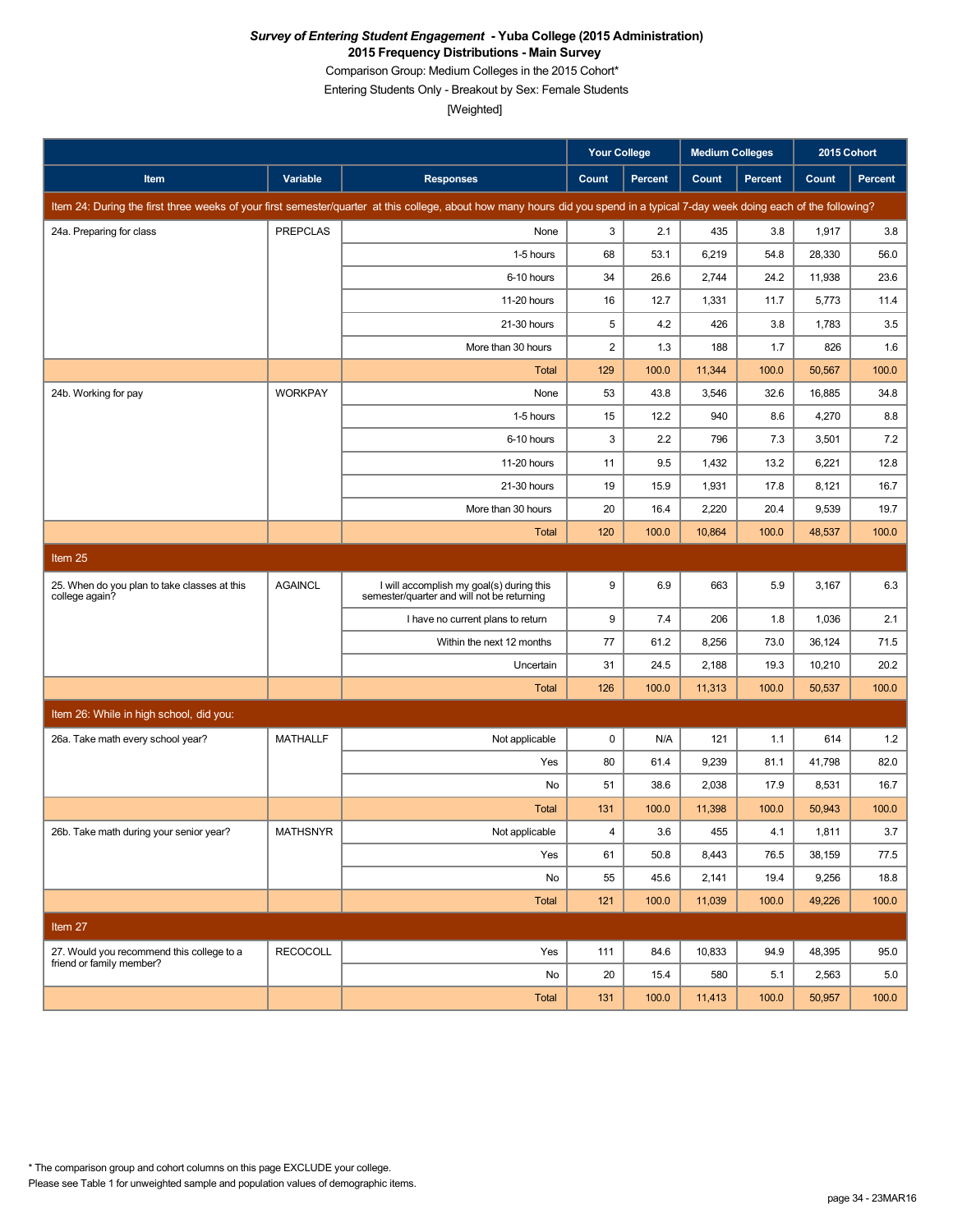Comparison Group: Medium Colleges in the 2015 Cohort\*

Entering Students Only - Breakout by Sex: Female Students

[Weighted]

|                                                                |                 |                                                                                                                                                                               | <b>Your College</b>     |                | <b>Medium Colleges</b> |         | 2015 Cohort |                |
|----------------------------------------------------------------|-----------------|-------------------------------------------------------------------------------------------------------------------------------------------------------------------------------|-------------------------|----------------|------------------------|---------|-------------|----------------|
| Item                                                           | Variable        | <b>Responses</b>                                                                                                                                                              | Count                   | <b>Percent</b> | Count                  | Percent | Count       | <b>Percent</b> |
|                                                                |                 | Item 24: During the first three weeks of your first semester/quarter at this college, about how many hours did you spend in a typical 7-day week doing each of the following? |                         |                |                        |         |             |                |
| 24a. Preparing for class                                       | <b>PREPCLAS</b> | None                                                                                                                                                                          | 3                       | 2.1            | 435                    | 3.8     | 1,917       | 3.8            |
|                                                                |                 | 1-5 hours                                                                                                                                                                     | 68                      | 53.1           | 6,219                  | 54.8    | 28,330      | 56.0           |
|                                                                |                 | 6-10 hours                                                                                                                                                                    | 34                      | 26.6           | 2,744                  | 24.2    | 11,938      | 23.6           |
|                                                                |                 | 11-20 hours                                                                                                                                                                   | 16                      | 12.7           | 1,331                  | 11.7    | 5,773       | 11.4           |
|                                                                |                 | 21-30 hours                                                                                                                                                                   | 5                       | 4.2            | 426                    | 3.8     | 1,783       | 3.5            |
|                                                                |                 | More than 30 hours                                                                                                                                                            | $\overline{\mathbf{c}}$ | 1.3            | 188                    | 1.7     | 826         | 1.6            |
|                                                                |                 | <b>Total</b>                                                                                                                                                                  | 129                     | 100.0          | 11,344                 | 100.0   | 50,567      | 100.0          |
| 24b. Working for pay                                           | <b>WORKPAY</b>  | None                                                                                                                                                                          | 53                      | 43.8           | 3,546                  | 32.6    | 16,885      | 34.8           |
|                                                                |                 | 1-5 hours                                                                                                                                                                     | 15                      | 12.2           | 940                    | 8.6     | 4,270       | 8.8            |
|                                                                |                 | 6-10 hours                                                                                                                                                                    | 3                       | 2.2            | 796                    | 7.3     | 3,501       | 7.2            |
|                                                                |                 | 11-20 hours                                                                                                                                                                   | 11                      | 9.5            | 1,432                  | 13.2    | 6,221       | 12.8           |
|                                                                |                 | 21-30 hours                                                                                                                                                                   | 19                      | 15.9           | 1,931                  | 17.8    | 8,121       | 16.7           |
|                                                                |                 | More than 30 hours                                                                                                                                                            | 20                      | 16.4           | 2,220                  | 20.4    | 9,539       | 19.7           |
|                                                                |                 | <b>Total</b>                                                                                                                                                                  | 120                     | 100.0          | 10,864                 | 100.0   | 48,537      | 100.0          |
| Item 25                                                        |                 |                                                                                                                                                                               |                         |                |                        |         |             |                |
| 25. When do you plan to take classes at this<br>college again? | <b>AGAINCL</b>  | I will accomplish my goal(s) during this<br>semester/quarter and will not be returning                                                                                        | 9                       | 6.9            | 663                    | 5.9     | 3,167       | 6.3            |
|                                                                |                 | I have no current plans to return                                                                                                                                             | 9                       | 7.4            | 206                    | 1.8     | 1,036       | 2.1            |
|                                                                |                 | Within the next 12 months                                                                                                                                                     | 77                      | 61.2           | 8,256                  | 73.0    | 36,124      | 71.5           |
|                                                                |                 | Uncertain                                                                                                                                                                     | 31                      | 24.5           | 2,188                  | 19.3    | 10,210      | 20.2           |
|                                                                |                 | Total                                                                                                                                                                         | 126                     | 100.0          | 11,313                 | 100.0   | 50,537      | 100.0          |
| Item 26: While in high school, did you:                        |                 |                                                                                                                                                                               |                         |                |                        |         |             |                |
| 26a. Take math every school year?                              | <b>MATHALLF</b> | Not applicable                                                                                                                                                                | $\pmb{0}$               | N/A            | 121                    | 1.1     | 614         | 1.2            |
|                                                                |                 | Yes                                                                                                                                                                           | 80                      | 61.4           | 9,239                  | 81.1    | 41,798      | 82.0           |
|                                                                |                 | No                                                                                                                                                                            | 51                      | 38.6           | 2,038                  | 17.9    | 8,531       | 16.7           |
|                                                                |                 | Total                                                                                                                                                                         | 131                     | 100.0          | 11,398                 | 100.0   | 50,943      | 100.0          |
| 26b. Take math during your senior year?                        | <b>MATHSNYR</b> | Not applicable                                                                                                                                                                | $\overline{4}$          | 3.6            | 455                    | 4.1     | 1,811       | 3.7            |
|                                                                |                 | Yes                                                                                                                                                                           | 61                      | 50.8           | 8,443                  | 76.5    | 38,159      | 77.5           |
|                                                                |                 | No                                                                                                                                                                            | 55                      | 45.6           | 2,141                  | 19.4    | 9,256       | 18.8           |
|                                                                |                 | Total                                                                                                                                                                         | 121                     | 100.0          | 11,039                 | 100.0   | 49,226      | 100.0          |
| Item 27                                                        |                 |                                                                                                                                                                               |                         |                |                        |         |             |                |
| 27. Would you recommend this college to a                      | <b>RECOCOLL</b> | Yes                                                                                                                                                                           | 111                     | 84.6           | 10,833                 | 94.9    | 48,395      | 95.0           |
| friend or family member?                                       |                 | No                                                                                                                                                                            | 20                      | 15.4           | 580                    | 5.1     | 2,563       | 5.0            |
|                                                                |                 | Total                                                                                                                                                                         | 131                     | 100.0          | 11,413                 | 100.0   | 50,957      | 100.0          |

Please see Table 1 for unweighted sample and population values of demographic items. \* The comparison group and cohort columns on this page EXCLUDE your college.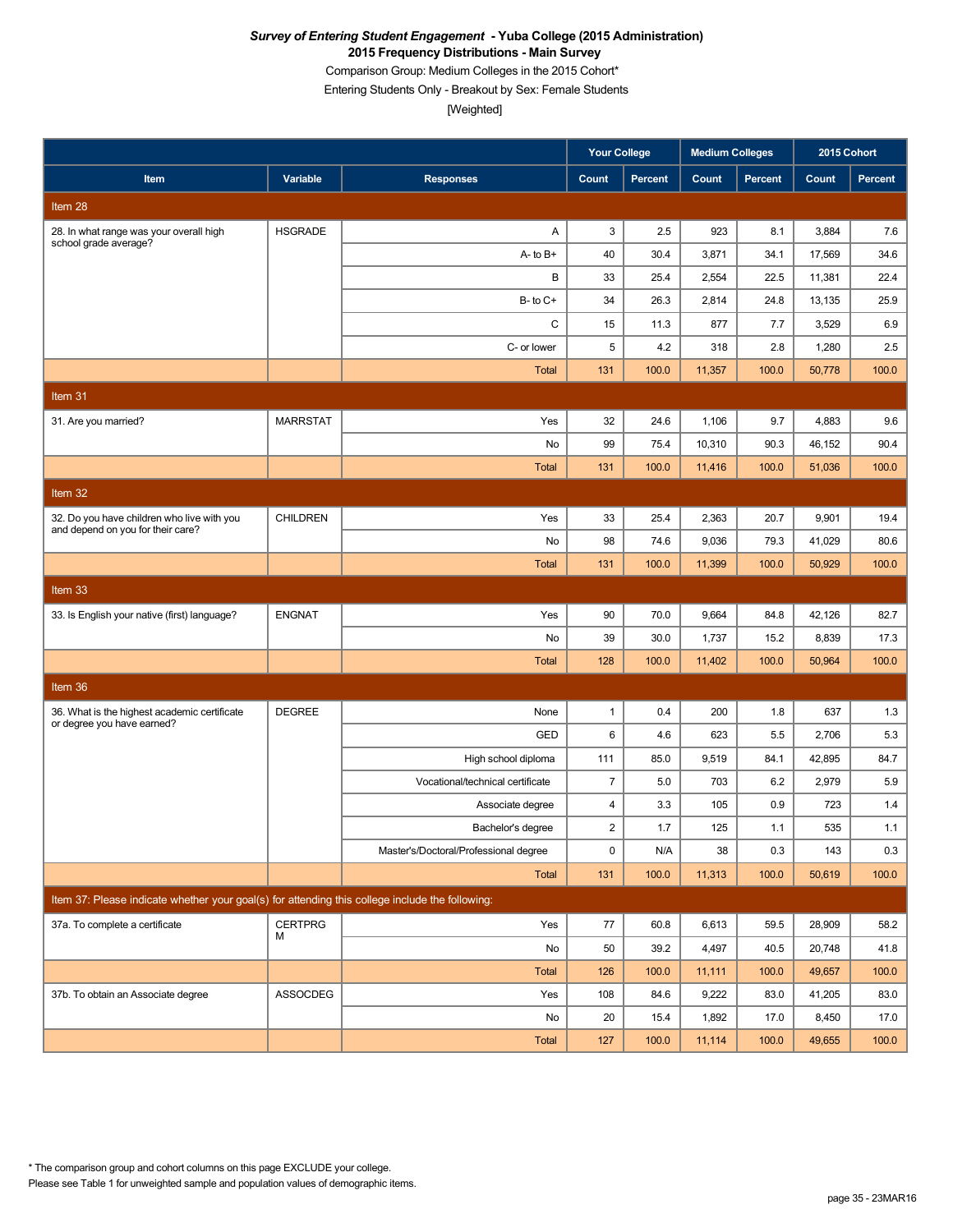Comparison Group: Medium Colleges in the 2015 Cohort\*

Entering Students Only - Breakout by Sex: Female Students

[Weighted]

|                                                                                                 |                 |                                       | <b>Your College</b> |                | <b>Medium Colleges</b> |                | 2015 Cohort |         |
|-------------------------------------------------------------------------------------------------|-----------------|---------------------------------------|---------------------|----------------|------------------------|----------------|-------------|---------|
| Item                                                                                            | Variable        | <b>Responses</b>                      | Count               | <b>Percent</b> | Count                  | <b>Percent</b> | Count       | Percent |
| Item 28                                                                                         |                 |                                       |                     |                |                        |                |             |         |
| 28. In what range was your overall high<br>school grade average?                                | <b>HSGRADE</b>  | Α                                     | 3                   | 2.5            | 923                    | 8.1            | 3,884       | 7.6     |
|                                                                                                 |                 | $A - to B +$                          | 40                  | 30.4           | 3,871                  | 34.1           | 17,569      | 34.6    |
|                                                                                                 |                 | В                                     | 33                  | 25.4           | 2,554                  | 22.5           | 11,381      | 22.4    |
|                                                                                                 |                 | $B$ - to $C$ +                        | 34                  | 26.3           | 2,814                  | 24.8           | 13,135      | 25.9    |
|                                                                                                 |                 | C                                     | 15                  | 11.3           | 877                    | 7.7            | 3,529       | 6.9     |
|                                                                                                 |                 | C- or lower                           | 5                   | 4.2            | 318                    | 2.8            | 1,280       | 2.5     |
|                                                                                                 |                 | <b>Total</b>                          | 131                 | 100.0          | 11,357                 | 100.0          | 50,778      | 100.0   |
| Item 31                                                                                         |                 |                                       |                     |                |                        |                |             |         |
| 31. Are you married?                                                                            | <b>MARRSTAT</b> | Yes                                   | 32                  | 24.6           | 1,106                  | 9.7            | 4,883       | 9.6     |
|                                                                                                 |                 | No                                    | 99                  | 75.4           | 10,310                 | 90.3           | 46,152      | 90.4    |
|                                                                                                 |                 | <b>Total</b>                          | 131                 | 100.0          | 11,416                 | 100.0          | 51,036      | 100.0   |
| Item 32                                                                                         |                 |                                       |                     |                |                        |                |             |         |
| 32. Do you have children who live with you                                                      | <b>CHILDREN</b> | Yes                                   | 33                  | 25.4           | 2,363                  | 20.7           | 9,901       | 19.4    |
| and depend on you for their care?                                                               |                 | No                                    | 98                  | 74.6           | 9,036                  | 79.3           | 41,029      | 80.6    |
|                                                                                                 |                 | <b>Total</b>                          | 131                 | 100.0          | 11,399                 | 100.0          | 50,929      | 100.0   |
| Item 33                                                                                         |                 |                                       |                     |                |                        |                |             |         |
| 33. Is English your native (first) language?                                                    | <b>ENGNAT</b>   | Yes                                   | 90                  | 70.0           | 9,664                  | 84.8           | 42,126      | 82.7    |
|                                                                                                 |                 | No                                    | 39                  | 30.0           | 1,737                  | 15.2           | 8,839       | 17.3    |
|                                                                                                 |                 | <b>Total</b>                          | 128                 | 100.0          | 11,402                 | 100.0          | 50,964      | 100.0   |
| Item 36                                                                                         |                 |                                       |                     |                |                        |                |             |         |
| 36. What is the highest academic certificate                                                    | <b>DEGREE</b>   | None                                  | 1                   | 0.4            | 200                    | 1.8            | 637         | 1.3     |
| or degree you have earned?                                                                      |                 | <b>GED</b>                            | 6                   | 4.6            | 623                    | 5.5            | 2,706       | 5.3     |
|                                                                                                 |                 | High school diploma                   | 111                 | 85.0           | 9,519                  | 84.1           | 42,895      | 84.7    |
|                                                                                                 |                 | Vocational/technical certificate      | $\overline{7}$      | 5.0            | 703                    | 6.2            | 2,979       | 5.9     |
|                                                                                                 |                 | Associate degree                      | 4                   | 3.3            | 105                    | 0.9            | 723         | 1.4     |
|                                                                                                 |                 | Bachelor's degree                     | $\overline{c}$      | 1.7            | 125                    | 1.1            | 535         | 1.1     |
|                                                                                                 |                 | Master's/Doctoral/Professional degree | 0                   | N/A            | 38                     | 0.3            | 143         | 0.3     |
|                                                                                                 |                 | Total                                 | 131                 | 100.0          | 11,313                 | 100.0          | 50,619      | 100.0   |
| Item 37: Please indicate whether your goal(s) for attending this college include the following: |                 |                                       |                     |                |                        |                |             |         |
| 37a. To complete a certificate                                                                  | <b>CERTPRG</b>  | Yes                                   | 77                  | 60.8           | 6,613                  | 59.5           | 28,909      | 58.2    |
|                                                                                                 | м               | No                                    | 50                  | 39.2           | 4,497                  | 40.5           | 20,748      | 41.8    |
|                                                                                                 |                 | <b>Total</b>                          | 126                 | 100.0          | 11,111                 | 100.0          | 49,657      | 100.0   |
| 37b. To obtain an Associate degree                                                              | <b>ASSOCDEG</b> | Yes                                   | 108                 | 84.6           | 9,222                  | 83.0           | 41,205      | 83.0    |
|                                                                                                 |                 | No                                    | 20                  | 15.4           | 1,892                  | 17.0           | 8,450       | 17.0    |
|                                                                                                 |                 | <b>Total</b>                          | 127                 | 100.0          | 11,114                 | 100.0          | 49,655      | 100.0   |

Please see Table 1 for unweighted sample and population values of demographic items. \* The comparison group and cohort columns on this page EXCLUDE your college.